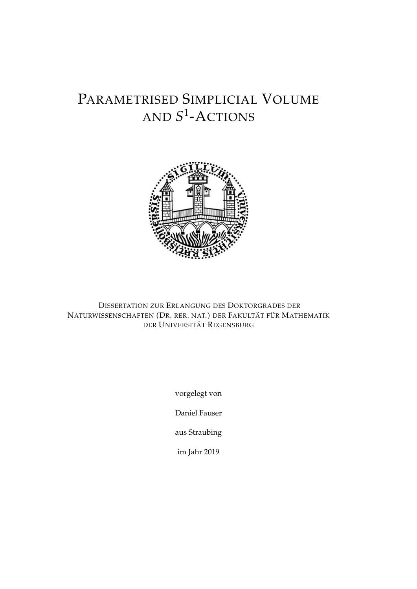# PARAMETRISED SIMPLICIAL VOLUME AND *S* 1 -ACTIONS



DISSERTATION ZUR ERLANGUNG DES DOKTORGRADES DER NATURWISSENSCHAFTEN (DR. RER. NAT.) DER FAKULTÄT FÜR MATHEMATIK DER UNIVERSITÄT REGENSBURG

vorgelegt von

Daniel Fauser

aus Straubing

im Jahr 2019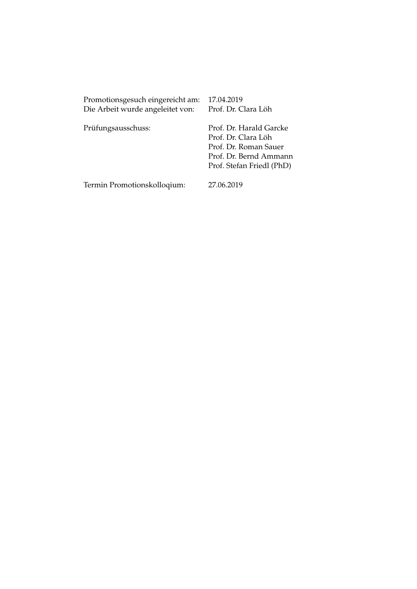| Promotionsgesuch eingereicht am: | 17.04.2019                                     |  |
|----------------------------------|------------------------------------------------|--|
| Die Arbeit wurde angeleitet von: | Prof. Dr. Clara Löh                            |  |
|                                  |                                                |  |
| Prüfungsausschuss:               | Prof. Dr. Harald Garcke<br>Prof. Dr. Clara Löh |  |
|                                  | Prof. Dr. Roman Sauer                          |  |
|                                  | Prof. Dr. Bernd Ammann                         |  |
|                                  |                                                |  |
|                                  | Prof. Stefan Friedl (PhD)                      |  |
| Termin Promotionskolloqium:      | 27.06.2019                                     |  |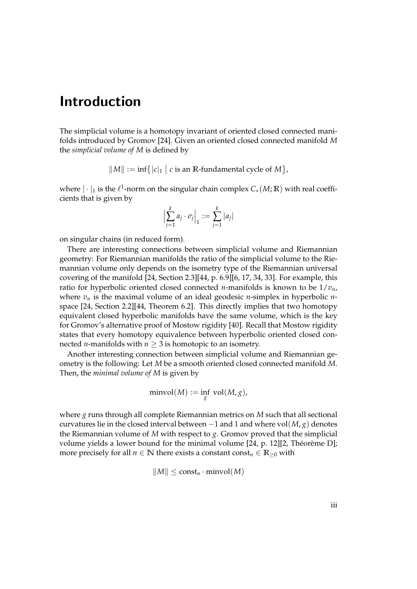## Introduction

The simplicial volume is a homotopy invariant of oriented closed connected manifolds introduced by Gromov [\[24\]](#page-83-0). Given an oriented closed connected manifold *M* the *simplicial volume of M* is defined by

$$
||M|| := \inf\{|c|_1 | c \text{ is an } \mathbb{R}\text{-fundamental cycle of } M\},
$$

where  $|\cdot|_1$  is the  $\ell^1$ -norm on the singular chain complex  $C_*(M;\mathbb{R})$  with real coefficients that is given by

$$
\left|\sum_{j=1}^k a_j \cdot \sigma_j\right|_1 := \sum_{j=1}^k |a_j|
$$

on singular chains (in reduced form).

There are interesting connections between simplicial volume and Riemannian geometry: For Riemannian manifolds the ratio of the simplicial volume to the Riemannian volume only depends on the isometry type of the Riemannian universal covering of the manifold [\[24,](#page-83-0) Section 2.3][\[44,](#page-85-0) p. 6.9][\[6,](#page-82-0) [17,](#page-83-1) [34,](#page-84-0) [33\]](#page-84-1). For example, this ratio for hyperbolic oriented closed connected *n*-manifolds is known to be 1/*vn*, where  $v_n$  is the maximal volume of an ideal geodesic *n*-simplex in hyperbolic *n*space [\[24,](#page-83-0) Section 2.2][\[44,](#page-85-0) Theorem 6.2]. This directly implies that two homotopy equivalent closed hyperbolic manifolds have the same volume, which is the key for Gromov's alternative proof of Mostow rigidity [\[40\]](#page-84-2). Recall that Mostow rigidity states that every homotopy equivalence between hyperbolic oriented closed connected *n*-manifolds with  $n \geq 3$  is homotopic to an isometry.

Another interesting connection between simplicial volume and Riemannian geometry is the following: Let *M* be a smooth oriented closed connected manifold *M*. Then, the *minimal volume of M* is given by

$$
\min vol(M) := \inf_{g} vol(M, g),
$$

where *g* runs through all complete Riemannian metrics on *M* such that all sectional curvatures lie in the closed interval between  $-1$  and 1 and where vol $(M, g)$  denotes the Riemannian volume of *M* with respect to *g*. Gromov proved that the simplicial volume yields a lower bound for the minimal volume [\[24,](#page-83-0) p. 12][\[2,](#page-82-1) Théorème D]; more precisely for all  $n \in \mathbb{N}$  there exists a constant const<sub> $n \in \mathbb{R}_{\geq 0}$  with</sub>

$$
||M|| \leq \text{const}_n \cdot \text{minvol}(M)
$$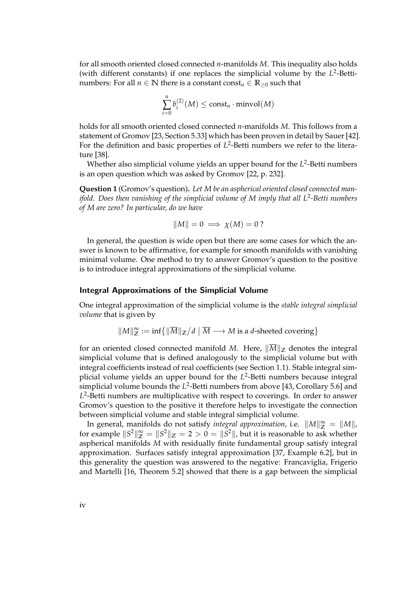for all smooth oriented closed connected *n*-manifolds *M*. This inequality also holds (with different constants) if one replaces the simplicial volume by the  $L^2$ -Bettinumbers: For all  $n \in \mathbb{N}$  there is a constant const<sub> $n \in \mathbb{R}_{\geq 0}$  such that</sub>

$$
\sum_{i=0}^{n} b_i^{(2)}(M) \leq \text{const}_n \cdot \text{minvol}(M)
$$

holds for all smooth oriented closed connected *n*-manifolds *M*. This follows from a statement of Gromov [\[23,](#page-83-2) Section 5.33] which has been proven in detail by Sauer [\[42\]](#page-85-1). For the definition and basic properties of L<sup>2</sup>-Betti numbers we refer to the literature [\[38\]](#page-84-3).

Whether also simplicial volume yields an upper bound for the L<sup>2</sup>-Betti numbers is an open question which was asked by Gromov [\[22,](#page-83-3) p. 232].

<span id="page-3-0"></span>**Question 1** (Gromov's question)**.** *Let M be an aspherical oriented closed connected manifold. Does then vanishing of the simplicial volume of M imply that all L*<sup>2</sup> *-Betti numbers of M are zero? In particular, do we have*

$$
||M|| = 0 \implies \chi(M) = 0?
$$

In general, the question is wide open but there are some cases for which the answer is known to be affirmative, for example for smooth manifolds with vanishing minimal volume. One method to try to answer Gromov's question to the positive is to introduce integral approximations of the simplicial volume.

#### Integral Approximations of the Simplicial Volume

One integral approximation of the simplicial volume is the *stable integral simplicial volume* that is given by

$$
\|M\|_{\mathbb{Z}}^{\infty} := \inf \{ \| \overline{M} \|_{\mathbb{Z}} / d \mid \overline{M} \longrightarrow M \text{ is a } d \text{-sheeted covering} \}
$$

for an oriented closed connected manifold *M*. Here,  $\|\overline{M}\|_{\mathbb{Z}}$  denotes the integral simplicial volume that is defined analogously to the simplicial volume but with integral coefficients instead of real coefficients (see Section [1.1\)](#page-12-0). Stable integral simplicial volume yields an upper bound for the L<sup>2</sup>-Betti numbers because integral simplicial volume bounds the  $L^2$ -Betti numbers from above [\[43,](#page-85-2) Corollary 5.6] and *L* 2 -Betti numbers are multiplicative with respect to coverings. In order to answer Gromov's question to the positive it therefore helps to investigate the connection between simplicial volume and stable integral simplicial volume.

In general, manifolds do not satisfy *integral approximation*, i.e.  $||M||_{\mathbb{Z}}^{\infty} = ||M||$ , for example  $\|S^2\|_{\mathbb{Z}}^{\infty} = \|S^2\|_{\mathbb{Z}} = 2 > 0 = \|S^2\|$ , but it is reasonable to ask whether aspherical manifolds *M* with residually finite fundamental group satisfy integral approximation. Surfaces satisfy integral approximation [\[37,](#page-84-4) Example 6.2], but in this generality the question was answered to the negative: Francaviglia, Frigerio and Martelli [\[16,](#page-83-4) Theorem 5.2] showed that there is a gap between the simplicial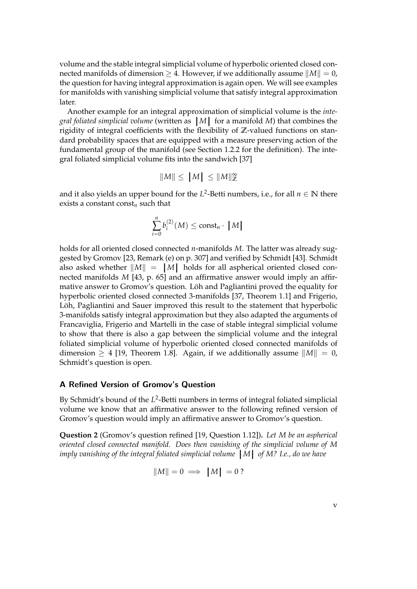volume and the stable integral simplicial volume of hyperbolic oriented closed connected manifolds of dimension  $\geq 4$ . However, if we additionally assume  $||M|| = 0$ , the question for having integral approximation is again open. We will see examples for manifolds with vanishing simplicial volume that satisfy integral approximation later.

Another example for an integral approximation of simplicial volume is the *integral foliated simplicial volume* (written as  $|M|$  for a manifold *M*) that combines the rigidity of integral coefficients with the flexibility of  $\mathbb{Z}$ -valued functions on stanrigidity of integral coefficients with the flexibility of **Z**-valued functions on standard probability spaces that are equipped with a measure preserving action of the fundamental group of the manifold (see Section [1.2.2](#page-16-0) for the definition). The integral foliated simplicial volume fits into the sandwich [\[37\]](#page-84-4)

$$
||M|| \leq ||M|| \leq ||M||^{\infty}_{\mathbb{Z}}
$$

and it also yields an upper bound for the  $L^2$ -Betti numbers, i.e., for all  $n \in \mathbb{N}$  there exists a constant const*<sup>n</sup>* such that

$$
\sum_{i=0}^{n} b_i^{(2)}(M) \leq \text{const}_n \cdot |M|
$$

holds for all oriented closed connected *n*-manifolds *M*. The latter was already suggested by Gromov [\[23,](#page-83-2) Remark (e) on p. 307] and verified by Schmidt [\[43\]](#page-85-2). Schmidt also asked whether  $||M|| = |M|$  holds for all aspherical oriented closed con-<br>pected manifolds M [43, p. 65] and an affirmative answer would imply an affirnected manifolds *M* [\[43,](#page-85-2) p. 65] and an affirmative answer would imply an affirmative answer to Gromov's question. Löh and Pagliantini proved the equality for hyperbolic oriented closed connected 3-manifolds [\[37,](#page-84-4) Theorem 1.1] and Frigerio, Löh, Pagliantini and Sauer improved this result to the statement that hyperbolic 3-manifolds satisfy integral approximation but they also adapted the arguments of Francaviglia, Frigerio and Martelli in the case of stable integral simplicial volume to show that there is also a gap between the simplicial volume and the integral foliated simplicial volume of hyperbolic oriented closed connected manifolds of dimension  $\geq$  4 [\[19,](#page-83-5) Theorem 1.8]. Again, if we additionally assume  $||M|| = 0$ , Schmidt's question is open.

## A Refined Version of Gromov's Question

By Schmidt's bound of the L<sup>2</sup>-Betti numbers in terms of integral foliated simplicial volume we know that an affirmative answer to the following refined version of Gromov's question would imply an affirmative answer to Gromov's question.

<span id="page-4-0"></span>**Question 2** (Gromov's question refined [\[19,](#page-83-5) Question 1.12])**.** *Let M be an aspherical oriented closed connected manifold. Does then vanishing of the simplicial volume of M imply vanishing of the integral foliated simplicial volume M of M? I.e., do we have*

$$
||M|| = 0 \implies |M| = 0 ?
$$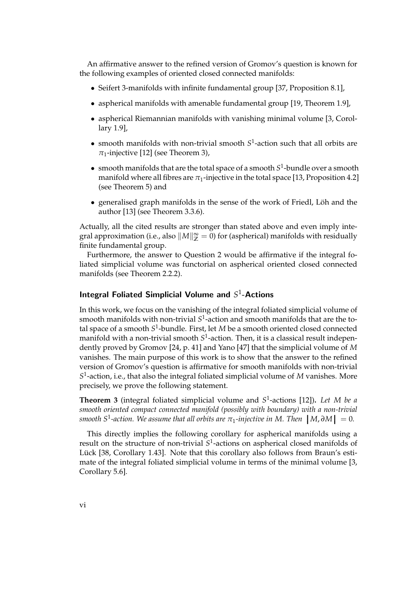An affirmative answer to the refined version of Gromov's question is known for the following examples of oriented closed connected manifolds:

- Seifert 3-manifolds with infinite fundamental group [\[37,](#page-84-4) Proposition 8.1],
- aspherical manifolds with amenable fundamental group [\[19,](#page-83-5) Theorem 1.9],
- aspherical Riemannian manifolds with vanishing minimal volume [\[3,](#page-82-2) Corollary 1.9],
- smooth manifolds with non-trivial smooth *S* 1 -action such that all orbits are  $\pi_1$ -injective [\[12\]](#page-83-6) (see Theorem [3\)](#page-5-0),
- smooth manifolds that are the total space of a smooth  $S^1$ -bundle over a smooth manifold where all fibres are  $\pi_1$ -injective in the total space [\[13,](#page-83-7) Proposition 4.2] (see Theorem [5\)](#page-6-0) and
- generalised graph manifolds in the sense of the work of Friedl, Löh and the author [\[13\]](#page-83-7) (see Theorem [3.3.6\)](#page-43-0).

Actually, all the cited results are stronger than stated above and even imply integral approximation (i.e., also  $\|M\|_\mathbb{Z}^\infty = 0$ ) for (aspherical) manifolds with residually finite fundamental group.

Furthermore, the answer to Question [2](#page-4-0) would be affirmative if the integral foliated simplicial volume was functorial on aspherical oriented closed connected manifolds (see Theorem [2.2.2\)](#page-30-0).

## Integral Foliated Simplicial Volume and S<sup>1</sup>-Actions

In this work, we focus on the vanishing of the integral foliated simplicial volume of smooth manifolds with non-trivial *S* 1 -action and smooth manifolds that are the total space of a smooth *S* 1 -bundle. First, let *M* be a smooth oriented closed connected manifold with a non-trivial smooth  $S^1$ -action. Then*,* it is a classical result independently proved by Gromov [\[24,](#page-83-0) p. 41] and Yano [\[47\]](#page-85-3) that the simplicial volume of *M* vanishes. The main purpose of this work is to show that the answer to the refined version of Gromov's question is affirmative for smooth manifolds with non-trivial *S* 1 -action, i.e., that also the integral foliated simplicial volume of *M* vanishes. More precisely, we prove the following statement.

<span id="page-5-0"></span>**Theorem 3** (integral foliated simplicial volume and *S* 1 -actions [\[12\]](#page-83-6))**.** *Let M be a smooth oriented compact connected manifold (possibly with boundary) with a non-trivial smooth*  $S^1$ -action. We assume that all orbits are  $\pi_1$ -injective in M. Then  $|M,\partial M| = 0$ .

This directly implies the following corollary for aspherical manifolds using a result on the structure of non-trivial *S* 1 -actions on aspherical closed manifolds of Lück [\[38,](#page-84-3) Corollary 1.43]. Note that this corollary also follows from Braun's estimate of the integral foliated simplicial volume in terms of the minimal volume [\[3,](#page-82-2) Corollary 5.6].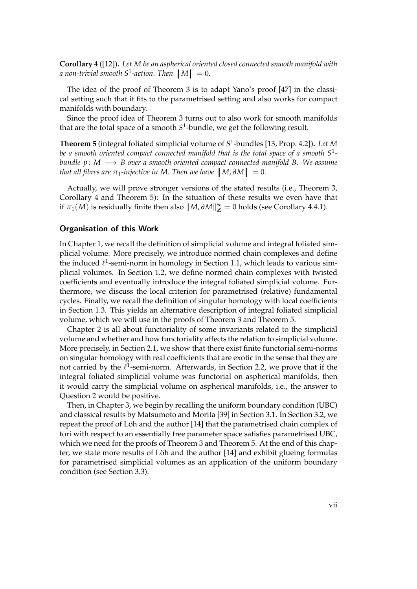<span id="page-6-1"></span>**Corollary 4** ([\[12\]](#page-83-6))**.** *Let M be an aspherical oriented closed connected smooth manifold with a* non-trivial smooth  $S^1$ -action. Then  $|M| = 0$ .

The idea of the proof of Theorem [3](#page-5-0) is to adapt Yano's proof [\[47\]](#page-85-3) in the classical setting such that it fits to the parametrised setting and also works for compact manifolds with boundary.

Since the proof idea of Theorem [3](#page-5-0) turns out to also work for smooth manifolds that are the total space of a smooth *S* 1 -bundle, we get the following result.

<span id="page-6-0"></span>**Theorem 5** (integral foliated simplicial volume of *S* 1 -bundles [\[13,](#page-83-7) Prop. 4.2])**.** *Let M be a smooth oriented compact connected manifold that is the total space of a smooth S*<sup>1</sup>  *bundle p* : *M* −→ *B over a smooth oriented compact connected manifold B. We assume that all fibres are*  $\pi_1$ *-injective in M. Then we have*  $|M, \partial M| = 0$ .

Actually, we will prove stronger versions of the stated results (i.e., Theorem [3,](#page-5-0) Corollary [4](#page-6-1) and Theorem [5\)](#page-6-0): In the situation of these results we even have that if  $\pi_1(M)$  is residually finite then also  $\|M, \partial M\|_{\mathbb{Z}}^{\infty} = 0$  holds (see Corollary [4.4.1\)](#page-64-0).

## Organisation of this Work

In Chapter [1,](#page-12-1) we recall the definition of simplicial volume and integral foliated simplicial volume. More precisely, we introduce normed chain complexes and define the induced  $\ell^1$ -semi-norm in homology in Section [1.1,](#page-12-0) which leads to various simplicial volumes. In Section [1.2,](#page-14-0) we define normed chain complexes with twisted coefficients and eventually introduce the integral foliated simplicial volume. Furthermore, we discuss the local criterion for parametrised (relative) fundamental cycles. Finally, we recall the definition of singular homology with local coefficients in Section [1.3.](#page-21-0) This yields an alternative description of integral foliated simplicial volume, which we will use in the proofs of Theorem [3](#page-5-0) and Theorem [5.](#page-6-0)

Chapter [2](#page-28-0) is all about functoriality of some invariants related to the simplicial volume and whether and how functoriality affects the relation to simplicial volume. More precisely, in Section [2.1,](#page-28-1) we show that there exist finite functorial semi-norms on singular homology with real coefficients that are exotic in the sense that they are not carried by the  $\ell^1$ -semi-norm. Afterwards, in Section [2.2,](#page-30-1) we prove that if the integral foliated simplicial volume was functorial on aspherical manifolds, then it would carry the simplicial volume on aspherical manifolds, i.e., the answer to Question [2](#page-4-0) would be positive.

Then, in Chapter [3,](#page-32-0) we begin by recalling the uniform boundary condition (UBC) and classical results by Matsumoto and Morita [\[39\]](#page-84-5) in Section [3.1.](#page-32-1) In Section [3.2,](#page-33-0) we repeat the proof of Löh and the author  $[14]$  that the parametrised chain complex of tori with respect to an essentially free parameter space satisfies parametrised UBC, which we need for the proofs of Theorem [3](#page-5-0) and Theorem [5.](#page-6-0) At the end of this chap-ter, we state more results of Löh and the author [\[14\]](#page-83-8) and exhibit glueing formulas for parametrised simplicial volumes as an application of the uniform boundary condition (see Section [3.3\)](#page-39-0).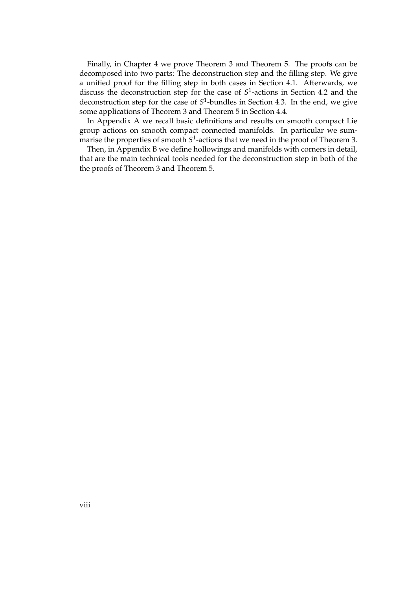Finally, in Chapter [4](#page-44-0) we prove Theorem [3](#page-5-0) and Theorem [5.](#page-6-0) The proofs can be decomposed into two parts: The deconstruction step and the filling step. We give a unified proof for the filling step in both cases in Section [4.1.](#page-45-0) Afterwards, we discuss the deconstruction step for the case of  $S<sup>1</sup>$ -actions in Section [4.2](#page-54-0) and the deconstruction step for the case of  $S^1$ -bundles in Section [4.3.](#page-62-0) In the end, we give some applications of Theorem [3](#page-5-0) and Theorem [5](#page-6-0) in Section [4.4.](#page-64-1)

In Appendix [A](#page-68-0) we recall basic definitions and results on smooth compact Lie group actions on smooth compact connected manifolds. In particular we summarise the properties of smooth *S* 1 -actions that we need in the proof of Theorem [3.](#page-5-0)

Then, in Appendix [B](#page-72-0) we define hollowings and manifolds with corners in detail, that are the main technical tools needed for the deconstruction step in both of the the proofs of Theorem [3](#page-5-0) and Theorem [5.](#page-6-0)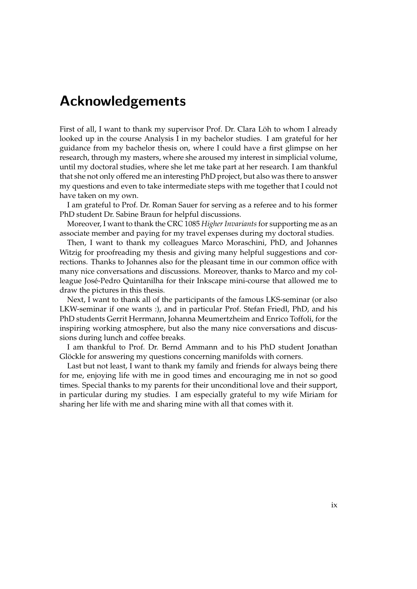## Acknowledgements

First of all, I want to thank my supervisor Prof. Dr. Clara Löh to whom I already looked up in the course Analysis I in my bachelor studies. I am grateful for her guidance from my bachelor thesis on, where I could have a first glimpse on her research, through my masters, where she aroused my interest in simplicial volume, until my doctoral studies, where she let me take part at her research. I am thankful that she not only offered me an interesting PhD project, but also was there to answer my questions and even to take intermediate steps with me together that I could not have taken on my own.

I am grateful to Prof. Dr. Roman Sauer for serving as a referee and to his former PhD student Dr. Sabine Braun for helpful discussions.

Moreover, I want to thank the CRC 1085 *Higher Invariants* for supporting me as an associate member and paying for my travel expenses during my doctoral studies.

Then, I want to thank my colleagues Marco Moraschini, PhD, and Johannes Witzig for proofreading my thesis and giving many helpful suggestions and corrections. Thanks to Johannes also for the pleasant time in our common office with many nice conversations and discussions. Moreover, thanks to Marco and my colleague Jose-Pedro Quintanilha for their Inkscape mini-course that allowed me to ´ draw the pictures in this thesis.

Next, I want to thank all of the participants of the famous LKS-seminar (or also LKW-seminar if one wants :), and in particular Prof. Stefan Friedl, PhD, and his PhD students Gerrit Herrmann, Johanna Meumertzheim and Enrico Toffoli, for the inspiring working atmosphere, but also the many nice conversations and discussions during lunch and coffee breaks.

I am thankful to Prof. Dr. Bernd Ammann and to his PhD student Jonathan Glöckle for answering my questions concerning manifolds with corners.

Last but not least, I want to thank my family and friends for always being there for me, enjoying life with me in good times and encouraging me in not so good times. Special thanks to my parents for their unconditional love and their support, in particular during my studies. I am especially grateful to my wife Miriam for sharing her life with me and sharing mine with all that comes with it.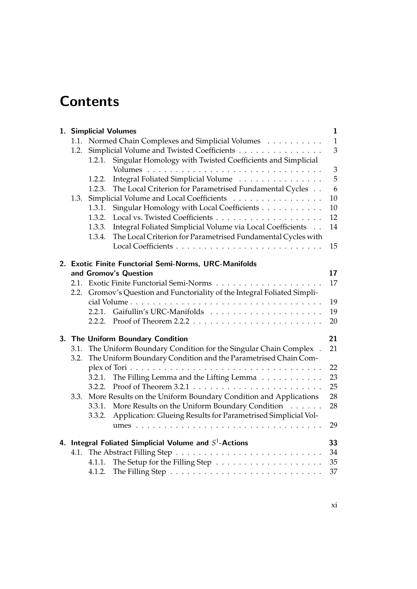# **Contents**

|              | 1. Simplicial Volumes                                                                                                                                                                                                                                                                         | $\mathbf{1}$            |
|--------------|-----------------------------------------------------------------------------------------------------------------------------------------------------------------------------------------------------------------------------------------------------------------------------------------------|-------------------------|
| 1.2.         | 1.1. Normed Chain Complexes and Simplicial Volumes<br>Simplicial Volume and Twisted Coefficients                                                                                                                                                                                              | $\mathbf{1}$<br>3       |
| 1.3.         | Singular Homology with Twisted Coefficients and Simplicial<br>1.2.1.<br>Integral Foliated Simplicial Volume<br>1.2.2.<br>The Local Criterion for Parametrised Fundamental Cycles<br>1.2.3.<br>Simplicial Volume and Local Coefficients<br>Singular Homology with Local Coefficients<br>1.3.1. | 3<br>5<br>6<br>10<br>10 |
|              | 1.3.2.<br>Integral Foliated Simplicial Volume via Local Coefficients<br>1.3.3.                                                                                                                                                                                                                | 12<br>14                |
|              | The Local Criterion for Parametrised Fundamental Cycles with<br>1.3.4.                                                                                                                                                                                                                        | 15                      |
|              | 2. Exotic Finite Functorial Semi-Norms, URC-Manifolds                                                                                                                                                                                                                                         |                         |
|              | and Gromov's Question                                                                                                                                                                                                                                                                         | 17                      |
| 2.2.         | Gromov's Question and Functoriality of the Integral Foliated Simpli-                                                                                                                                                                                                                          | 17                      |
|              | 2.2.1.                                                                                                                                                                                                                                                                                        | 19<br>19<br>20          |
| 3.1.<br>3.2. | 3. The Uniform Boundary Condition<br>The Uniform Boundary Condition for the Singular Chain Complex.<br>The Uniform Boundary Condition and the Parametrised Chain Com-                                                                                                                         | 21<br>21                |
|              | The Filling Lemma and the Lifting Lemma<br>3.2.1.<br>3.2.2.                                                                                                                                                                                                                                   | 22<br>23<br>25          |
| 3.3.         | More Results on the Uniform Boundary Condition and Applications<br>3.3.1. More Results on the Uniform Boundary Condition<br>Application: Glueing Results for Parametrised Simplicial Vol-<br>3.3.2.                                                                                           | 28<br>28                |
|              |                                                                                                                                                                                                                                                                                               | 29                      |
|              | 4. Integral Foliated Simplicial Volume and $S^1$ -Actions                                                                                                                                                                                                                                     | 33                      |
| 4.1.         | 4.1.1.                                                                                                                                                                                                                                                                                        | 34<br>35<br>37          |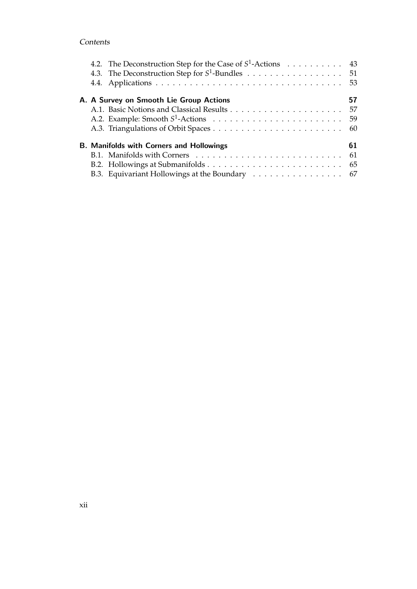## Contents

|  | 4.2. The Deconstruction Step for the Case of $S^1$ -Actions 43 |    |
|--|----------------------------------------------------------------|----|
|  | 4.3. The Deconstruction Step for $S^1$ -Bundles 51             |    |
|  |                                                                |    |
|  | A. A Survey on Smooth Lie Group Actions                        | 57 |
|  |                                                                |    |
|  |                                                                |    |
|  |                                                                |    |
|  | <b>B. Manifolds with Corners and Hollowings</b>                | 61 |
|  |                                                                |    |
|  |                                                                |    |
|  | B.3. Equivariant Hollowings at the Boundary 67                 |    |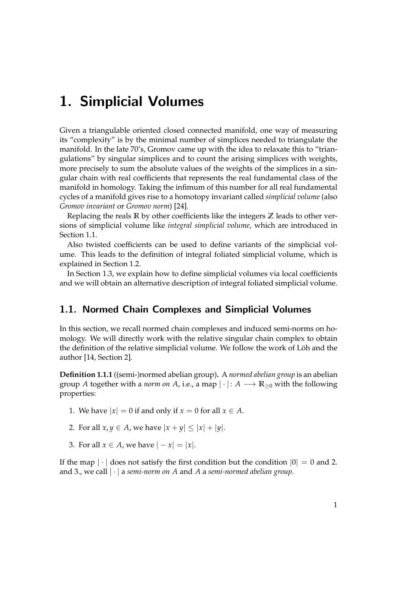<span id="page-12-1"></span>Given a triangulable oriented closed connected manifold, one way of measuring its "complexity" is by the minimal number of simplices needed to triangulate the manifold. In the late 70's, Gromov came up with the idea to relaxate this to "triangulations" by singular simplices and to count the arising simplices with weights, more precisely to sum the absolute values of the weights of the simplices in a singular chain with real coefficients that represents the real fundamental class of the manifold in homology. Taking the infimum of this number for all real fundamental cycles of a manifold gives rise to a homotopy invariant called *simplicial volume* (also *Gromov invariant* or *Gromov norm*) [\[24\]](#page-83-0).

Replacing the reals **R** by other coefficients like the integers **Z** leads to other versions of simplicial volume like *integral simplicial volume*, which are introduced in Section [1.1.](#page-12-0)

Also twisted coefficients can be used to define variants of the simplicial volume. This leads to the definition of integral foliated simplicial volume, which is explained in Section [1.2.](#page-14-0)

In Section [1.3,](#page-21-0) we explain how to define simplicial volumes via local coefficients and we will obtain an alternative description of integral foliated simplicial volume.

## <span id="page-12-0"></span>1.1. Normed Chain Complexes and Simplicial Volumes

In this section, we recall normed chain complexes and induced semi-norms on homology. We will directly work with the relative singular chain complex to obtain the definition of the relative simplicial volume. We follow the work of Löh and the author [\[14,](#page-83-8) Section 2].

**Definition 1.1.1** ((semi-)normed abelian group)**.** A *normed abelian group* is an abelian group *A* together with a *norm on A*, i.e., a map  $|\cdot|: A \longrightarrow \mathbb{R}_{\geq 0}$  with the following properties:

- 1. We have  $|x| = 0$  if and only if  $x = 0$  for all  $x \in A$ .
- 2. For all  $x, y \in A$ , we have  $|x + y| \le |x| + |y|$ .
- 3. For all  $x \in A$ , we have  $|-x| = |x|$ .

If the map  $|\cdot|$  does not satisfy the first condition but the condition  $|0| = 0$  and 2. and 3., we call | · | a *semi-norm on A* and *A* a *semi-normed abelian group*.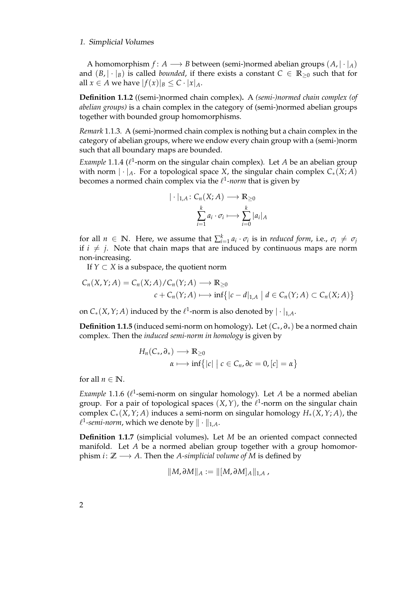A homomorphism  $f: A \longrightarrow B$  between (semi-)normed abelian groups  $(A, | \cdot |_A)$ and  $(B, |\cdot|_B)$  is called *bounded*, if there exists a constant  $C \in \mathbb{R}_{\geq 0}$  such that for all  $x \in A$  we have  $|f(x)|_B \leq C \cdot |x|_A$ .

**Definition 1.1.2** ((semi-)normed chain complex)**.** A *(semi-)normed chain complex (of abelian groups)* is a chain complex in the category of (semi-)normed abelian groups together with bounded group homomorphisms.

*Remark* 1.1.3*.* A (semi-)normed chain complex is nothing but a chain complex in the category of abelian groups, where we endow every chain group with a (semi-)norm such that all boundary maps are bounded.

*Example* 1.1.4 ( $\ell$ <sup>1</sup>-norm on the singular chain complex). Let *A* be an abelian group with norm  $|\cdot|_A$ . For a topological space *X*, the singular chain complex  $C_*(X;A)$ becomes a normed chain complex via the  $\ell^1$ -*norm* that is given by

$$
|\cdot|_{1,A}\colon C_n(X;A)\longrightarrow \mathbb{R}_{\geq 0}
$$

$$
\sum_{i=1}^k a_i \cdot \sigma_i \longmapsto \sum_{i=0}^k |a_i|_A
$$

for all  $n \in \mathbb{N}$ . Here, we assume that  $\sum_{i=1}^{k} a_i \cdot \sigma_i$  is in *reduced form*, i.e.,  $\sigma_i \neq \sigma_j$ if  $i \neq j$ . Note that chain maps that are induced by continuous maps are norm non-increasing.

If  $Y \subset X$  is a subspace, the quotient norm

$$
C_n(X,Y;A) = C_n(X;A)/C_n(Y;A) \longrightarrow \mathbb{R}_{\geq 0}
$$
  

$$
c + C_n(Y;A) \longmapsto \inf\{|c - d|_{1,A} \mid d \in C_n(Y;A) \subset C_n(X;A)\}
$$

on  $C_*(X, Y; A)$  induced by the  $\ell^1$ -norm is also denoted by  $|\cdot|_{1,A}.$ 

**Definition 1.1.5** (induced semi-norm on homology). Let  $(C_*, \partial_*)$  be a normed chain complex. Then the *induced semi-norm in homology* is given by

$$
H_n(C_*,\partial_*) \longrightarrow \mathbb{R}_{\geq 0}
$$
  

$$
\alpha \longmapsto \inf\{|c| \mid c \in C_n, \partial c = 0, [c] = \alpha\}
$$

for all  $n \in \mathbb{N}$ .

*Example* 1.1.6 ( $\ell^1$ -semi-norm on singular homology). Let *A* be a normed abelian group. For a pair of topological spaces  $(X, Y)$ , the  $\ell^1$ -norm on the singular chain complex *C*∗(*X*,*Y*; *A*) induces a semi-norm on singular homology *H*∗(*X*,*Y*; *A*), the  $\ell^1$ *-semi-norm,* which we denote by  $\|\cdot\|_{1,A}.$ 

**Definition 1.1.7** (simplicial volumes)**.** Let *M* be an oriented compact connected manifold. Let *A* be a normed abelian group together with a group homomorphism *i* :  $\mathbb{Z} \longrightarrow A$ . Then the *A-simplicial volume of M* is defined by

$$
\|M,\partial M\|_A:=\|[M,\partial M]_A\|_{1,A}\;,
$$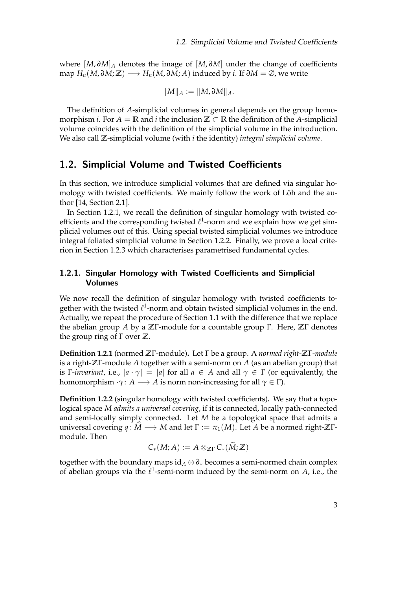where [*M*, *∂M*]*<sup>A</sup>* denotes the image of [*M*, *∂M*] under the change of coefficients map  $H_n(M, \partial M; \mathbb{Z}) \longrightarrow H_n(M, \partial M; A)$  induced by *i*. If  $\partial M = \emptyset$ , we write

$$
||M||_A := ||M, \partial M||_A.
$$

The definition of *A*-simplicial volumes in general depends on the group homomorphism *i*. For  $A = \mathbb{R}$  and *i* the inclusion  $\mathbb{Z} \subset \mathbb{R}$  the definition of the *A*-simplicial volume coincides with the definition of the simplicial volume in the introduction. We also call **Z**-simplicial volume (with *i* the identity) *integral simplicial volume*.

## <span id="page-14-0"></span>1.2. Simplicial Volume and Twisted Coefficients

In this section, we introduce simplicial volumes that are defined via singular homology with twisted coefficients. We mainly follow the work of Löh and the author [\[14,](#page-83-8) Section 2.1].

In Section [1.2.1,](#page-14-1) we recall the definition of singular homology with twisted coefficients and the corresponding twisted  $\ell^1$ -norm and we explain how we get simplicial volumes out of this. Using special twisted simplicial volumes we introduce integral foliated simplicial volume in Section [1.2.2.](#page-16-0) Finally, we prove a local criterion in Section [1.2.3](#page-17-0) which characterises parametrised fundamental cycles.

## <span id="page-14-1"></span>1.2.1. Singular Homology with Twisted Coefficients and Simplicial Volumes

We now recall the definition of singular homology with twisted coefficients together with the twisted  $\ell^1$ -norm and obtain twisted simplicial volumes in the end. Actually, we repeat the procedure of Section [1.1](#page-12-0) with the difference that we replace the abelian group *A* by a **Z**Γ-module for a countable group Γ. Here, **Z**Γ denotes the group ring of Γ over **Z**.

**Definition 1.2.1** (normed **Z**Γ-module)**.** Let Γ be a group. A *normed right-***Z**Γ*-module* is a right-**Z**Γ-module *A* together with a semi-norm on *A* (as an abelian group) that is Γ*-invariant*, i.e.,  $|a \cdot \gamma| = |a|$  for all  $a \in A$  and all  $\gamma \in \Gamma$  (or equivalently, the homomorphism  $\cdot \gamma$ : *A* → *A* is norm non-increasing for all  $\gamma \in \Gamma$ ).

<span id="page-14-2"></span>**Definition 1.2.2** (singular homology with twisted coefficients)**.** We say that a topological space *M admits a universal covering*, if it is connected, locally path-connected and semi-locally simply connected. Let *M* be a topological space that admits a universal covering  $q: \widetilde{M} \longrightarrow M$  and let  $\Gamma := \pi_1(M)$ . Let *A* be a normed right- $\mathbb{Z}\Gamma$ module. Then

$$
C_*(M;A):=A\otimes_{\mathbb{Z}\Gamma}C_*(M;\mathbb{Z})
$$

together with the boundary maps id*<sup>A</sup>* ⊗ *∂*<sup>∗</sup> becomes a semi-normed chain complex of abelian groups via the  $\ell^1$ -semi-norm induced by the semi-norm on  $A$ , i.e., the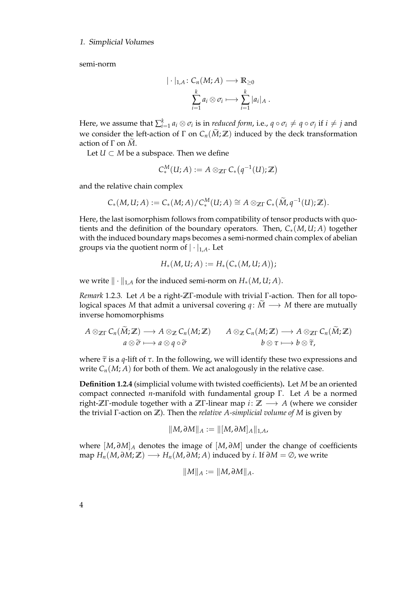semi-norm

$$
|\cdot|_{1,A}\colon C_n(M;A)\longrightarrow \mathbb{R}_{\geq 0}
$$

$$
\sum_{i=1}^k a_i\otimes \sigma_i\longmapsto \sum_{i=1}^k |a_i|_A.
$$

Here, we assume that  $\sum_{i=1}^k a_i\otimes \sigma_i$  is in *reduced form,* i.e.,  $q\circ \sigma_i\neq q\circ \sigma_j$  if  $i\neq j$  and we consider the left-action of  $\Gamma$  on  $C_n(\widetilde{M}; \mathbb{Z})$  induced by the deck transformation action of Γ on *M*.

Let *U*  $\subset$  *M* be a subspace. Then we define

$$
C_*^M(U;A) := A \otimes_{\mathbb{Z}\Gamma} C_*\left(q^{-1}(U); \mathbb{Z}\right)
$$

and the relative chain complex

$$
C_*(M, U; A) := C_*(M; A) / C_*^M(U; A) \cong A \otimes_{\mathbb{Z}\Gamma} C_*\big(\widetilde{M}, q^{-1}(U); \mathbb{Z}\big).
$$

Here, the last isomorphism follows from compatibility of tensor products with quotients and the definition of the boundary operators. Then,  $C_*(M, U; A)$  together with the induced boundary maps becomes a semi-normed chain complex of abelian groups via the quotient norm of  $|\cdot|_{1,A}$ . Let

$$
H_*(M, U; A) := H_*(C_*(M, U; A));
$$

we write  $\|\cdot\|_{1,A}$  for the induced semi-norm on  $H_*(M, U; A)$ .

*Remark* 1.2.3*.* Let *A* be a right-**Z**Γ-module with trivial Γ-action. Then for all topological spaces *M* that admit a universal covering  $q: \overline{M} \longrightarrow M$  there are mutually inverse homomorphisms

$$
A \otimes_{\mathbb{Z}\Gamma} C_n(\widetilde{M};\mathbb{Z}) \longrightarrow A \otimes_{\mathbb{Z}} C_n(M;\mathbb{Z}) \qquad A \otimes_{\mathbb{Z}} C_n(M;\mathbb{Z}) \longrightarrow A \otimes_{\mathbb{Z}\Gamma} C_n(\widetilde{M};\mathbb{Z})
$$

$$
a \otimes \widetilde{\sigma} \longmapsto a \otimes q \circ \widetilde{\sigma} \qquad b \otimes \tau \longmapsto b \otimes \widetilde{\tau},
$$

where  $\tilde{\tau}$  is a *q*-lift of  $\tau$ . In the following, we will identify these two expressions and write  $C_n(M; A)$  for both of them. We act analogously in the relative case.

**Definition 1.2.4** (simplicial volume with twisted coefficients)**.** Let *M* be an oriented compact connected *n*-manifold with fundamental group Γ. Let *A* be a normed right-**Z**Γ-module together with a **Z**Γ-linear map *i* : **Z** −→ *A* (where we consider the trivial Γ-action on **Z**). Then the *relative A-simplicial volume of M* is given by

$$
||M,\partial M||_A:=||[M,\partial M]_A||_{1,A},
$$

where [*M*, *∂M*]*<sup>A</sup>* denotes the image of [*M*, *∂M*] under the change of coefficients map  $H_n(M, \partial M; \mathbb{Z}) \longrightarrow H_n(M, \partial M; A)$  induced by *i*. If  $\partial M = \emptyset$ , we write

$$
\|M\|_A:=\|M,\partial M\|_A.
$$

4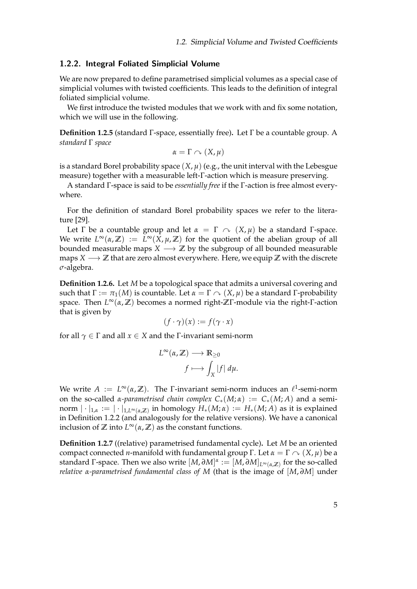#### <span id="page-16-0"></span>1.2.2. Integral Foliated Simplicial Volume

We are now prepared to define parametrised simplicial volumes as a special case of simplicial volumes with twisted coefficients. This leads to the definition of integral foliated simplicial volume.

We first introduce the twisted modules that we work with and fix some notation, which we will use in the following.

**Definition 1.2.5** (standard Γ-space, essentially free)**.** Let Γ be a countable group. A *standard* Γ *space*

$$
\alpha=\Gamma\curvearrowright (X,\mu)
$$

is a standard Borel probability space  $(X, \mu)$  (e.g., the unit interval with the Lebesgue measure) together with a measurable left-Γ-action which is measure preserving.

A standard Γ-space is said to be *essentially free* if the Γ-action is free almost everywhere.

For the definition of standard Borel probability spaces we refer to the literature [\[29\]](#page-84-6).

Let Γ be a countable group and let  $\alpha = \Gamma \sim (X, \mu)$  be a standard Γ-space. We write  $L^{\infty}(\alpha, \mathbb{Z}) := L^{\infty}(X, \mu, \mathbb{Z})$  for the quotient of the abelian group of all bounded measurable maps  $X \longrightarrow \mathbb{Z}$  by the subgroup of all bounded measurable maps *X* −→ **Z** that are zero almost everywhere. Here, we equip **Z** with the discrete *σ*-algebra.

**Definition 1.2.6.** Let *M* be a topological space that admits a universal covering and such that  $\Gamma := \pi_1(M)$  is countable. Let  $\alpha = \Gamma \sim (X, \mu)$  be a standard Γ-probability space. Then *L* <sup>∞</sup>(*α*, **Z**) becomes a normed right-**Z**Γ-module via the right-Γ-action that is given by

$$
(f \cdot \gamma)(x) := f(\gamma \cdot x)
$$

for all  $\gamma \in \Gamma$  and all  $x \in X$  and the  $\Gamma$ -invariant semi-norm

$$
L^{\infty}(\alpha, \mathbb{Z}) \longrightarrow \mathbb{R}_{\geq 0}
$$

$$
f \longmapsto \int_X |f| \, d\mu.
$$

We write  $A := L^{\infty}(\alpha, \mathbb{Z})$ . The *Γ*-invariant semi-norm induces an  $\ell^1$ -semi-norm on the so-called *α-parametrised chain complex*  $C_*(M; \alpha) := C_*(M; A)$  and a semi- $\mathsf{norm} \mathbin{\mid} \cdot \mathbin{\mid}_{1,\alpha} := \mathbin{\mid} \cdot \mathbin{\mid}_{1,L^\infty(\alpha,\mathbb{Z})} \text{ in homology } H_*(M;\alpha) := H_*(M;A) \text{ as it is explained}$ in Definition [1.2.2](#page-14-2) (and analogously for the relative versions). We have a canonical inclusion of  $\mathbb{Z}$  into  $L^{\infty}(\alpha, \mathbb{Z})$  as the constant functions.

**Definition 1.2.7** ((relative) parametrised fundamental cycle)**.** Let *M* be an oriented compact connected *n*-manifold with fundamental group Γ. Let  $α = Γ \sim (X, μ)$  be a standard Γ-space. Then we also write [*M*, *∂M*] *α* := [*M*, *∂M*]*L*∞(*α*,**Z**) for the so-called *relative α-parametrised fundamental class of M* (that is the image of [*M*, *∂M*] under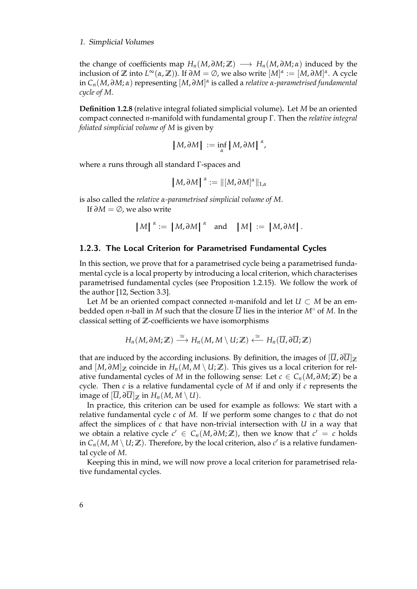the change of coefficients map  $H_n(M, \partial M; \mathbb{Z}) \longrightarrow H_n(M, \partial M; \alpha)$  induced by the inclusion of  $\mathbb Z$  into  $L^{\infty}(\alpha,\mathbb Z)$ ). If  $\partial M = \emptyset$ , we also write  $[M]^{\alpha} := [M,\partial M]^{\alpha}$ . A cycle in *Cn*(*M*, *∂M*; *α*) representing [*M*, *∂M*] *α* is called a *relative α-parametrised fundamental cycle of M*.

**Definition 1.2.8** (relative integral foliated simplicial volume)**.** Let *M* be an oriented compact connected *n*-manifold with fundamental group Γ. Then the *relative integral foliated simplicial volume of M* is given by

$$
|M,\partial M| := \inf_{\alpha} |M,\partial M|^{\alpha},
$$

where *α* runs through all standard Γ-spaces and

$$
\left\|M,\partial M\right\|^{\alpha}:=\left\|\left[M,\partial M\right]^{\alpha}\right\|_{1,\alpha}
$$

is also called the *relative α-parametrised simplicial volume of M*.

If *∂M* = ∅, we also write

$$
|M|^{\alpha} := |M,\partial M|^{\alpha} \text{ and } |M| := |M,\partial M|.
$$

## <span id="page-17-0"></span>1.2.3. The Local Criterion for Parametrised Fundamental Cycles

In this section, we prove that for a parametrised cycle being a parametrised fundamental cycle is a local property by introducing a local criterion, which characterises parametrised fundamental cycles (see Proposition [1.2.15\)](#page-20-0). We follow the work of the author [\[12,](#page-83-6) Section 3.3].

Let *M* be an oriented compact connected *n*-manifold and let  $U \subset M$  be an embedded open *n*-ball in *M* such that the closure  $\overline{U}$  lies in the interior  $M^{\circ}$  of *M*. In the classical setting of **Z**-coefficients we have isomorphisms

$$
H_n(M, \partial M; \mathbb{Z}) \stackrel{\cong}{\longrightarrow} H_n(M, M \setminus U; \mathbb{Z}) \stackrel{\cong}{\longleftarrow} H_n(\overline{U}, \partial \overline{U}; \mathbb{Z})
$$

that are induced by the according inclusions. By definition, the images of  $[\overline{U}, \partial \overline{U}]_{\mathbb{Z}}$ and  $[M, \partial M]$ <sub>Z</sub> coincide in  $H_n(M, M \setminus U; \mathbb{Z})$ . This gives us a local criterion for relative fundamental cycles of *M* in the following sense: Let  $c \in C_n(M, \partial M; \mathbb{Z})$  be a cycle. Then *c* is a relative fundamental cycle of *M* if and only if *c* represents the image of  $[\overline{U}, \partial \overline{U}]_{\mathbb{Z}}$  in  $H_n(M, M \setminus U)$ .

In practice, this criterion can be used for example as follows: We start with a relative fundamental cycle *c* of *M*. If we perform some changes to *c* that do not affect the simplices of *c* that have non-trivial intersection with *U* in a way that we obtain a relative cycle  $c' \in C_n(M, \partial M; \mathbb{Z})$ , then we know that  $c' = c$  holds in  $C_n(M, M \setminus U; \mathbb{Z})$ . Therefore, by the local criterion, also  $c'$  is a relative fundamental cycle of *M*.

Keeping this in mind, we will now prove a local criterion for parametrised relative fundamental cycles.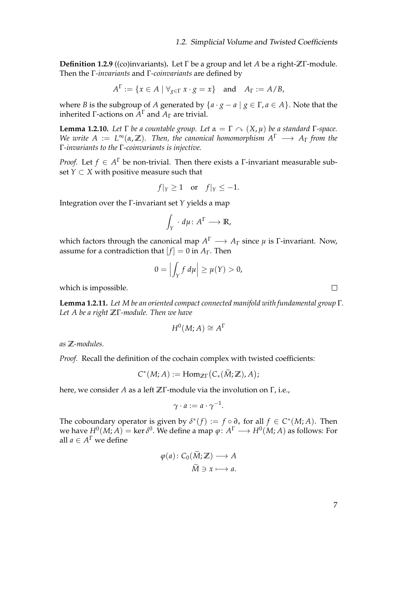**Definition 1.2.9** ((co)invariants)**.** Let Γ be a group and let *A* be a right-**Z**Γ-module. Then the Γ*-invariants* and Γ*-coinvariants* are defined by

$$
A^{\Gamma} := \{ x \in A \mid \forall_{g \in \Gamma} \ x \cdot g = x \} \quad \text{and} \quad A_{\Gamma} := A/B,
$$

where *B* is the subgroup of *A* generated by  $\{a \cdot g - a \mid g \in \Gamma, a \in A\}$ . Note that the inherited Γ-actions on *A* <sup>Γ</sup> and *A*<sup>Γ</sup> are trivial.

<span id="page-18-1"></span>**Lemma 1.2.10.** *Let* Γ *be a countable group. Let*  $\alpha = \Gamma \sim (X, \mu)$  *be a standard* Γ-space. *We write*  $A := L^{\infty}(\alpha, \mathbb{Z})$ . Then, the canonical homomorphism  $A^{\Gamma} \longrightarrow A_{\Gamma}$  from the Γ*-invariants to the* Γ*-coinvariants is injective.*

*Proof.* Let  $f \in A^{\Gamma}$  be non-trivial. Then there exists a *Γ*-invariant measurable subset  $Y \subset X$  with positive measure such that

$$
f|_Y \ge 1
$$
 or  $f|_Y \le -1$ .

Integration over the Γ-invariant set *Y* yields a map

$$
\int_Y \cdot d\mu \colon A^{\Gamma} \longrightarrow \mathbb{R},
$$

which factors through the canonical map  $A^{\Gamma} \longrightarrow A_{\Gamma}$  since  $\mu$  is  $\Gamma$ -invariant. Now, assume for a contradiction that  $[f] = 0$  in  $A_{\Gamma}$ . Then

$$
0=\left|\int_Y f\,d\mu\right|\geq \mu(Y)>0,
$$

which is impossible.

<span id="page-18-0"></span>**Lemma 1.2.11.** *Let M be an oriented compact connected manifold with fundamental group* Γ*. Let A be a right* **Z**Γ*-module. Then we have*

$$
H^0(M;A) \cong A^{\Gamma}
$$

*as* **Z***-modules.*

*Proof.* Recall the definition of the cochain complex with twisted coefficients:

$$
C^*(M;A) := \mathrm{Hom}_{\mathbb{Z}\Gamma}(C_*(\widetilde{M};\mathbb{Z}),A);
$$

here, we consider *A* as a left **Z**Γ-module via the involution on Γ, i.e.,

$$
\gamma \cdot a := a \cdot \gamma^{-1}.
$$

The coboundary operator is given by  $\delta^*(f) := f \circ \partial_*$  for all  $f \in C^*(M; A)$ . Then we have  $H^0(M;A)=\ker\delta^0.$  We define a map  $\varphi\colon A^\Gamma\longrightarrow H^0(M;A)$  as follows: For all  $a \in A^{\Gamma}$  we define

$$
\varphi(a): C_0(\tilde{M}; \mathbb{Z}) \longrightarrow A
$$

$$
\tilde{M} \ni x \longmapsto a.
$$

7

 $\Box$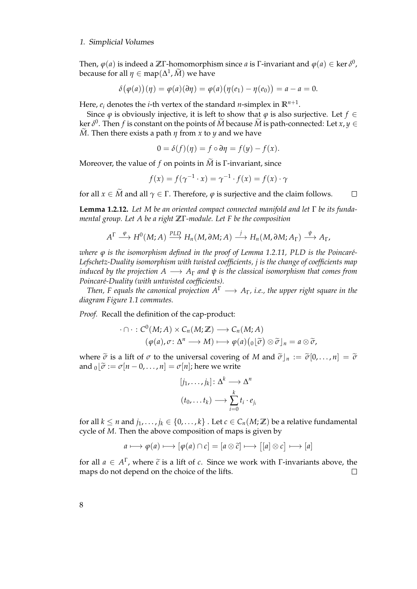Then, *ϕ*(*a*) is indeed a **Z**Γ-homomorphism since *a* is Γ-invariant and *ϕ*(*a*) ∈ ker *δ* 0 , because for all  $\eta \in \mathsf{map}(\Delta^1, \widetilde{M})$  we have

$$
\delta(\varphi(a))(\eta) = \varphi(a)(\partial \eta) = \varphi(a)(\eta(e_1) - \eta(e_0)) = a - a = 0.
$$

Here, *e<sup>i</sup>* denotes the *i*-th vertex of the standard *n*-simplex in **R***n*+<sup>1</sup> .

Since  $\varphi$  is obviously injective, it is left to show that  $\varphi$  is also surjective. Let  $f \in$  $\ker \delta^0$ . Then *f* is constant on the points of  $\widetilde{M}$  because  $\widetilde{M}$  is path-connected: Let  $x, y \in \widetilde{M}$  $\widetilde{M}$ . Then there exists a path  $\eta$  from *x* to *y* and we have

$$
0 = \delta(f)(\eta) = f \circ \partial \eta = f(y) - f(x).
$$

Moreover, the value of *f* on points in  $\tilde{M}$  is  $\Gamma$ -invariant, since

$$
f(x) = f(\gamma^{-1} \cdot x) = \gamma^{-1} \cdot f(x) = f(x) \cdot \gamma
$$

for all  $x \in \tilde{M}$  and all  $\gamma \in \Gamma$ . Therefore,  $\varphi$  is surjective and the claim follows.  $\Box$ 

<span id="page-19-0"></span>**Lemma 1.2.12.** *Let M be an oriented compact connected manifold and let* Γ *be its fundamental group. Let A be a right* **Z**Γ*-module. Let F be the composition*

$$
A^{\Gamma} \stackrel{\varphi}{\longrightarrow} H^0(M;A) \stackrel{PLD}{\longrightarrow} H_n(M,\partial M;A) \stackrel{j}{\longrightarrow} H_n(M,\partial M;A_{\Gamma}) \stackrel{\psi}{\longrightarrow} A_{\Gamma},
$$

*where φ is the isomorphism defined in the proof of Lemma* [1.2.11,](#page-18-0) PLD *is the Poincaré-Lefschetz-Duality isomorphism with twisted coefficients, j is the change of coefficients map induced by the projection*  $A \longrightarrow A_{\Gamma}$  *and*  $\psi$  *is the classical isomorphism that comes from Poincar´e-Duality (with untwisted coefficients).*

*Then, F equals the canonical projection*  $A^{\Gamma} \longrightarrow A_{\Gamma}$ *, i.e., the upper right square in the diagram Figure [1.1](#page-20-1) commutes.*

*Proof.* Recall the definition of the cap-product:

$$
\cdot \cap \cdot : C^0(M;A) \times C_n(M;\mathbb{Z}) \longrightarrow C_n(M;A)
$$

$$
(\varphi(a), \sigma \colon \Delta^n \longrightarrow M) \longmapsto \varphi(a) ({}_0[\widetilde{\sigma}) \otimes \widetilde{\sigma}]_n = a \otimes \widetilde{\sigma},
$$

where  $\tilde{\sigma}$  is a lift of  $\sigma$  to the universal covering of *M* and  $\tilde{\sigma}|_{n} := \tilde{\sigma}[0, \ldots, n] = \tilde{\sigma}$ and  $_0|\tilde{\sigma} := \sigma[n-0,\ldots,n] = \sigma[n]$ ; here we write

$$
[j_1, \ldots, j_k] \colon \Delta^k \longrightarrow \Delta^n
$$

$$
(t_0, \ldots t_k) \longrightarrow \sum_{i=0}^k t_i \cdot e_{j_i}
$$

for all  $k \leq n$  and  $j_1, \ldots, j_k \in \{0, \ldots, k\}$ . Let  $c \in C_n(M; \mathbb{Z})$  be a relative fundamental cycle of *M*. Then the above composition of maps is given by

$$
a \longmapsto \varphi(a) \longmapsto [\varphi(a) \cap c] = [a \otimes \widetilde{c}] \longmapsto [[a] \otimes c] \longmapsto [a]
$$

for all  $a \in A^{\Gamma}$ , where  $\tilde{c}$  is a lift of *c*. Since we work with Γ-invariants above, the maps do not depend on the choice of the lifts.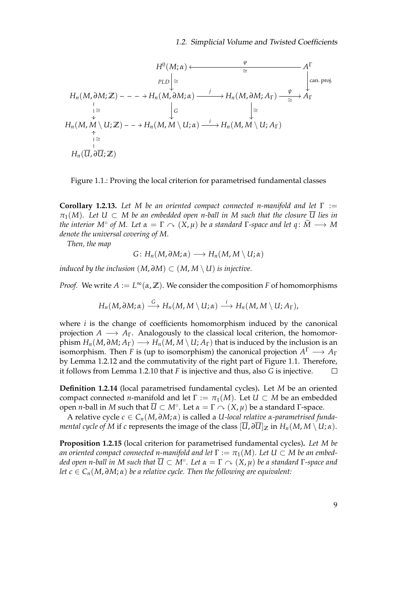$$
H^{0}(M;\alpha) \longleftarrow \qquad \frac{\varphi}{\cong} \qquad A^{\Gamma}
$$
\n
$$
H_{n}(M,\partial M;\mathbb{Z}) \longrightarrow H_{n}(M,\partial M;\alpha) \longrightarrow H_{n}(M,\partial M;A_{\Gamma}) \longrightarrow \frac{\psi}{\cong} A_{\Gamma}
$$
\n
$$
\downarrow \cong \qquad \qquad \downarrow \qquad \qquad \downarrow
$$
\n
$$
H_{n}(M,M \setminus U;\mathbb{Z}) \longrightarrow H_{n}(M,M \setminus U;\alpha) \longrightarrow H_{n}(M,M \setminus U;A_{\Gamma})
$$
\n
$$
\downarrow \cong \qquad \qquad \downarrow
$$
\n
$$
H_{n}(\overline{U},\partial \overline{U};\mathbb{Z})
$$

<span id="page-20-1"></span>Figure 1.1.: Proving the local criterion for parametrised fundamental classes

<span id="page-20-2"></span>**Corollary 1.2.13.** *Let M be an oriented compact connected n-manifold and let* Γ :=  $\pi_1(M)$ *.* Let  $U \subset M$  be an embedded open n-ball in M such that the closure  $\overline{U}$  lies in *the interior*  $M^{\circ}$  *of*  $M$ *. Let*  $\alpha = \Gamma \curvearrowright (X, \mu)$  *be a standard*  $\Gamma$ *-space and let*  $q: \widetilde{M} \longrightarrow M$ *denote the universal covering of M.*

*Then, the map*

$$
G\colon H_n(M,\partial M;\alpha) \mathchoice{\longrightarrow}{\rightarrow}{\rightarrow}{\rightarrow} H_n(M,M\setminus U;\alpha)
$$

*induced by the inclusion*  $(M, \partial M) \subset (M, M \setminus U)$  *is injective.* 

*Proof.* We write  $A := L^{\infty}(\alpha, \mathbb{Z})$ . We consider the composition *F* of homomorphisms

$$
H_n(M, \partial M; \alpha) \stackrel{G}{\longrightarrow} H_n(M, M \setminus U; \alpha) \stackrel{i}{\longrightarrow} H_n(M, M \setminus U; A_\Gamma),
$$

where *i* is the change of coefficients homomorphism induced by the canonical projection  $A \longrightarrow A_{\Gamma}$ . Analogously to the classical local criterion, the homomorphism  $H_n(M, \partial M; A_\Gamma) \longrightarrow H_n(M, M \setminus U; A_\Gamma)$  that is induced by the inclusion is an isomorphism. Then *F* is (up to isomorphism) the canonical projection  $A^{\Gamma} \longrightarrow A_{\Gamma}$ by Lemma [1.2.12](#page-19-0) and the commutativity of the right part of Figure [1.1.](#page-20-1) Therefore, it follows from Lemma [1.2.10](#page-18-1) that *F* is injective and thus, also *G* is injective.

**Definition 1.2.14** (local parametrised fundamental cycles)**.** Let *M* be an oriented compact connected *n*-manifold and let  $\Gamma := \pi_1(M)$ . Let  $U \subset M$  be an embedded open *n*-ball in *M* such that  $\overline{U} \subset M^\circ$ . Let  $\alpha = \Gamma \curvearrowright (X, \mu)$  be a standard Γ-space.

A relative cycle *c* ∈ *Cn*(*M*, *∂M*; *α*) is called a *U-local relative α-parametrised fundamental cycle of M* if *c* represents the image of the class  $[\overline{U}, \partial \overline{U}]_{\mathbb{Z}}$  in  $H_n(M, M \setminus U; \alpha)$ .

<span id="page-20-0"></span>**Proposition 1.2.15** (local criterion for parametrised fundamental cycles)**.** *Let M be an oriented compact connected n-manifold and let*  $\Gamma := \pi_1(M)$ *. Let*  $U \subset M$  *be an embed* $d$ ed open n-ball in M such that  $\overline{U}$  ⊂  $\dot{M}^\circ$ . Let α = Γ  $\curvearrowright$   $(\dot{X}, \dot{\mu})$  be a standard Γ-space and *let*  $c \in C_n(M, \partial M; \alpha)$  *be a relative cycle. Then the following are equivalent:*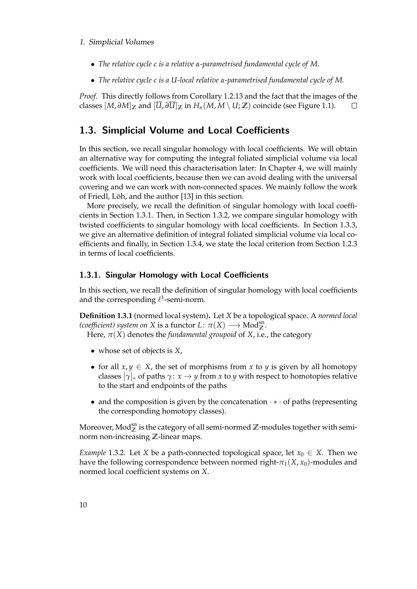- *The relative cycle c is a relative α-parametrised fundamental cycle of M.*
- *The relative cycle c is a U-local relative α-parametrised fundamental cycle of M.*

*Proof.* This directly follows from Corollary [1.2.13](#page-20-2) and the fact that the images of the classes  $[M, \partial M]_{\mathbb{Z}}$  and  $[\overline{U}, \partial \overline{U}]_{\mathbb{Z}}$  in  $H_n(M, M \setminus U; \mathbb{Z})$  coincide (see Figure [1.1\)](#page-20-1).  $\Box$ 

## <span id="page-21-0"></span>1.3. Simplicial Volume and Local Coefficients

In this section, we recall singular homology with local coefficients. We will obtain an alternative way for computing the integral foliated simplicial volume via local coefficients. We will need this characterisation later: In Chapter [4,](#page-44-0) we will mainly work with local coefficients, because then we can avoid dealing with the universal covering and we can work with non-connected spaces. We mainly follow the work of Friedl, Löh, and the author [\[13\]](#page-83-7) in this section.

More precisely, we recall the definition of singular homology with local coefficients in Section [1.3.1.](#page-21-1) Then, in Section [1.3.2,](#page-23-0) we compare singular homology with twisted coefficients to singular homology with local coefficients. In Section [1.3.3,](#page-25-0) we give an alternative definition of integral foliated simplicial volume via local coefficients and finally, in Section [1.3.4,](#page-26-0) we state the local criterion from Section [1.2.3](#page-17-0) in terms of local coefficients.

## <span id="page-21-1"></span>1.3.1. Singular Homology with Local Coefficients

In this section, we recall the definition of singular homology with local coefficients and the corresponding  $\ell^1$ -semi-norm.

**Definition 1.3.1** (normed local system)**.** Let *X* be a topological space. A *normed local*  $(coefficient)$  system on X is a functor  $L: \pi(X) \longrightarrow Mod_{\mathbb{Z}}^{sn}$ .

Here,  $\pi(X)$  denotes the *fundamental groupoid* of *X*, i.e., the category

- whose set of objects is *X*,
- for all  $x, y \in X$ , the set of morphisms from x to y is given by all homotopy classes  $[\gamma]_*$  of paths  $\gamma: x \to y$  from *x* to *y* with respect to homotopies relative to the start and endpoints of the paths
- and the composition is given by the concatenation · ∗ · of paths (representing the corresponding homotopy classes).

Moreover,  $\text{Mod}_{\mathbb{Z}}^{\text{sn}}$  is the category of all semi-normed  $\mathbb{Z}$ -modules together with seminorm non-increasing **Z**-linear maps.

<span id="page-21-2"></span>*Example* 1.3.2*.* Let *X* be a path-connected topological space, let  $x_0 \in X$ . Then we have the following correspondence between normed right- $\pi_1(X, x_0)$ -modules and normed local coefficient systems on *X*.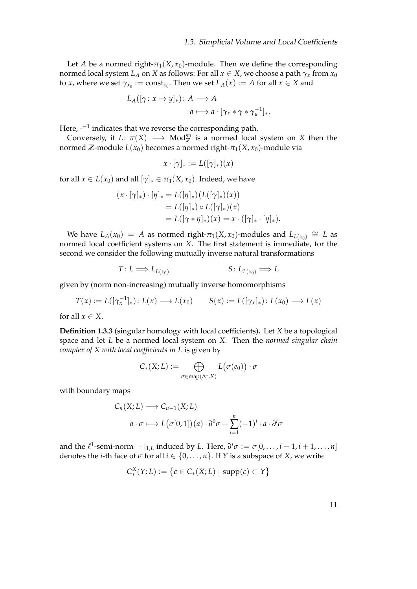Let *A* be a normed right- $\pi_1(X, x_0)$ -module. Then we define the corresponding normed local system *L*<sub>*A*</sub> on *X* as follows: For all  $x \in X$ , we choose a path  $\gamma_x$  from  $x_0$ to *x*, where we set  $\gamma_{x_0} := \text{const}_{x_0}$ . Then we set  $L_A(x) := A$  for all  $x \in X$  and

$$
L_A([\gamma : x \to y]_*) \colon A \longrightarrow A
$$
  

$$
a \longmapsto a \cdot [\gamma_x * \gamma * \gamma_y^{-1}]_*.
$$

Here,  $\cdot^{-1}$  indicates that we reverse the corresponding path.

Conversely, if  $L: \pi(X) \longrightarrow \text{Mod}_{\mathbb{Z}}^{\text{sn}}$  is a normed local system on X then the normed **Z**-module  $L(x_0)$  becomes a normed right- $\pi_1(X, x_0)$ -module via

$$
x \cdot [\gamma]_* := L([\gamma]_*)(x)
$$

for all  $x \in L(x_0)$  and all  $[\gamma]_* \in \pi_1(X, x_0)$ . Indeed, we have

$$
(x \cdot [\gamma]_*) \cdot [\eta]_* = L([\eta]_*)(L([\gamma]_*)(x))
$$
  
= L([\eta]\_\*) \circ L([\gamma]\_\*)(x)  
= L([\gamma \* \eta]\_\*)(x) = x \cdot ([\gamma]\_\* \cdot [\eta]\_\*)

We have  $L_A(x_0) = A$  as normed right- $\pi_1(X, x_0)$ -modules and  $L_{L(x_0)} \cong L$  as normed local coefficient systems on *X*. The first statement is immediate, for the second we consider the following mutually inverse natural transformations

$$
T: L \Longrightarrow L_{L(x_0)} \qquad S: L_{L(x_0)} \Longrightarrow L
$$

given by (norm non-increasing) mutually inverse homomorphisms

$$
T(x) := L([\gamma_x^{-1}]_*) : L(x) \longrightarrow L(x_0) \qquad S(x) := L([\gamma_x]_*) : L(x_0) \longrightarrow L(x)
$$

for all  $x \in X$ .

**Definition 1.3.3** (singular homology with local coefficients)**.** Let *X* be a topological space and let *L* be a normed local system on *X*. Then the *normed singular chain complex of X with local coefficients in L* is given by

$$
C_*(X;L) := \bigoplus_{\sigma \in \text{map}(\Delta^*,X)} L(\sigma(e_0)) \cdot \sigma
$$

with boundary maps

 $\lambda$ 

$$
C_n(X;L) \longrightarrow C_{n-1}(X;L)
$$
  

$$
a \cdot \sigma \longmapsto L(\sigma[0,1])(a) \cdot \partial^0 \sigma + \sum_{i=1}^n (-1)^i \cdot a \cdot \partial^i \sigma
$$

and the  $\ell^1$ -semi-norm  $|\cdot|_{1,L}$  induced by *L*. Here,  $\partial^i \sigma := \sigma[0,\ldots,i-1,i+1,\ldots,n]$ denotes the *i*-th face of  $\sigma$  for all  $i \in \{0, \ldots, n\}$ . If  $Y$  is a subspace of  $X$ , we write

$$
C_*^X(Y;L) := \{c \in C_*(X;L) \mid \text{supp}(c) \subset Y\}
$$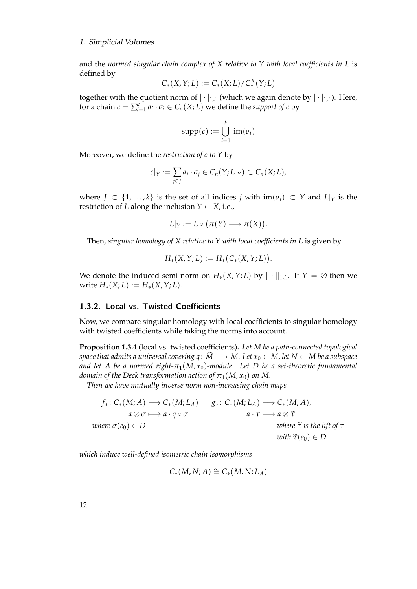and the *normed singular chain complex of X relative to Y with local coefficients in L* is defined by

$$
C_*(X,Y;L) := C_*(X;L)/C_*^X(Y;L)
$$

together with the quotient norm of  $|\cdot|_{1,L}$  (which we again denote by  $|\cdot|_{1,L}$ ). Here, for a chain  $c = \sum_{i=1}^{k} a_i \cdot \sigma_i \in C_n(X; L)$  we define the *support of c* by

$$
\mathrm{supp}(c) := \bigcup_{i=1}^k \mathrm{im}(\sigma_i)
$$

Moreover, we define the *restriction of c to Y* by

$$
c|_Y := \sum_{j \in J} a_j \cdot \sigma_j \in C_n(Y; L|_Y) \subset C_n(X; L),
$$

where  $J \subset \{1, ..., k\}$  is the set of all indices *j* with  $\text{im}(\sigma_j) \subset Y$  and  $L|_Y$  is the restriction of *L* along the inclusion  $Y \subset X$ , i.e.,

$$
L|_Y := L \circ (\pi(Y) \longrightarrow \pi(X)).
$$

Then, *singular homology of X relative to Y with local coefficients in L* is given by

$$
H_*(X,Y;L) := H_*\big(C_*(X,Y;L)\big).
$$

We denote the induced semi-norm on  $H_*(X,Y;L)$  by  $\|\cdot\|_{1,L}$ . If  $Y = \emptyset$  then we  $w$ rite  $H_*(X; L) := H_*(X; Y; L).$ 

## <span id="page-23-0"></span>1.3.2. Local vs. Twisted Coefficients

Now, we compare singular homology with local coefficients to singular homology with twisted coefficients while taking the norms into account.

<span id="page-23-1"></span>**Proposition 1.3.4** (local vs. twisted coefficients)**.** *Let M be a path-connected topological space that admits a universal covering q* :  $\overline{M}$  →  $\overline{M}$ *. Let*  $x_0$   $\in$   $M$ *, let*  $N$   $\subset$   $M$  *be a subspace and let A be a normed right-π*1(*M*, *x*0)*-module. Let D be a set-theoretic fundamental domain of the Deck transformation action of*  $\pi_1(M, x_0)$  *on M*.

*Then we have mutually inverse norm non-increasing chain maps*

$$
f_*\colon C_*(M;A) \longrightarrow C_*(M;L_A) \qquad g_*\colon C_*(M;L_A) \longrightarrow C_*(M;A),
$$
  
\n $a \otimes \sigma \longmapsto a \cdot q \circ \sigma$   $a \cdot \tau \longmapsto a \otimes \tilde{\tau}$   
\nwhere  $\tilde{\tau}$  is the lift of  $\tau$   
\nwith  $\tilde{\tau}(e_0) \in D$ 

*which induce well-defined isometric chain isomorphisms*

$$
C_*(M,N;A)\cong C_*(M,N;L_A)
$$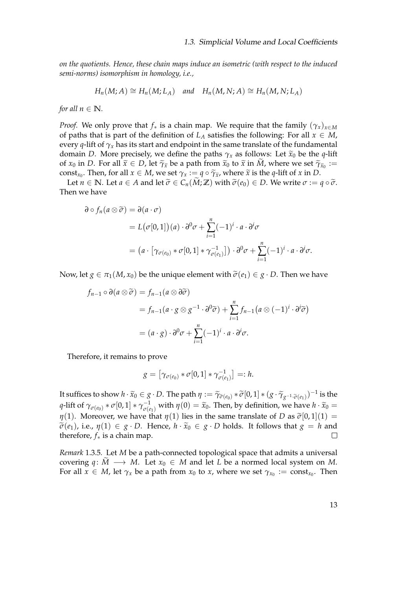*on the quotients. Hence, these chain maps induce an isometric (with respect to the induced semi-norms) isomorphism in homology, i.e.,*

$$
H_n(M;A) \cong H_n(M;L_A) \quad \text{and} \quad H_n(M,N;A) \cong H_n(M,N;L_A)
$$

*for all*  $n \in \mathbb{N}$ *.* 

*Proof.* We only prove that  $f_*$  is a chain map. We require that the family  $(\gamma_x)_{x \in M}$ of paths that is part of the definition of  $L_A$  satisfies the following: For all  $x \in M$ , every *q*-lift of  $\gamma_x$  has its start and endpoint in the same translate of the fundamental domain *D*. More precisely, we define the paths  $\gamma_x$  as follows: Let  $\tilde{x}_0$  be the *q*-lift of *x*<sub>0</sub> in *D*. For all  $\tilde{\chi} \in D$ , let  $\tilde{\gamma}$ <sub>*x*</sub> be a path from  $\tilde{\chi}$ <sub>0</sub> to  $\tilde{\chi}$  in *M*, where we set  $\tilde{\gamma}$ <sub>*x*<sub>0</sub> :=</sub> const<sub>*x*0</sub></sub>. Then, for all  $x \in M$ , we set  $\gamma_x := q \circ \widetilde{\gamma_x}$ , where  $\widetilde{x}$  is the *q*-lift of *x* in *D*.

Let  $n \in \mathbb{N}$ . Let  $a \in A$  and let  $\tilde{\sigma} \in C_n(M;\mathbb{Z})$  with  $\tilde{\sigma}(e_0) \in D$ . We write  $\sigma := q \circ \tilde{\sigma}$ . Then we have

$$
\partial \circ f_n(a \otimes \widetilde{\sigma}) = \partial(a \cdot \sigma)
$$
  
=  $L(\sigma[0, 1])(a) \cdot \partial^0 \sigma + \sum_{i=1}^n (-1)^i \cdot a \cdot \partial^i \sigma$   
=  $(a \cdot [\gamma_{\sigma(e_0)} * \sigma[0, 1] * \gamma_{\sigma(e_1)}^{-1}]) \cdot \partial^0 \sigma + \sum_{i=1}^n (-1)^i \cdot a \cdot \partial^i \sigma.$ 

Now, let  $g \in \pi_1(M, x_0)$  be the unique element with  $\tilde{\sigma}(e_1) \in g \cdot D$ . Then we have

$$
f_{n-1} \circ \partial(a \otimes \widetilde{\sigma}) = f_{n-1}(a \otimes \partial \widetilde{\sigma})
$$
  
=  $f_{n-1}(a \cdot g \otimes g^{-1} \cdot \partial^0 \widetilde{\sigma}) + \sum_{i=1}^n f_{n-1}(a \otimes (-1)^i \cdot \partial^i \widetilde{\sigma})$   
=  $(a \cdot g) \cdot \partial^0 \sigma + \sum_{i=1}^n (-1)^i \cdot a \cdot \partial^i \sigma$ .

Therefore, it remains to prove

$$
g = [\gamma_{\sigma(e_0)} * \sigma[0,1] * \gamma_{\sigma(e_1)}^{-1}] =: h.
$$

It suffices to show  $h \cdot \widetilde{x}_0 \in g \cdot D$ . The path  $\eta := \widetilde{\gamma}_{\widetilde{\sigma}(e_0)} * \widetilde{\sigma}[0,1] * (g \cdot \widetilde{\gamma}_{g^{-1} \cdot \widetilde{\sigma}(e_1)})^{-1}$  is the *q*-lift of  $\gamma_{\sigma(e_0)} * \sigma[0, 1] * \gamma_{\sigma(e_1)}^{-1}$  with  $\eta(0) = \tilde{x}_0$ . Then, by definition, we have  $h \cdot \tilde{x}_0 =$ *η*(1). Moreover, we have that *η*(1) lies in the same translate of *D* as  $\tilde{\sigma}[0,1](1)$  =  $\widetilde{\sigma}(e_1)$ , i.e.,  $\eta(1) \in g \cdot D$ . Hence,  $h \cdot \widetilde{x}_0 \in g \cdot D$  holds. It follows that  $g = h$  and therefore,  $f_*$  is a chain map. therefore, *f*∗ is a chain map.

<span id="page-24-0"></span>*Remark* 1.3.5*.* Let *M* be a path-connected topological space that admits a universal covering  $q: \tilde{M} \longrightarrow M$ . Let  $x_0 \in M$  and let *L* be a normed local system on *M*. For all  $x \in M$ , let  $\gamma_x$  be a path from  $x_0$  to  $x$ , where we set  $\gamma_{x_0} := \text{const}_{x_0}$ . Then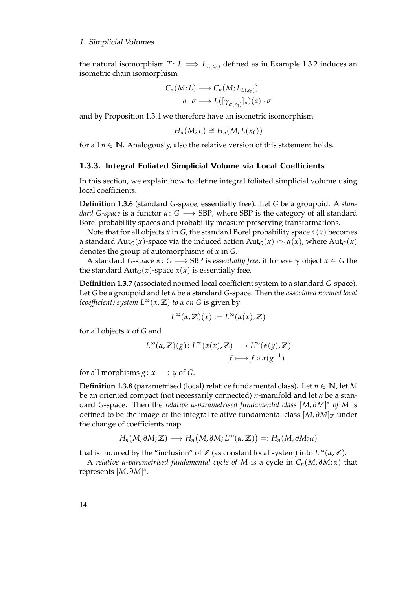the natural isomorphism  $T: L \implies L_{L(x_0)}$  defined as in Example [1.3.2](#page-21-2) induces an isometric chain isomorphism

$$
C_n(M;L) \longrightarrow C_n(M;L_{L(x_0)})
$$

$$
a \cdot \sigma \longmapsto L([\gamma_{\sigma(e_0)}^{-1}]_*)(a) \cdot \sigma
$$

and by Proposition [1.3.4](#page-23-1) we therefore have an isometric isomorphism

$$
H_n(M;L) \cong H_n(M;L(x_0))
$$

for all  $n \in \mathbb{N}$ . Analogously, also the relative version of this statement holds.

### <span id="page-25-0"></span>1.3.3. Integral Foliated Simplicial Volume via Local Coefficients

In this section, we explain how to define integral foliated simplicial volume using local coefficients.

**Definition 1.3.6** (standard *G*-space, essentially free)**.** Let *G* be a groupoid. A *standard G-space* is a functor  $\alpha: G \longrightarrow SBP$ , where SBP is the category of all standard Borel probability spaces and probability measure preserving transformations.

Note that for all objects *x* in *G*, the standard Borel probability space *α*(*x*) becomes a standard Aut<sub>*G*</sub>(*x*)-space via the induced action Aut<sub>*G*</sub>(*x*)  $\sim \alpha(x)$ , where Aut<sub>*G*</sub>(*x*) denotes the group of automorphisms of *x* in *G*.

A standard *G*-space  $\alpha: G \longrightarrow SBP$  is *essentially free*, if for every object  $x \in G$  the the standard  $Aut_G(x)$ -space  $\alpha(x)$  is essentially free.

**Definition 1.3.7** (associated normed local coefficient system to a standard *G*-space)**.** Let *G* be a groupoid and let *α* be a standard *G*-space. Then the *associated normed local (coefficient) system L*∞(*α*, **Z**) *to α on G* is given by

$$
L^{\infty}(\alpha,\mathbb{Z})(x):=L^{\infty}(\alpha(x),\mathbb{Z})
$$

for all objects *x* of *G* and

$$
L^{\infty}(\alpha, \mathbb{Z})(g): L^{\infty}(\alpha(x), \mathbb{Z}) \longrightarrow L^{\infty}(\alpha(y), \mathbb{Z})
$$

$$
f \longmapsto f \circ \alpha(g^{-1})
$$

for all morphisms  $g: x \longrightarrow y$  of *G*.

**Definition 1.3.8** (parametrised (local) relative fundamental class). Let  $n \in \mathbb{N}$ , let *M* be an oriented compact (not necessarily connected) *n*-manifold and let *α* be a standard *G*-space. Then the *relative α-parametrised fundamental class* [*M*, *∂M*] *α of M* is defined to be the image of the integral relative fundamental class  $[M, \partial M]$ <sub>Z</sub> under the change of coefficients map

$$
H_n(M, \partial M; \mathbb{Z}) \longrightarrow H_n(M, \partial M; L^{\infty}(\alpha, \mathbb{Z})) =: H_n(M, \partial M; \alpha)
$$

that is induced by the "inclusion" of  $\mathbb{Z}$  (as constant local system) into  $L^{\infty}(\alpha, \mathbb{Z})$ .

A *relative α-parametrised fundamental cycle of M* is a cycle in *Cn*(*M*, *∂M*; *α*) that represents [*M*, *∂M*] *α* .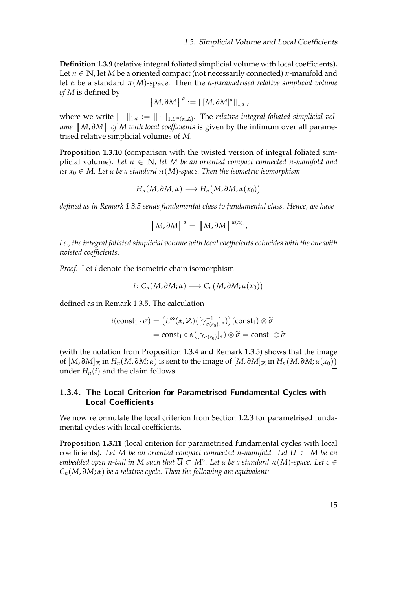**Definition 1.3.9** (relative integral foliated simplicial volume with local coefficients)**.** Let  $n \in \mathbb{N}$ , let *M* be a oriented compact (not necessarily connected) *n*-manifold and let *α* be a standard  $π(M)$ -space. Then the *α*-parametrised relative simplicial volume *of M* is defined by

$$
\left\|M,\partial M\right\|^{\alpha}:=\left\|\left[M,\partial M\right]^{\alpha}\right\|_{1,\alpha},
$$

where we write  $\|\cdot\|_{1,\alpha} := \|\cdot\|_{1,L^\infty(\alpha,\mathbb{Z})}$ . The *relative integral foliated simplicial volume* | *M*, ∂*M* | *of M with local coefficients* is given by the infimum over all parame-<br>trised relative simplicial volumes of *M* trised relative simplicial volumes of *M*.

<span id="page-26-1"></span>**Proposition 1.3.10** (comparison with the twisted version of integral foliated simplicial volume). Let  $n \in \mathbb{N}$ , let M be an oriented compact connected n-manifold and *let*  $x_0 \in M$ . Let  $\alpha$  *be a standard*  $\pi(M)$ -space. Then the isometric isomorphism

$$
H_n(M, \partial M; \alpha) \longrightarrow H_n(M, \partial M; \alpha(x_0))
$$

*defined as in Remark [1.3.5](#page-24-0) sends fundamental class to fundamental class. Hence, we have*

$$
\left[M, \partial M\right]^{\alpha} = \left[M, \partial M\right]^{\alpha(x_0)},
$$

*i.e., the integral foliated simplicial volume with local coefficients coincides with the one with twisted coefficients.*

*Proof.* Let *i* denote the isometric chain isomorphism

$$
i\colon C_n(M,\partial M;\alpha)\longrightarrow C_n(M,\partial M;\alpha(x_0))
$$

defined as in Remark [1.3.5.](#page-24-0) The calculation

$$
i(\text{const}_1 \cdot \sigma) = (L^{\infty}(\alpha, \mathbb{Z})([\gamma_{\sigma(e_0)}^{-1}]_*)) (\text{const}_1) \otimes \widetilde{\sigma}
$$
  
= const<sub>1</sub>  $\circ$   $\alpha([\gamma_{\sigma(e_0)}]_*) \otimes \widetilde{\sigma} = \text{const}_1 \otimes \widetilde{\sigma}$ 

(with the notation from Proposition [1.3.4](#page-23-1) and Remark [1.3.5\)](#page-24-0) shows that the image of  $[M,\partial M]_{\mathbb{Z}}$  in  $H_n(M,\partial M;\alpha)$  is sent to the image of  $[M,\partial M]_{\mathbb{Z}}$  in  $H_n\big(M,\partial M;\alpha(x_0)\big)$ under  $H_n(i)$  and the claim follows.  $\Box$ 

## <span id="page-26-0"></span>1.3.4. The Local Criterion for Parametrised Fundamental Cycles with Local Coefficients

We now reformulate the local criterion from Section [1.2.3](#page-17-0) for parametrised fundamental cycles with local coefficients.

**Proposition 1.3.11** (local criterion for parametrised fundamental cycles with local coefficients). Let M be an oriented compact connected n-manifold. Let  $U \subset M$  be an  $e$ mbedded open n-ball in M such that  $\overline{U} \subset M^\circ.$  Let  $\alpha$  be a standard  $\pi(M)$ -space. Let  $c \in M$ *Cn*(*M*, *∂M*; *α*) *be a relative cycle. Then the following are equivalent:*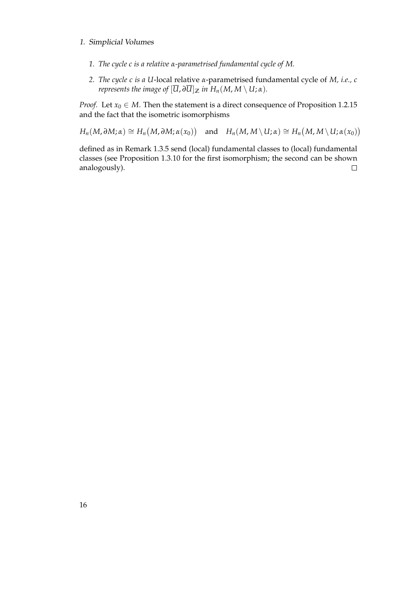- *1. The cycle c is a relative α-parametrised fundamental cycle of M.*
- *2. The cycle c is a U*-local relative *α*-parametrised fundamental cycle of *M, i.e., c represents the image of*  $[\overline{U}, \partial \overline{U}]_{\mathbb{Z}}$  *in*  $H_n(M, M \setminus U; \alpha)$ *.*

*Proof.* Let  $x_0 \in M$ . Then the statement is a direct consequence of Proposition [1.2.15](#page-20-0) and the fact that the isometric isomorphisms

 $H_n(M, \partial M; \alpha) \cong H_n(M, \partial M; \alpha(x_0))$  and  $H_n(M, M \setminus U; \alpha) \cong H_n(M, M \setminus U; \alpha(x_0))$ 

defined as in Remark [1.3.5](#page-24-0) send (local) fundamental classes to (local) fundamental classes (see Proposition [1.3.10](#page-26-1) for the first isomorphism; the second can be shown  $\Box$ analogously).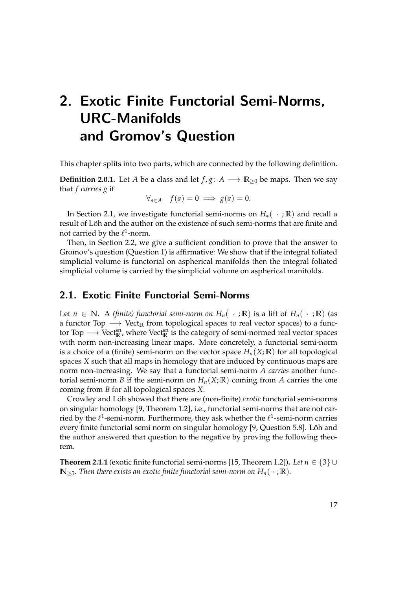# <span id="page-28-0"></span>2. Exotic Finite Functorial Semi-Norms, URC-Manifolds and Gromov's Question

This chapter splits into two parts, which are connected by the following definition.

**Definition 2.0.1.** Let *A* be a class and let  $f$ ,  $g: A \longrightarrow \mathbb{R}_{\geq 0}$  be maps. Then we say that *f carries g* if

$$
\forall_{a \in A} \quad f(a) = 0 \implies g(a) = 0.
$$

In Section [2.1,](#page-28-1) we investigate functorial semi-norms on  $H_*(-;\mathbb{R})$  and recall a result of Löh and the author on the existence of such semi-norms that are finite and not carried by the  $\ell^1$ -norm.

Then, in Section [2.2,](#page-30-1) we give a sufficient condition to prove that the answer to Gromov's question (Question [1\)](#page-3-0) is affirmative: We show that if the integral foliated simplicial volume is functorial on aspherical manifolds then the integral foliated simplicial volume is carried by the simplicial volume on aspherical manifolds.

## <span id="page-28-1"></span>2.1. Exotic Finite Functorial Semi-Norms

Let *n* ∈ **N**. A *(finite) functorial semi-norm on*  $H_n$ ( · ; **R**) is a lift of  $H_n$ ( · ; **R**) (as a functor Top → Vect<sub>R</sub> from topological spaces to real vector spaces) to a functor Top → Vect $_{\mathbb{R}}^{\text{sn}}$ , where Vect $_{\mathbb{R}}^{\text{sn}}$  is the category of semi-normed real vector spaces with norm non-increasing linear maps. More concretely, a functorial semi-norm is a choice of a (finite) semi-norm on the vector space  $H_n(X;\mathbb{R})$  for all topological spaces *X* such that all maps in homology that are induced by continuous maps are norm non-increasing. We say that a functorial semi-norm *A carries* another functorial semi-norm *B* if the semi-norm on  $H_n(X;\mathbb{R})$  coming from *A* carries the one coming from *B* for all topological spaces *X*.

Crowley and Löh showed that there are (non-finite) exotic functorial semi-norms on singular homology [\[9,](#page-82-3) Theorem 1.2], i.e., functorial semi-norms that are not carried by the  $\ell^1$ -semi-norm. Furthermore, they ask whether the  $\ell^1$ -semi-norm carries every finite functorial semi norm on singular homology [\[9,](#page-82-3) Question 5.8]. Löh and the author answered that question to the negative by proving the following theorem.

<span id="page-28-2"></span>**Theorem 2.1.1** (exotic finite functorial semi-norms [\[15,](#page-83-9) Theorem 1.2])**.** *Let n* ∈ {3} ∪  $\mathbb{N}_{>5}$ *. Then there exists an exotic finite functorial semi-norm on*  $H_n(\cdot;\mathbb{R})$ *.*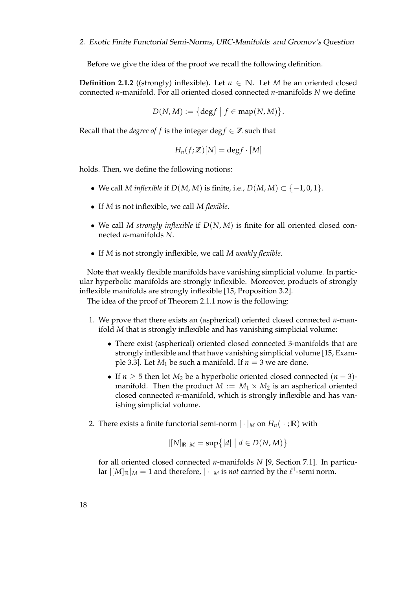Before we give the idea of the proof we recall the following definition.

**Definition 2.1.2** ((strongly) inflexible). Let  $n \in \mathbb{N}$ . Let *M* be an oriented closed connected *n*-manifold. For all oriented closed connected *n*-manifolds *N* we define

$$
D(N, M) := \big\{\deg f \mid f \in \operatorname{map}(N, M)\big\}.
$$

Recall that the *degree of f* is the integer deg  $f \in \mathbb{Z}$  such that

$$
H_n(f;\mathbb{Z})[N] = \text{deg} f \cdot [M]
$$

holds. Then, we define the following notions:

- We call *M* inflexible if  $D(M, M)$  is finite, i.e.,  $D(M, M) \subset \{-1, 0, 1\}$ .
- If *M* is not inflexible, we call *M flexible*.
- We call *M strongly inflexible* if *D*(*N*, *M*) is finite for all oriented closed connected *n*-manifolds *N*.
- If *M* is not strongly inflexible, we call *M weakly flexible*.

Note that weakly flexible manifolds have vanishing simplicial volume. In particular hyperbolic manifolds are strongly inflexible. Moreover, products of strongly inflexible manifolds are strongly inflexible [\[15,](#page-83-9) Proposition 3.2].

The idea of the proof of Theorem [2.1.1](#page-28-2) now is the following:

- 1. We prove that there exists an (aspherical) oriented closed connected *n*-manifold *M* that is strongly inflexible and has vanishing simplicial volume:
	- There exist (aspherical) oriented closed connected 3-manifolds that are strongly inflexible and that have vanishing simplicial volume [\[15,](#page-83-9) Example 3.3]. Let  $M_1$  be such a manifold. If  $n = 3$  we are done.
	- If *n* ≥ 5 then let *M*<sup>2</sup> be a hyperbolic oriented closed connected (*n* − 3) manifold. Then the product  $M := M_1 \times M_2$  is an aspherical oriented closed connected *n*-manifold, which is strongly inflexible and has vanishing simplicial volume.
- 2. There exists a finite functorial semi-norm  $|\cdot|_M$  on  $H_n(\cdot;\mathbb{R})$  with

$$
|[N]_{\mathbb{R}}|_{M} = \sup\{|d| \mid d \in D(N,M)\}
$$

for all oriented closed connected *n*-manifolds *N* [\[9,](#page-82-3) Section 7.1]. In particular  $|[M]_{\mathbb{R}}|_{M}=1$  and therefore,  $|\cdot|_{M}$  is *not* carried by the  $\ell^{1}$ -semi norm.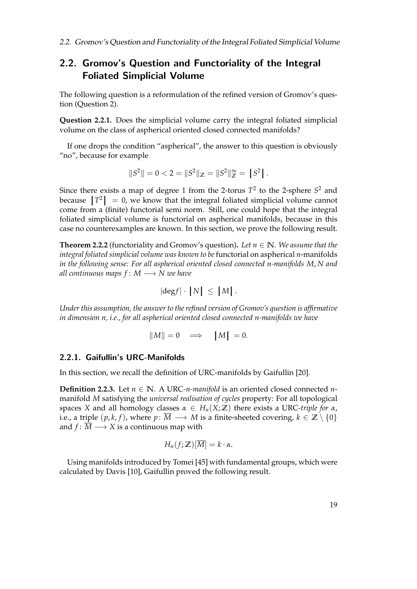## <span id="page-30-1"></span>2.2. Gromov's Question and Functoriality of the Integral Foliated Simplicial Volume

The following question is a reformulation of the refined version of Gromov's question (Question [2\)](#page-4-0).

**Question 2.2.1.** Does the simplicial volume carry the integral foliated simplicial volume on the class of aspherical oriented closed connected manifolds?

If one drops the condition "aspherical", the answer to this question is obviously "no", because for example

$$
||S2|| = 0 < 2 = ||S2||\mathbb{Z} = ||S2||\mathbb{Z\infty = |S2|.
$$

Since there exists a map of degree 1 from the 2-torus  $T^2$  to the 2-sphere  $S^2$  and because  $|T^2| = 0$ , we know that the integral foliated simplicial volume cannot come from a (finite) functorial semi norm. Still, one could hope that the integral foliated simplicial volume is functorial on aspherical manifolds, because in this case no counterexamples are known. In this section, we prove the following result.

<span id="page-30-0"></span>**Theorem 2.2.2** (functoriality and Gromov's question). Let  $n \in \mathbb{N}$ *. We assume that the integral foliated simplicial volume was known to be* functorial on aspherical *n*-manifolds *in the following sense: For all aspherical oriented closed connected n-manifolds M*, *N and all continuous maps f* : *M* −→ *N we have*

$$
|\text{deg} f| \cdot |N| \leq |M|.
$$

*Under this assumption, the answer to the refined version of Gromov's question is affirmative in dimension n, i.e., for all aspherical oriented closed connected n-manifolds we have*

$$
||M|| = 0 \implies |M| = 0.
$$

## <span id="page-30-2"></span>2.2.1. Gaifullin's URC-Manifolds

In this section, we recall the definition of URC-manifolds by Gaifullin [\[20\]](#page-83-10).

**Definition 2.2.3.** Let  $n \in \mathbb{N}$ . A URC-*n-manifold* is an oriented closed connected *n*manifold *M* satisfying the *universal realisation of cycles* property: For all topological spaces *X* and all homology classes  $\alpha \in H_n(X;\mathbb{Z})$  there exists a URC-triple for  $\alpha$ , i.e., a triple  $(p, k, f)$ , where  $p: \overline{M} \longrightarrow M$  is a finite-sheeted covering,  $k \in \mathbb{Z} \setminus \{0\}$ and  $f: \overline{M} \longrightarrow X$  is a continuous map with

$$
H_n(f;\mathbb{Z})[\overline{M}] = k \cdot \alpha.
$$

Using manifolds introduced by Tomei [\[45\]](#page-85-4) with fundamental groups, which were calculated by Davis [\[10\]](#page-82-4), Gaifullin proved the following result.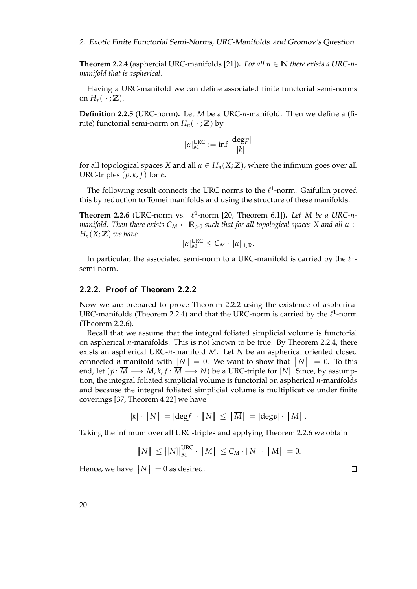<span id="page-31-1"></span>**Theorem 2.2.4** (asphercial URC-manifolds [\[21\]](#page-83-11)). *For all*  $n \in \mathbb{N}$  *there exists a URC-nmanifold that is aspherical.*

Having a URC-manifold we can define associated finite functorial semi-norms on  $H_*(\cdot;\mathbb{Z})$ .

**Definition 2.2.5** (URC-norm)**.** Let *M* be a URC-*n*-manifold. Then we define a (finite) functorial semi-norm on  $H_n(\cdot;\mathbb{Z})$  by

$$
|\alpha|_M^{\text{URC}} := \inf \frac{|\text{deg} p|}{|k|}
$$

for all topological spaces *X* and all  $\alpha \in H_n(X;\mathbb{Z})$ , where the infimum goes over all URC-triples  $(p, k, f)$  for  $\alpha$ .

The following result connects the URC norms to the  $\ell^1$ -norm. Gaifullin proved this by reduction to Tomei manifolds and using the structure of these manifolds.

<span id="page-31-2"></span>**Theorem 2.2.6** (URC-norm vs.  $\ell^1$ -norm [\[20,](#page-83-10) Theorem 6.1]). Let M be a URC-n*manifold. Then there exists C<sup>M</sup>* ∈ **R**><sup>0</sup> *such that for all topological spaces X and all α* ∈  $H_n(X;\mathbb{Z})$  *we have* 

$$
|\alpha|_M^{\text{URC}} \leq C_M \cdot ||\alpha||_{1,\mathbb{R}}.
$$

In particular, the associated semi-norm to a URC-manifold is carried by the  $\ell^1$ semi-norm.

### <span id="page-31-0"></span>2.2.2. Proof of Theorem [2.2.2](#page-30-0)

Now we are prepared to prove Theorem [2.2.2](#page-30-0) using the existence of aspherical URC-manifolds (Theorem [2.2.4\)](#page-31-1) and that the URC-norm is carried by the  $\ell^1$ -norm (Theorem [2.2.6\)](#page-31-2).

Recall that we assume that the integral foliated simplicial volume is functorial on aspherical *n*-manifolds. This is not known to be true! By Theorem [2.2.4,](#page-31-1) there exists an aspherical URC-*n*-manifold *M*. Let *N* be an aspherical oriented closed connected *n*-manifold with  $||N|| = 0$ . We want to show that  $|N| = 0$ . To this end, let  $(p: \overline{M} \longrightarrow M, k, f: \overline{M} \longrightarrow N)$  be a URC-triple for [*N*]. Since, by assumption, the integral foliated simplicial volume is functorial on aspherical *n*-manifolds and because the integral foliated simplicial volume is multiplicative under finite coverings [\[37,](#page-84-4) Theorem 4.22] we have

$$
|k| \cdot |N| = |\text{deg } f| \cdot |N| \leq |\overline{M}| = |\text{deg } p| \cdot |M|.
$$

Taking the infimum over all URC-triples and applying Theorem [2.2.6](#page-31-2) we obtain

$$
|N| \leq |[N]|_M^{\text{URC}} \cdot |M| \leq C_M \cdot ||N|| \cdot |M| = 0.
$$

Hence, we have  $|N| = 0$  as desired.

 $\Box$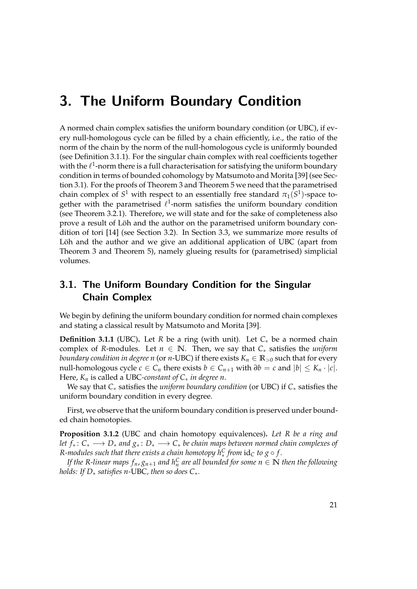## <span id="page-32-0"></span>3. The Uniform Boundary Condition

A normed chain complex satisfies the uniform boundary condition (or UBC), if every null-homologous cycle can be filled by a chain efficiently, i.e., the ratio of the norm of the chain by the norm of the null-homologous cycle is uniformly bounded (see Definition [3.1.1\)](#page-32-2). For the singular chain complex with real coefficients together with the  $\ell^1$ -norm there is a full characterisation for satisfying the uniform boundary condition in terms of bounded cohomology by Matsumoto and Morita [\[39\]](#page-84-5) (see Section [3.1\)](#page-32-1). For the proofs of Theorem [3](#page-5-0) and Theorem [5](#page-6-0) we need that the parametrised chain complex of  $S^1$  with respect to an essentially free standard  $\pi_1(S^1)$ -space together with the parametrised  $\ell^1$ -norm satisfies the uniform boundary condition (see Theorem [3.2.1\)](#page-33-1). Therefore, we will state and for the sake of completeness also prove a result of Löh and the author on the parametrised uniform boundary condition of tori [\[14\]](#page-83-8) (see Section [3.2\)](#page-33-0). In Section [3.3,](#page-39-0) we summarize more results of Löh and the author and we give an additional application of UBC (apart from Theorem [3](#page-5-0) and Theorem [5\)](#page-6-0), namely glueing results for (parametrised) simplicial volumes.

## <span id="page-32-1"></span>3.1. The Uniform Boundary Condition for the Singular Chain Complex

We begin by defining the uniform boundary condition for normed chain complexes and stating a classical result by Matsumoto and Morita [\[39\]](#page-84-5).

<span id="page-32-2"></span>**Definition 3.1.1** (UBC)**.** Let *R* be a ring (with unit). Let *C*∗ be a normed chain complex of *R*-modules. Let  $n \in \mathbb{N}$ . Then, we say that  $C_*$  satisfies the *uniform boundary condition in degree n* (or *n*-UBC) if there exists  $K_n \in \mathbb{R}_{>0}$  such that for every null-homologous cycle  $c \in C_n$  there exists  $b \in C_{n+1}$  with  $\partial b = c$  and  $|b| \leq K_n \cdot |c|$ . Here, *K<sup>n</sup>* is called a UBC*-constant of C*∗ *in degree n*.

We say that *C*∗ satisfies the *uniform boundary condition* (or UBC) if *C*∗ satisfies the uniform boundary condition in every degree.

First, we observe that the uniform boundary condition is preserved under bounded chain homotopies.

**Proposition 3.1.2** (UBC and chain homotopy equivalences)**.** *Let R be a ring and let f*<sup>∗</sup> : *C*<sup>∗</sup> −→ *D*<sup>∗</sup> *and g*<sup>∗</sup> : *D*<sup>∗</sup> −→ *C*<sup>∗</sup> *be chain maps between normed chain complexes of R-modules such that there exists a chain homotopy*  $h_*^C$  *from*  $\mathrm{id}_C$  *to*  $g \circ f.$ 

*If the R-linear maps*  $f_n$ *,*  $g_{n+1}$  *and*  $h_n^C$  *are all bounded for some*  $n \in \mathbb{N}$  *then the following holds: If D*∗ *satisfies n-*UBC*, then so does C*∗*.*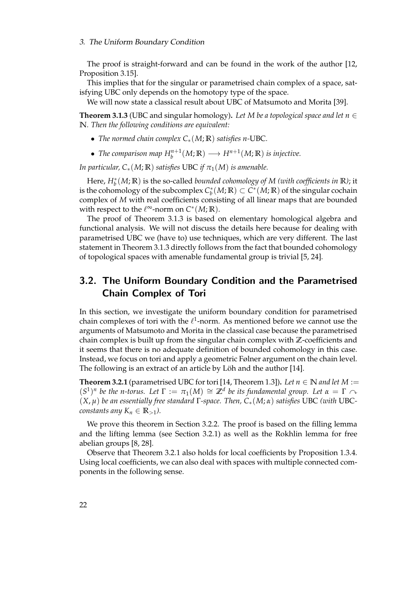The proof is straight-forward and can be found in the work of the author [\[12,](#page-83-6) Proposition 3.15].

This implies that for the singular or parametrised chain complex of a space, satisfying UBC only depends on the homotopy type of the space.

We will now state a classical result about UBC of Matsumoto and Morita [\[39\]](#page-84-5).

<span id="page-33-2"></span>**Theorem 3.1.3** (UBC and singular homology). Let M be a topological space and let  $n \in \mathbb{Z}$ **N***. Then the following conditions are equivalent:*

- *The normed chain complex C*∗(*M*; **R**) *satisfies n-*UBC*.*
- *The comparison map*  $H_b^{n+1}(M; \mathbb{R}) \longrightarrow H^{n+1}(M; \mathbb{R})$  *is injective.*

*In particular,*  $C_*(M; \mathbb{R})$  *satisfies* UBC *if*  $\pi_1(M)$  *is amenable.* 

Here, *H*<sup>∗</sup> *b* (*M*; **R**) is the so-called *bounded cohomology of M (with coefficients in* **R***)*; it is the cohomology of the subcomplex  $C_b^*(M;\mathbb{R}) \subset C^*(M;\mathbb{R})$  of the singular cochain complex of *M* with real coefficients consisting of all linear maps that are bounded with respect to the  $\ell^{\infty}$ -norm on  $C^*(M;\mathbb{R})$ .

The proof of Theorem [3.1.3](#page-33-2) is based on elementary homological algebra and functional analysis. We will not discuss the details here because for dealing with parametrised UBC we (have to) use techniques, which are very different. The last statement in Theorem [3.1.3](#page-33-2) directly follows from the fact that bounded cohomology of topological spaces with amenable fundamental group is trivial [\[5,](#page-82-5) [24\]](#page-83-0).

## <span id="page-33-0"></span>3.2. The Uniform Boundary Condition and the Parametrised Chain Complex of Tori

In this section, we investigate the uniform boundary condition for parametrised chain complexes of tori with the  $\ell^1$ -norm. As mentioned before we cannot use the arguments of Matsumoto and Morita in the classical case because the parametrised chain complex is built up from the singular chain complex with **Z**-coefficients and it seems that there is no adequate definition of bounded cohomology in this case. Instead, we focus on tori and apply a geometric Følner argument on the chain level. The following is an extract of an article by Löh and the author [\[14\]](#page-83-8).

<span id="page-33-1"></span>**Theorem 3.2.1** (parametrised UBC for tori [\[14,](#page-83-8) Theorem 1.3]). Let  $n \in \mathbb{N}$  and let  $M :=$  $(S^1)^n$  be the n-torus. Let  $\Gamma := \pi_1(M) \cong \mathbb{Z}^d$  be its fundamental group. Let  $\alpha = \Gamma \cap \mathbb{Z}^d$ (*X*, *µ*) *be an essentially free standard* Γ*-space. Then, C*∗(*M*; *α*) *satisfies* UBC *(with* UBC*constants any*  $K_n \in \mathbb{R}_{>1}$ ).

We prove this theorem in Section [3.2.2.](#page-36-0) The proof is based on the filling lemma and the lifting lemma (see Section [3.2.1\)](#page-34-0) as well as the Rokhlin lemma for free abelian groups [\[8,](#page-82-6) [28\]](#page-84-7).

Observe that Theorem [3.2.1](#page-33-1) also holds for local coefficients by Proposition [1.3.4.](#page-23-1) Using local coefficients, we can also deal with spaces with multiple connected components in the following sense.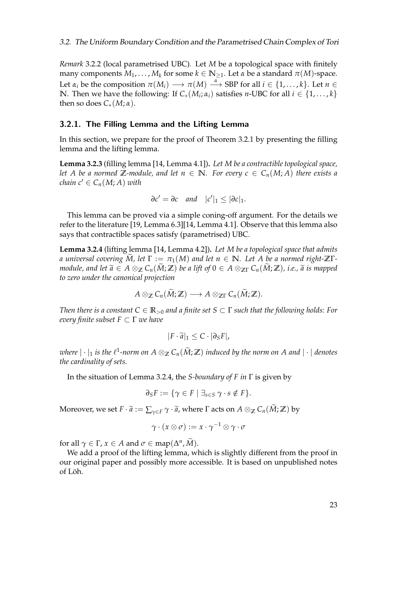*Remark* 3.2.2 (local parametrised UBC)*.* Let *M* be a topological space with finitely  $m$ any components  $M_1, \ldots, M_k$  for some  $k \in \mathbb{N}_{\geq 1}$ . Let  $\alpha$  be a standard  $\pi(M)$ -space. Let  $\alpha_i$  be the composition  $\pi(M_i) \longrightarrow \pi(M) \stackrel{\alpha}{\longrightarrow} SBP$  for all  $i \in \{1, \ldots, k\}$ . Let  $n \in$ **N**. Then we have the following: If  $C_*(M_i; \alpha_i)$  satisfies *n*-UBC for all  $i \in \{1, ..., k\}$ then so does  $C_*(M; \alpha)$ .

#### <span id="page-34-0"></span>3.2.1. The Filling Lemma and the Lifting Lemma

In this section, we prepare for the proof of Theorem [3.2.1](#page-33-1) by presenting the filling lemma and the lifting lemma.

**Lemma 3.2.3** (filling lemma [\[14,](#page-83-8) Lemma 4.1])**.** *Let M be a contractible topological space, let A* be a normed  $\mathbb{Z}$ -module, and let  $n \in \mathbb{N}$ . For every  $c \in C_n(M; A)$  there exists a *chain*  $c' \in C_n(M; A)$  *with* 

$$
\partial c' = \partial c \quad and \quad |c'|_1 \leq |\partial c|_1.
$$

This lemma can be proved via a simple coning-off argument. For the details we refer to the literature [\[19,](#page-83-5) Lemma 6.3][\[14,](#page-83-8) Lemma 4.1]. Observe that this lemma also says that contractible spaces satisfy (parametrised) UBC.

<span id="page-34-1"></span>**Lemma 3.2.4** (lifting lemma [\[14,](#page-83-8) Lemma 4.2])**.** *Let M be a topological space that admits a* universal covering  $\widetilde{M}$ , let  $\Gamma := \pi_1(M)$  and let  $n \in \mathbb{N}$ . Let A be a normed right- $\mathbb{Z}\Gamma$ *module, and let*  $\widetilde{a} \in A \otimes_{\mathbb{Z}} C_n(M;\mathbb{Z})$  *be a lift of*  $0 \in A \otimes_{\mathbb{Z}} C_n(M;\mathbb{Z})$ *, i.e.,*  $\widetilde{a}$  *is mapped to zero under the canonical projection*

$$
A\otimes_{\mathbb{Z}}C_n(\widetilde{M};\mathbb{Z})\longrightarrow A\otimes_{\mathbb{Z}\Gamma}C_n(\widetilde{M};\mathbb{Z}).
$$

*Then there is a constant*  $C \in \mathbb{R}_{\geq 0}$  *and a finite set*  $S \subset \Gamma$  *such that the following holds: For every finite subset F* ⊂ Γ *we have*

$$
|F\cdot \widetilde{a}|_1\leq C\cdot |\partial_S F|,
$$

*where*  $|\cdot|_1$  *is the*  $\ell^1$ -norm on  $A \otimes_{\mathbb{Z}} C_n(\widetilde{M}; \mathbb{Z})$  *induced by the norm on A and*  $|\cdot|$  *denotes the cardinality of sets.*

In the situation of Lemma [3.2.4,](#page-34-1) the *S-boundary of F in* Γ is given by

$$
\partial_S F := \{ \gamma \in F \mid \exists_{s \in S} \ \gamma \cdot s \notin F \}.
$$

Moreover, we set  $F \cdot \widetilde{a} := \sum_{\gamma \in F} \gamma \cdot \widetilde{a}$ , where  $\Gamma$  acts on  $A \otimes_{\mathbb{Z}} C_n(\widetilde{M}; \mathbb{Z})$  by

$$
\gamma\cdot(x\otimes\sigma):=x\cdot\gamma^{-1}\otimes\gamma\cdot\sigma
$$

for all  $\gamma \in \Gamma$ ,  $x \in A$  and  $\sigma \in \text{map}(\Delta^n, \tilde{M})$ .

We add a proof of the lifting lemma, which is slightly different from the proof in our original paper and possibly more accessible. It is based on unpublished notes of Löh.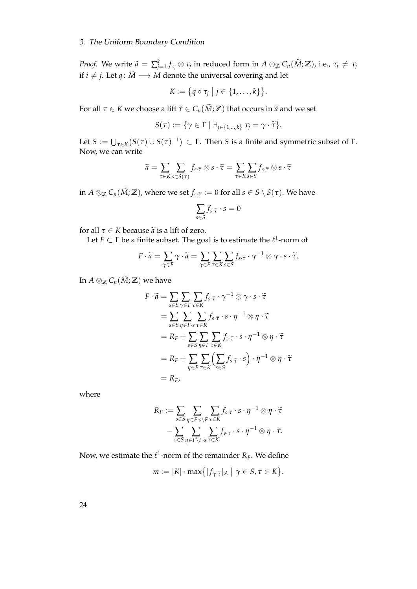## 3. The Uniform Boundary Condition

*Proof.* We write  $\widetilde{a} = \sum_{j=1}^{k} f_{\tau_j} \otimes \tau_j$  in reduced form in  $A \otimes_{\mathbb{Z}} C_n(\widetilde{M}; \mathbb{Z})$ , i.e.,  $\tau_i \neq \tau_j$ if *i* ≠ *j*. Let *q* :  $\widetilde{M}$  →  $\widetilde{M}$  denote the universal covering and let

$$
K:=\big\{q\circ\tau_j\;\big|\;j\in\{1,\ldots,k\}\big\}.
$$

For all  $\tau \in K$  we choose a lift  $\tilde{\tau} \in C_n(\tilde{M}; \mathbb{Z})$  that occurs in  $\tilde{a}$  and we set

$$
S(\tau) := \{ \gamma \in \Gamma \mid \exists_{j \in \{1,\dots,k\}} \tau_j = \gamma \cdot \widetilde{\tau} \}.
$$

Let  $S := \bigcup_{\tau \in K} (S(\tau) \cup S(\tau)^{-1}) \subset \Gamma$ . Then *S* is a finite and symmetric subset of  $\Gamma$ . Now, we can write

$$
\widetilde{a} = \sum_{\tau \in K} \sum_{s \in S(\tau)} f_s \cdot \widetilde{\tau} \otimes s \cdot \widetilde{\tau} = \sum_{\tau \in K} \sum_{s \in S} f_s \cdot \widetilde{\tau} \otimes s \cdot \widetilde{\tau}
$$

in  $A \otimes_{\mathbb{Z}} C_n(\widetilde{M}; \mathbb{Z})$ , where we set  $f_s \tilde{\tau} := 0$  for all  $s \in S \setminus S(\tau)$ . We have

$$
\sum_{s\in S} f_{s\cdot \widetilde{\tau}}\cdot s=0
$$

for all  $\tau \in K$  because  $\tilde{a}$  is a lift of zero.

Let  $F \subset \Gamma$  be a finite subset. The goal is to estimate the  $\ell^1$ -norm of

$$
F \cdot \widetilde{a} = \sum_{\gamma \in F} \gamma \cdot \widetilde{a} = \sum_{\gamma \in F} \sum_{\tau \in K} \sum_{s \in S} f_{s \cdot \widetilde{\tau}} \cdot \gamma^{-1} \otimes \gamma \cdot s \cdot \widetilde{\tau}.
$$

In  $A \otimes_{\mathbb{Z}} C_n(\widetilde{M}; \mathbb{Z})$  we have

$$
F \cdot \widetilde{a} = \sum_{s \in S} \sum_{\gamma \in F} \sum_{\tau \in K} f_s \cdot \widetilde{\tau} \cdot \gamma^{-1} \otimes \gamma \cdot s \cdot \widetilde{\tau}
$$
  
\n
$$
= \sum_{s \in S} \sum_{\eta \in F} \sum_{s \tau \in K} f_s \cdot \widetilde{\tau} \cdot s \cdot \eta^{-1} \otimes \eta \cdot \widetilde{\tau}
$$
  
\n
$$
= R_F + \sum_{s \in S} \sum_{\eta \in F} \sum_{\tau \in K} f_s \cdot \widetilde{\tau} \cdot s \cdot \eta^{-1} \otimes \eta \cdot \widetilde{\tau}
$$
  
\n
$$
= R_F + \sum_{\eta \in F} \sum_{\tau \in K} \left( \sum_{s \in S} f_s \cdot \widetilde{\tau} \cdot s \right) \cdot \eta^{-1} \otimes \eta \cdot \widetilde{\tau}
$$
  
\n
$$
= R_F,
$$

where

$$
R_F := \sum_{s \in S} \sum_{\eta \in F \cdot s \backslash F} \sum_{\tau \in K} f_s \cdot \tilde{\tau} \cdot s \cdot \eta^{-1} \otimes \eta \cdot \tilde{\tau} - \sum_{s \in S} \sum_{\eta \in F \backslash F \cdot s} \sum_{\tau \in K} f_s \cdot \tilde{\tau} \cdot s \cdot \eta^{-1} \otimes \eta \cdot \tilde{\tau}.
$$

Now, we estimate the  $\ell^1$ -norm of the remainder  $R_F$ . We define

$$
m := |K| \cdot \max\{|f_\gamma \cdot \tilde{\tau}|_A \mid \gamma \in S, \tau \in K\}.
$$

24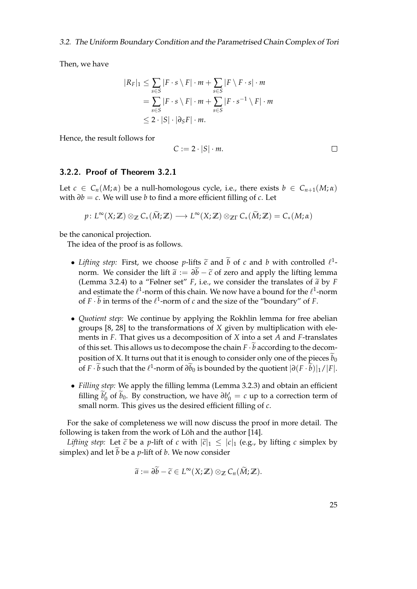Then, we have

$$
|R_F|_1 \leq \sum_{s \in S} |F \cdot s \setminus F| \cdot m + \sum_{s \in S} |F \setminus F \cdot s| \cdot m
$$
  
= 
$$
\sum_{s \in S} |F \cdot s \setminus F| \cdot m + \sum_{s \in S} |F \cdot s^{-1} \setminus F| \cdot m
$$
  

$$
\leq 2 \cdot |S| \cdot |\partial_S F| \cdot m.
$$

Hence, the result follows for

$$
C := 2 \cdot |S| \cdot m.
$$

#### 3.2.2. Proof of Theorem [3.2.1](#page-33-0)

Let  $c \in C_n(M;\alpha)$  be a null-homologous cycle, i.e., there exists  $b \in C_{n+1}(M;\alpha)$ with *∂b* = *c*. We will use *b* to find a more efficient filling of *c*. Let

 $p: L^{\infty}(X; \mathbb{Z}) \otimes_{\mathbb{Z}} C_*(\widetilde{M}; \mathbb{Z}) \longrightarrow L^{\infty}(X; \mathbb{Z}) \otimes_{\mathbb{Z}\Gamma} C_*(\widetilde{M}; \mathbb{Z}) = C_*(M; \alpha)$ 

be the canonical projection.

The idea of the proof is as follows.

- *Lifting step:* First, we choose *p*-lifts  $\tilde{c}$  and *b* of *c* and *b* with controlled  $l^1$ -<br>- name,  $M_2$  consider the lift  $\tilde{c}$ ,  $\tilde{M}$ ,  $\tilde{c}$  f gave and evaluable lifting layours norm. We consider the lift  $\tilde{a} := \partial \tilde{b} - \tilde{c}$  of zero and apply the lifting lemma (Lemma [3.2.4\)](#page-34-0) to a "Følner set"  $F$ , i.e., we consider the translates of  $\tilde{a}$  by  $F$ and estimate the  $\ell^1$ -norm of this chain. We now have a bound for the  $\ell^1$ -norm of  $F \cdot \bar{b}$  in terms of the  $\ell^1$ -norm of *c* and the size of the "boundary" of *F*.
- *Quotient step:* We continue by applying the Rokhlin lemma for free abelian groups [\[8,](#page-82-0) [28\]](#page-84-0) to the transformations of *X* given by multiplication with elements in *F*. That gives us a decomposition of *X* into a set *A* and *F*-translates of this set. This allows us to decompose the chain  $F \cdot \overline{b}$  according to the decomposition of X. It turns out that it is enough to consider only one of the pieces  $b_0$ of *F*  $\cdot$  *b* such that the  $\ell^1$ -norm of  $\partial b_0$  is bounded by the quotient  $|\partial (F \cdot b)|_1 / |F|$ .
- *Filling step:* We apply the filling lemma (Lemma [3.2.3\)](#page-34-1) and obtain an efficient filling  $\widetilde{b}_0$  of  $\widetilde{b}_0$ . By construction, we have  $\partial b_0' = c$  up to a correction term of small norm. This gives us the desired efficient filling of *c*.

For the sake of completeness we will now discuss the proof in more detail. The following is taken from the work of Löh and the author  $[14]$ .

*Lifting step:* Let  $\tilde{c}$  be a *p*-lift of *c* with  $|\tilde{c}|_1 \leq |c|_1$  (e.g., by lifting *c* simplex by simplex) and let *b* be a *p*-lift of *b*. We now consider

$$
\widetilde{a}:=\partial\widetilde{b}-\widetilde{c}\in L^{\infty}(X;\mathbb{Z})\otimes_{\mathbb{Z}}C_n(\widetilde{M};\mathbb{Z}).
$$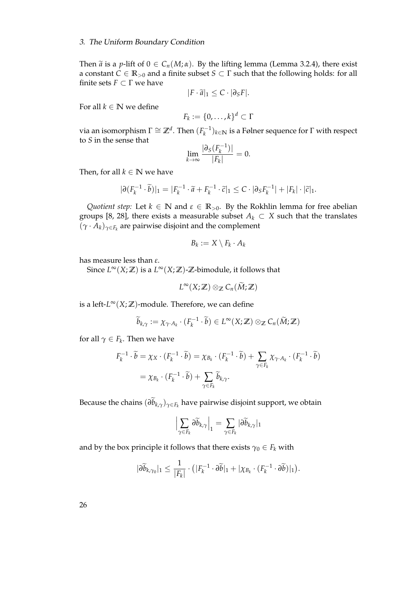#### 3. The Uniform Boundary Condition

Then  $\tilde{a}$  is a *p*-lift of  $0 \in C_n(M;\alpha)$ . By the lifting lemma (Lemma [3.2.4\)](#page-34-0), there exist a constant  $C \in \mathbb{R}_{>0}$  and a finite subset  $S \subset \Gamma$  such that the following holds: for all finite sets  $F \subset \Gamma$  we have

$$
|F \cdot \widetilde{a}|_1 \leq C \cdot |\partial_S F|.
$$

For all  $k \in \mathbb{N}$  we define

$$
F_k := \{0, \ldots, k\}^d \subset \Gamma
$$

via an isomorphism  $\Gamma \cong \mathbb{Z}^d$ . Then  $(F_k^{-1})$  $(k<sup>i-1</sup>)<sub>k∈N</sub>$  is a Følner sequence for Γ with respect to *S* in the sense that

$$
\lim_{k \to \infty} \frac{|\partial_S(F_k^{-1})|}{|F_k|} = 0.
$$

Then, for all  $k \in \mathbb{N}$  we have

$$
|\partial (F_k^{-1} \cdot \widetilde{b})|_1 = |F_k^{-1} \cdot \widetilde{a} + F_k^{-1} \cdot \widetilde{c}|_1 \leq C \cdot |\partial_S F_k^{-1}| + |F_k| \cdot |\widetilde{c}|_1.
$$

*Quotient step:* Let  $k \in \mathbb{N}$  and  $\epsilon \in \mathbb{R}_{>0}$ . By the Rokhlin lemma for free abelian groups [\[8,](#page-82-0) [28\]](#page-84-0), there exists a measurable subset  $A_k \subset X$  such that the translates  $(\gamma \cdot A_k)_{\gamma \in F_k}$  are pairwise disjoint and the complement

$$
B_k := X \setminus F_k \cdot A_k
$$

has measure less than *ε*.

Since  $L^\infty(X;\mathbb{Z})$  is a  $L^\infty(X;\mathbb{Z})$ - $\mathbb{Z}$ -bimodule, it follows that

$$
L^{\infty}(X;\mathbb{Z})\otimes_{\mathbb{Z}}C_n(\widetilde{M};\mathbb{Z})
$$

is a left- $L^{\infty}(X;\mathbb{Z})$ -module. Therefore, we can define

$$
\widetilde{b}_{k,\gamma} := \chi_{\gamma \cdot A_k} \cdot (F_k^{-1} \cdot \widetilde{b}) \in L^{\infty}(X; \mathbb{Z}) \otimes_{\mathbb{Z}} C_n(\widetilde{M}; \mathbb{Z})
$$

for all  $\gamma \in F_k$ . Then we have

$$
F_k^{-1} \cdot \widetilde{b} = \chi_X \cdot (F_k^{-1} \cdot \widetilde{b}) = \chi_{B_k} \cdot (F_k^{-1} \cdot \widetilde{b}) + \sum_{\gamma \in F_k} \chi_{\gamma \cdot A_k} \cdot (F_k^{-1} \cdot \widetilde{b})
$$
  
=  $\chi_{B_k} \cdot (F_k^{-1} \cdot \widetilde{b}) + \sum_{\gamma \in F_k} \widetilde{b}_{k,\gamma}.$ 

Because the chains  $(\partial b_{k,\gamma})_{\gamma\in F_k}$  have pairwise disjoint support, we obtain

$$
\Bigl|\sum_{\gamma\in F_k}\partial\widetilde b_{k,\gamma}\Bigr|_1=\sum_{\gamma\in F_k}|\partial\widetilde b_{k,\gamma}|_1
$$

and by the box principle it follows that there exists  $\gamma_0 \in F_k$  with

$$
|\partial \widetilde{b}_{k,\gamma_0}|_1 \leq \frac{1}{|F_k|} \cdot (|F_k^{-1} \cdot \partial \widetilde{b}|_1 + |\chi_{B_k} \cdot (F_k^{-1} \cdot \partial \widetilde{b})|_1).
$$

26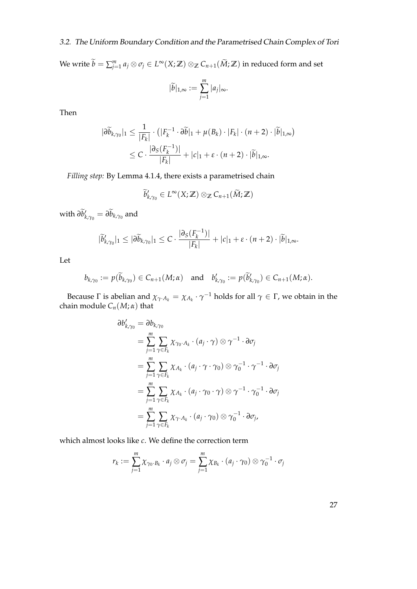## 3.2. The Uniform Boundary Condition and the Parametrised Chain Complex of Tori

 $W$ e write  $\widetilde{b} = \sum_{j=1}^m a_j \otimes \sigma_j \in L^\infty(X; \mathbb{Z}) \otimes_{\mathbb{Z}} C_{n+1}(\widetilde{M}; \mathbb{Z})$  in reduced form and set  $|b|_{1,\infty} :=$ *m* ∑ *j*=1 |*aj* |∞.

Then

$$
|\partial \widetilde{b}_{k,\gamma_0}|_1 \leq \frac{1}{|F_k|} \cdot (|F_k^{-1} \cdot \partial \widetilde{b}|_1 + \mu(B_k) \cdot |F_k| \cdot (n+2) \cdot |\widetilde{b}|_{1,\infty})
$$
  
 
$$
\leq C \cdot \frac{|\partial_S(F_k^{-1})|}{|F_k|} + |c|_1 + \varepsilon \cdot (n+2) \cdot |\widetilde{b}|_{1,\infty}.
$$

*Filling step:* By Lemma [4.1.4,](#page-51-0) there exists a parametrised chain

$$
\widetilde{b}'_{k,\gamma_0}\in L^\infty(X;\mathbb{Z})\otimes_{\mathbb{Z}}C_{n+1}(\widetilde{M};\mathbb{Z})
$$

with  $\partial \widetilde{b}'_k$  $'_{k,\gamma_0} = \partial b_{k,\gamma_0}$  and

$$
|\widetilde{b}'_{k,\gamma_0}|_1 \leq |\partial \widetilde{b}_{k,\gamma_0}|_1 \leq C \cdot \frac{|\partial_S(F_k^{-1})|}{|F_k|} + |c|_1 + \varepsilon \cdot (n+2) \cdot |\widetilde{b}|_{1,\infty}.
$$

Let

$$
b_{k,\gamma_0} := p(\widetilde{b}_{k,\gamma_0}) \in C_{n+1}(M;\alpha) \quad \text{and} \quad b'_{k,\gamma_0} := p(\widetilde{b}'_{k,\gamma_0}) \in C_{n+1}(M;\alpha).
$$

Because Γ is abelian and  $\chi_{\gamma \cdot A_k} = \chi_{A_k} \cdot \gamma^{-1}$  holds for all  $\gamma \in \Gamma$ , we obtain in the chain module  $C_n(M; \alpha)$  that

$$
\partial b'_{k,\gamma_0} = \partial b_{k,\gamma_0}
$$
\n
$$
= \sum_{j=1}^m \sum_{\gamma \in F_k} \chi_{\gamma_0 \cdot A_k} \cdot (a_j \cdot \gamma) \otimes \gamma^{-1} \cdot \partial \sigma_j
$$
\n
$$
= \sum_{j=1}^m \sum_{\gamma \in F_k} \chi_{A_k} \cdot (a_j \cdot \gamma \cdot \gamma_0) \otimes \gamma_0^{-1} \cdot \gamma^{-1} \cdot \partial \sigma_j
$$
\n
$$
= \sum_{j=1}^m \sum_{\gamma \in F_k} \chi_{A_k} \cdot (a_j \cdot \gamma_0 \cdot \gamma) \otimes \gamma^{-1} \cdot \gamma_0^{-1} \cdot \partial \sigma_j
$$
\n
$$
= \sum_{j=1}^m \sum_{\gamma \in F_k} \chi_{\gamma \cdot A_k} \cdot (a_j \cdot \gamma_0) \otimes \gamma_0^{-1} \cdot \partial \sigma_j,
$$

which almost looks like *c*. We define the correction term

$$
r_k := \sum_{j=1}^m \chi_{\gamma_0 \cdot B_k} \cdot a_j \otimes \sigma_j = \sum_{j=1}^m \chi_{B_k} \cdot (a_j \cdot \gamma_0) \otimes \gamma_0^{-1} \cdot \sigma_j
$$

27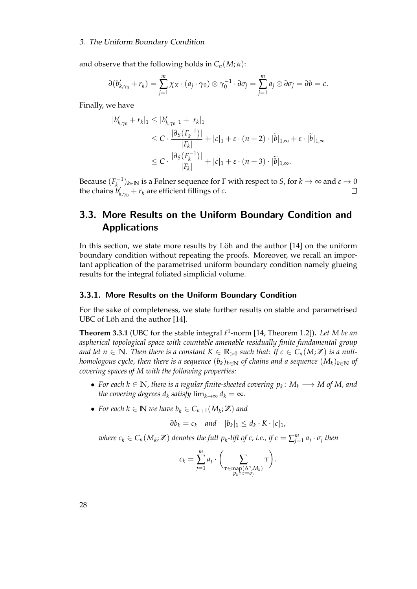#### 3. The Uniform Boundary Condition

and observe that the following holds in  $C_n(M;\alpha)$ :

$$
\partial (b'_{k,\gamma_0}+r_k)=\sum_{j=1}^m \chi_X\cdot (a_j\cdot \gamma_0)\otimes \gamma_0^{-1}\cdot \partial \sigma_j=\sum_{j=1}^m a_j\otimes \partial \sigma_j=\partial b=c.
$$

Finally, we have

$$
|b'_{k,\gamma_0} + r_k|_1 \le |b'_{k,\gamma_0}|_1 + |r_k|_1
$$
  
\n
$$
\le C \cdot \frac{|\partial_S(F_k^{-1})|}{|F_k|} + |c|_1 + \varepsilon \cdot (n+2) \cdot |\widetilde{b}|_{1,\infty} + \varepsilon \cdot |\widetilde{b}|_{1,\infty}
$$
  
\n
$$
\le C \cdot \frac{|\partial_S(F_k^{-1})|}{|F_k|} + |c|_1 + \varepsilon \cdot (n+3) \cdot |\widetilde{b}|_{1,\infty}.
$$

Because  $(F_k^{-1})$ *k* )*k*∈**<sup>N</sup>** is a Følner sequence for Γ with respect to *S*, for *k* → ∞ and *ε* → 0 the chains  $\hat{b}'_k$  $\alpha'_{k,\gamma_0} + r_k$  are efficient fillings of *c*.

# 3.3. More Results on the Uniform Boundary Condition and Applications

In this section, we state more results by Löh and the author  $[14]$  on the uniform boundary condition without repeating the proofs. Moreover, we recall an important application of the parametrised uniform boundary condition namely glueing results for the integral foliated simplicial volume.

#### 3.3.1. More Results on the Uniform Boundary Condition

For the sake of completeness, we state further results on stable and parametrised UBC of Löh and the author [\[14\]](#page-83-0).

**Theorem 3.3.1** (UBC for the stable integral  $\ell^1$ -norm [\[14,](#page-83-0) Theorem 1.2]). Let M be an *aspherical topological space with countable amenable residually finite fundamental group and let*  $n \in \mathbb{N}$ *. Then there is a constant*  $K \in \mathbb{R}_{>0}$  *such that: If*  $c \in C_n(M;\mathbb{Z})$  *is a nullhomologous cycle, then there is a sequence*  $(b_k)_{k \in \mathbb{N}}$  *of chains and a sequence*  $(M_k)_{k \in \mathbb{N}}$  *of covering spaces of M with the following properties:*

- For each  $k \in \mathbb{N}$ , there is a regular finite-sheeted covering  $p_k \colon M_k \longrightarrow M$  of M, and *the covering degrees*  $d_k$  *satisfy*  $\lim_{k\to\infty} d_k = \infty$ *.*
- For each  $k \in \mathbb{N}$  we have  $b_k \in C_{n+1}(M_k; \mathbb{Z})$  and

$$
\partial b_k = c_k \quad \text{and} \quad |b_k|_1 \leq d_k \cdot K \cdot |c|_1,
$$

 $\alpha$  *k*  $\in$  *C*<sub>*n*</sub>( $M_k$ ;  $\mathbb{Z}$ ) denotes the full  $p_k$ -lift of c, i.e., if  $c = \sum_{j=1}^m a_j \cdot \sigma_j$  then

$$
c_k = \sum_{j=1}^m a_j \cdot \left( \sum_{\substack{\tau \in \text{map}(\Delta^n, M_k) \\ p_k \circ \tau = \sigma_j}} \tau \right).
$$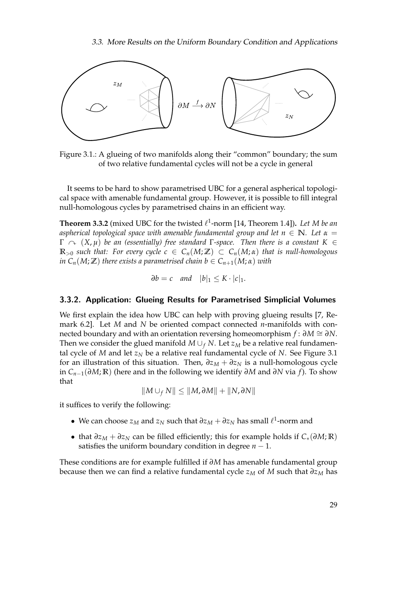

<span id="page-40-0"></span>Figure 3.1.: A glueing of two manifolds along their "common" boundary; the sum of two relative fundamental cycles will not be a cycle in general

It seems to be hard to show parametrised UBC for a general aspherical topological space with amenable fundamental group. However, it is possible to fill integral null-homologous cycles by parametrised chains in an efficient way.

**Theorem 3.3.2** (mixed UBC for the twisted  $\ell^1$ -norm [\[14,](#page-83-0) Theorem 1.4]). Let M be an *aspherical topological space with amenable fundamental group and let*  $n \in \mathbb{N}$ *. Let*  $\alpha =$ Γ y (*X*, *µ*) *be an (essentially) free standard* Γ*-space. Then there is a constant K* ∈  $\mathbb{R}_{>0}$  *such that: For every cycle c*  $\in C_n(M;\mathbb{Z}) \subset C_n(M;\alpha)$  *that is null-homologous in*  $C_n(M;\mathbb{Z})$  *there exists a parametrised chain b*  $\in C_{n+1}(M;\alpha)$  *with* 

 $\partial b = c$  *and*  $|b|_1 \leq K \cdot |c|_1$ .

#### 3.3.2. Application: Glueing Results for Parametrised Simplicial Volumes

We first explain the idea how UBC can help with proving glueing results [\[7,](#page-82-1) Remark 6.2]. Let *M* and *N* be oriented compact connected *n*-manifolds with connected boundary and with an orientation reversing homeomorphism  $f : \partial M \cong \partial N$ . Then we consider the glued manifold  $M \cup_f N$ . Let  $z_M$  be a relative real fundamental cycle of *M* and let  $z_N$  be a relative real fundamental cycle of *N*. See Figure [3.1](#page-40-0) for an illustration of this situation. Then,  $\partial z_M + \partial z_N$  is a null-homologous cycle in *Cn*−1(*∂M*; **R**) (here and in the following we identify *∂M* and *∂N* via *f*). To show that

$$
||M \cup_f N|| \leq ||M, \partial M|| + ||N, \partial N||
$$

it suffices to verify the following:

- We can choose  $z_M$  and  $z_N$  such that  $\partial z_M + \partial z_N$  has small  $\ell^1$ -norm and
- that *∂z<sup>M</sup>* + *∂z<sup>N</sup>* can be filled efficiently; this for example holds if *C*∗(*∂M*; **R**) satisfies the uniform boundary condition in degree  $n - 1$ .

These conditions are for example fulfilled if *∂M* has amenable fundamental group because then we can find a relative fundamental cycle *z<sup>M</sup>* of *M* such that *∂z<sup>M</sup>* has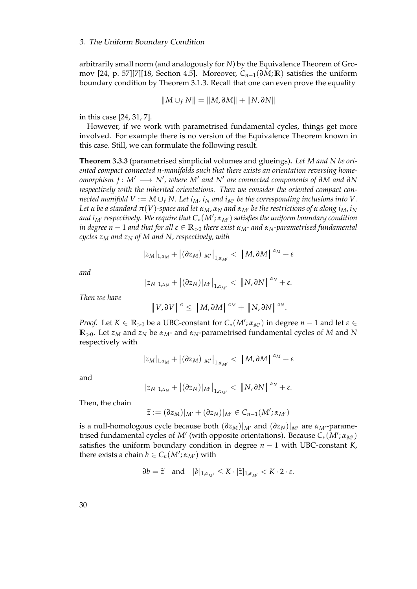arbitrarily small norm (and analogously for *N*) by the Equivalence Theorem of Gromov [\[24,](#page-83-1) p. 57][\[7\]](#page-82-1)[\[18,](#page-83-2) Section 4.5]. Moreover, *Cn*−1(*∂M*; **R**) satisfies the uniform boundary condition by Theorem [3.1.3.](#page-33-1) Recall that one can even prove the equality

$$
||M \cup_f N|| = ||M, \partial M|| + ||N, \partial N||
$$

in this case [\[24,](#page-83-1) [31,](#page-84-1) [7\]](#page-82-1).

However, if we work with parametrised fundamental cycles, things get more involved. For example there is no version of the Equivalence Theorem known in this case. Still, we can formulate the following result.

**Theorem 3.3.3** (parametrised simplicial volumes and glueings)**.** *Let M and N be oriented compact connected n-manifolds such that there exists an orientation reversing homeomorphism f* : *M*<sup>0</sup> −→ *N*<sup>0</sup> *, where M*<sup>0</sup> *and N*<sup>0</sup> *are connected components of ∂M and ∂N respectively with the inherited orientations. Then we consider the oriented compact connected manifold V* :=  $M \cup_f N$ . Let  $i_M$ ,  $i_N$  *and*  $i_M$  be the corresponding inclusions into V. *Let α be a standard*  $\pi$ (*V*)-space and let  $\alpha$ <sub>*M*</sub>,  $\alpha$ <sub>*N*</sub></sub> and  $\alpha$ <sub>*M<sup>†</sup></sub> be the restrictions of*  $\alpha$  *along*  $i_M$ ,  $i_N$ </sub> *and iM*<sup>0</sup> *respectively. We require that C*∗(*M*<sup>0</sup> ; *αM*<sup>0</sup>) *satisfies the uniform boundary condition in degree n* − 1 *and that for all ε* ∈ **R**><sup>0</sup> *there exist αM- and αN-parametrised fundamental cycles z<sup>M</sup> and z<sup>N</sup> of M and N, respectively, with*

$$
|z_M|_{1,\alpha_M} + |(\partial z_M)|_{M'}\big|_{1,\alpha_{M'}} < |M, \partial M|^{|\alpha_M|} + \varepsilon
$$

*and*

$$
|z_N|_{1,\alpha_N}+|(\partial z_N)|_{M'}\Big|_{1,\alpha_{M'}}<|N,\partial N|^{|\alpha_N|}+\varepsilon.
$$

*Then we have*

$$
\left|V,\partial V\right|^{\alpha} \leq \left|M,\partial M\right|^{\alpha_M} + \left|N,\partial N\right|^{\alpha_N}.
$$

*Proof.* Let  $K \in \mathbb{R}_{>0}$  be a UBC-constant for  $C_*(M'; \alpha_{M'})$  in degree  $n-1$  and let  $\varepsilon \in$ **R**>0. Let *z<sup>M</sup>* and *z<sup>N</sup>* be *αM*- and *αN*-parametrised fundamental cycles of *M* and *N* respectively with

$$
|z_M|_{1,\alpha_M}+|(\partial z_M)|_{M'}\big|_{1,\alpha_{M'}}<|M,\partial M|^{|\alpha_M|}+\varepsilon
$$

and

$$
|z_N|_{1,\alpha_N}+|(\partial z_N)|_{M'}\Big|_{1,\alpha_{M'}}<|N,\partial N|^{|\alpha_N|}+\varepsilon.
$$

Then, the chain

$$
\widetilde{z}:=(\partial z_M)|_{M'}+(\partial z_N)|_{M'}\in C_{n-1}(M';\alpha_{M'})
$$

is a null-homologous cycle because both  $(\partial z_M)|_{M}$  and  $(\partial z_N)|_{M}$  are  $\alpha_{M}$ -parametrised fundamental cycles of *M'* (with opposite orientations). Because  $C_*(\overline{M}'; \alpha_{M'})$ satisfies the uniform boundary condition in degree *n* − 1 with UBC-constant *K*, there exists a chain  $b \in C_n(M'; \alpha_{M'})$  with

$$
\partial b = \widetilde{z} \quad \text{and} \quad |b|_{1,\alpha_{M'}} \leq K \cdot |\widetilde{z}|_{1,\alpha_{M'}} < K \cdot 2 \cdot \varepsilon.
$$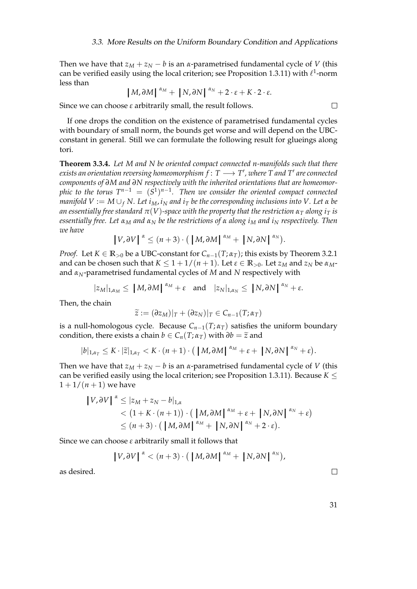Then we have that  $z_M + z_N - b$  is an *α*-parametrised fundamental cycle of *V* (this can be verified easily using the local criterion; see Proposition [1.3.11\)](#page-26-0) with  $\ell^1$ -norm less than

$$
|M,\partial M|^{ \alpha_M}+|N,\partial N|^{ \alpha_N}+2\cdot \varepsilon+K\cdot 2\cdot \varepsilon.
$$

Since we can choose *ε* arbitrarily small, the result follows.

If one drops the condition on the existence of parametrised fundamental cycles with boundary of small norm, the bounds get worse and will depend on the UBCconstant in general. Still we can formulate the following result for glueings along tori.

<span id="page-42-0"></span>**Theorem 3.3.4.** *Let M and N be oriented compact connected n-manifolds such that there*  $e$ xists an orientation reversing homeomorphism  $f\colon T\longrightarrow T'$  , where  $T$  and  $T'$  are connected *components of ∂M and ∂N respectively with the inherited orientations that are homeomorphic to the torus*  $T^{n-1} = (S^1)^{n-1}$ *. Then we consider the oriented compact connected manifold*  $V := M \cup_f N$ . Let  $i_M$ ,  $i_N$  and  $i_T$  be the corresponding inclusions into V. Let  $\alpha$  be *an essentially free standard*  $\pi$ (*V*)-space with the property that the restriction  $\alpha$ <sup>T</sup> *along*  $i$ <sup>T</sup> *is essentially free. Let α<sup>M</sup> and α<sup>N</sup> be the restrictions of α along i<sup>M</sup> and i<sup>N</sup> respectively. Then we have*

$$
\left|V,\partial V\right|^{\alpha} \leq (n+3) \cdot \left(\left|M,\partial M\right|^{\alpha_M} + \left|N,\partial N\right|^{\alpha_N}\right).
$$

*Proof.* Let  $K \in \mathbb{R}_{>0}$  be a UBC-constant for  $C_{n-1}(T; \alpha_T)$ ; this exists by Theorem [3.2.1](#page-33-0) and can be chosen such that  $K \leq 1 + 1/(n + 1)$ . Let  $\varepsilon \in \mathbb{R}_{>0}$ . Let  $z_M$  and  $z_N$  be  $\alpha_M$ and *αN*-parametrised fundamental cycles of *M* and *N* respectively with

$$
|z_M|_{1,\alpha_M} \le |M,\partial M|^{|\alpha_M|} + \varepsilon \text{ and } |z_N|_{1,\alpha_N} \le |N,\partial N|^{|\alpha_N|} + \varepsilon.
$$

Then, the chain

$$
\widetilde{z} := (\partial z_M)|_T + (\partial z_N)|_T \in C_{n-1}(T; \alpha_T)
$$

is a null-homologous cycle. Because  $C_{n-1}(T; \alpha_T)$  satisfies the uniform boundary condition, there exists a chain  $b \in C_n(T; \alpha_T)$  with  $\partial b = \tilde{z}$  and

$$
|b|_{1,\alpha_T} \leq K \cdot |\widetilde{z}|_{1,\alpha_T} < K \cdot (n+1) \cdot (|M, \partial M|^{\alpha_M} + \varepsilon + |N, \partial N|^{\alpha_N} + \varepsilon).
$$

Then we have that  $z_M + z_N - b$  is an *α*-parametrised fundamental cycle of *V* (this can be verified easily using the local criterion; see Proposition [1.3.11\)](#page-26-0). Because  $K \leq$  $1 + 1/(n + 1)$  we have

$$
\begin{aligned} \left| V, \partial V \right|^{\alpha} &\leq |z_M + z_N - b|_{1,\alpha} \\ &< (1 + K \cdot (n+1)) \cdot \left( \left| M, \partial M \right|^{\alpha_M} + \varepsilon + \left| N, \partial N \right|^{\alpha_N} + \varepsilon \right) \\ &\leq (n+3) \cdot \left( \left| M, \partial M \right|^{\alpha_M} + \left| N, \partial N \right|^{\alpha_N} + 2 \cdot \varepsilon \right). \end{aligned}
$$

Since we can choose *ε* arbitrarily small it follows that

$$
\left|V,\partial V\right|^{\alpha} < (n+3)\cdot\left(\left|M,\partial M\right|^{\alpha_M} + \left|N,\partial N\right|^{\alpha_N}\right),
$$

as desired.

31

 $\Box$ 

 $\Box$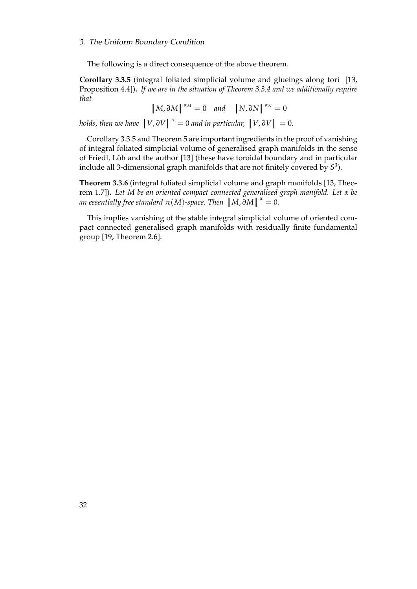#### 3. The Uniform Boundary Condition

The following is a direct consequence of the above theorem.

<span id="page-43-0"></span>**Corollary 3.3.5** (integral foliated simplicial volume and glueings along tori [\[13,](#page-83-3) Proposition 4.4])**.** *If we are in the situation of Theorem [3.3.4](#page-42-0) and we additionally require that*

 $\left[ M, \partial M \right]^{ \alpha_M} = 0$  *and*  $\left[ N, \partial N \right]^{ \alpha_N} = 0$ 

*holds, then we have*  $\left| V, \partial V \right|^{a} = 0$  *and in particular,*  $\left| V, \partial V \right| = 0$ .

Corollary [3.3.5](#page-43-0) and Theorem [5](#page-6-0) are important ingredients in the proof of vanishing of integral foliated simplicial volume of generalised graph manifolds in the sense of Friedl, Löh and the author [\[13\]](#page-83-3) (these have toroidal boundary and in particular include all 3-dimensional graph manifolds that are not finitely covered by *S* 3 ).

**Theorem 3.3.6** (integral foliated simplicial volume and graph manifolds [\[13,](#page-83-3) Theorem 1.7])**.** *Let M be an oriented compact connected generalised graph manifold. Let α be an essentially free standard*  $\pi(M)$ *-space. Then*  $|M,\tilde{\partial}M|^{a} = 0$ *.* 

This implies vanishing of the stable integral simplicial volume of oriented compact connected generalised graph manifolds with residually finite fundamental group [\[19,](#page-83-4) Theorem 2.6].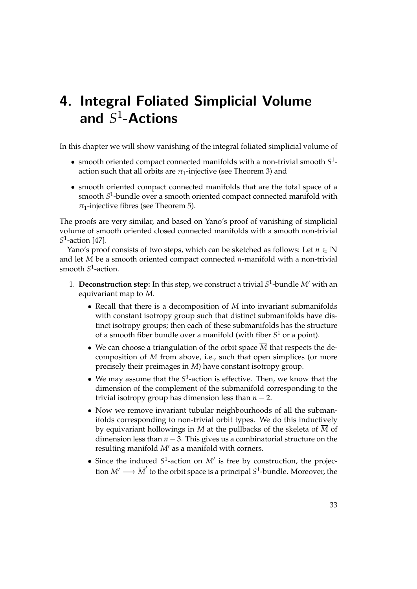<span id="page-44-0"></span>In this chapter we will show vanishing of the integral foliated simplicial volume of

- smooth oriented compact connected manifolds with a non-trivial smooth  $S^1$ action such that all orbits are  $\pi_1$ -injective (see Theorem [3\)](#page-5-0) and
- smooth oriented compact connected manifolds that are the total space of a smooth *S* 1 -bundle over a smooth oriented compact connected manifold with  $\pi_1$ -injective fibres (see Theorem [5\)](#page-6-0).

The proofs are very similar, and based on Yano's proof of vanishing of simplicial volume of smooth oriented closed connected manifolds with a smooth non-trivial *S* 1 -action [\[47\]](#page-85-0).

Yano's proof consists of two steps, which can be sketched as follows: Let  $n \in \mathbb{N}$ and let *M* be a smooth oriented compact connected *n*-manifold with a non-trivial smooth *S* 1 -action.

- 1. **Deconstruction step:** In this step, we construct a trivial  $S^1$ -bundle  $M'$  with an equivariant map to *M*.
	- Recall that there is a decomposition of *M* into invariant submanifolds with constant isotropy group such that distinct submanifolds have distinct isotropy groups; then each of these submanifolds has the structure of a smooth fiber bundle over a manifold (with fiber *S* <sup>1</sup> or a point).
	- We can choose a triangulation of the orbit space  $\overline{M}$  that respects the decomposition of *M* from above, i.e., such that open simplices (or more precisely their preimages in *M*) have constant isotropy group.
	- We may assume that the  $S^1$ -action is effective. Then, we know that the dimension of the complement of the submanifold corresponding to the trivial isotropy group has dimension less than  $n - 2$ .
	- Now we remove invariant tubular neighbourhoods of all the submanifolds corresponding to non-trivial orbit types. We do this inductively by equivariant hollowings in *M* at the pullbacks of the skeleta of *M* of dimension less than *n* − 3. This gives us a combinatorial structure on the resulting manifold M' as a manifold with corners.
	- Since the induced  $S^1$ -action on  $M'$  is free by construction, the projection  $M' \longrightarrow \overline{M}'$  to the orbit space is a principal  $S^1$ -bundle. Moreover, the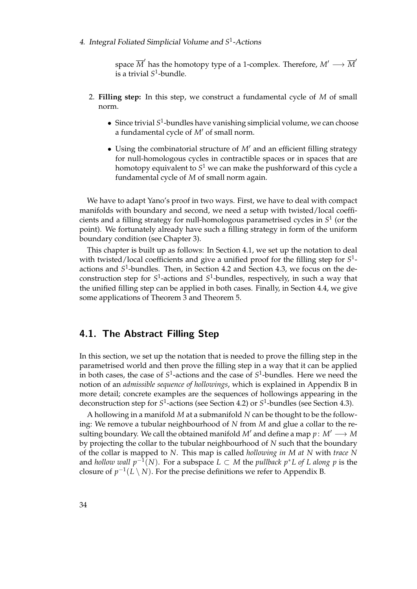space  $\overline{M}'$  has the homotopy type of a 1-complex. Therefore,  $M' \longrightarrow \overline{M}'$ is a trivial *S* 1 -bundle.

- 2. **Filling step:** In this step, we construct a fundamental cycle of *M* of small norm.
	- **•** Since trivial S<sup>1</sup>-bundles have vanishing simplicial volume, we can choose a fundamental cycle of *M'* of small norm.
	- Using the combinatorial structure of  $M'$  and an efficient filling strategy for null-homologous cycles in contractible spaces or in spaces that are homotopy equivalent to  $S^1$  we can make the pushforward of this cycle a fundamental cycle of *M* of small norm again.

We have to adapt Yano's proof in two ways. First, we have to deal with compact manifolds with boundary and second, we need a setup with twisted/local coefficients and a filling strategy for null-homologous parametrised cycles in *S* 1 (or the point). We fortunately already have such a filling strategy in form of the uniform boundary condition (see Chapter [3\)](#page-32-0).

This chapter is built up as follows: In Section [4.1,](#page-45-0) we set up the notation to deal with twisted/local coefficients and give a unified proof for the filling step for *S* 1 actions and *S* 1 -bundles. Then, in Section [4.2](#page-54-0) and Section [4.3,](#page-62-0) we focus on the deconstruction step for S<sup>1</sup>-actions and S<sup>1</sup>-bundles, respectively, in such a way that the unified filling step can be applied in both cases. Finally, in Section [4.4,](#page-64-0) we give some applications of Theorem [3](#page-5-0) and Theorem [5.](#page-6-0)

# <span id="page-45-0"></span>4.1. The Abstract Filling Step

In this section, we set up the notation that is needed to prove the filling step in the parametrised world and then prove the filling step in a way that it can be applied in both cases, the case of  $S^1$ -actions and the case of  $S^1$ -bundles. Here we need the notion of an *admissible sequence of hollowings*, which is explained in Appendix [B](#page-72-0) in more detail; concrete examples are the sequences of hollowings appearing in the deconstruction step for  $S^1$ -actions (see Section [4.2\)](#page-54-0) or  $S^1$ -bundles (see Section [4.3\)](#page-62-0).

A hollowing in a manifold *M* at a submanifold *N* can be thought to be the following: We remove a tubular neighbourhood of *N* from *M* and glue a collar to the resulting boundary. We call the obtained manifold  $M'$  and define a map  $p: M' \longrightarrow M$ by projecting the collar to the tubular neighbourhood of *N* such that the boundary of the collar is mapped to *N*. This map is called *hollowing in M at N* with *trace N* and *hollow wall p*−<sup>1</sup> (*N*). For a subspace *L* ⊂ *M* the *pullback p*∗*L of L along p* is the closure of  $p^{-1}(L \setminus N)$ . For the precise definitions we refer to Appendix [B.](#page-72-0)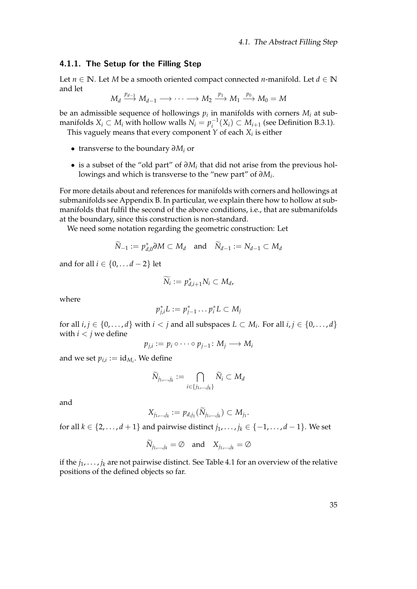#### <span id="page-46-0"></span>4.1.1. The Setup for the Filling Step

Let *n* ∈ **N**. Let *M* be a smooth oriented compact connected *n*-manifold. Let *d* ∈ **N** and let

$$
M_d \xrightarrow{p_{d-1}} M_{d-1} \longrightarrow \cdots \longrightarrow M_2 \xrightarrow{p_1} M_1 \xrightarrow{p_0} M_0 = M
$$

be an admissible sequence of hollowings  $p_i$  in manifolds with corners  $M_i$  at submanifolds *X*<sup>*i*</sup> ⊂ *M*<sup>*i*</sup> with hollow walls  $\overline{N_i} = p_i^{-1}(X_i)$  ⊂ *M*<sub>*i*+1</sub> (see Definition [B.3.1\)](#page-78-0). This vaguely means that every component *Y* of each *X<sup>i</sup>* is either

- transverse to the boundary *∂M<sup>i</sup>* or
- is a subset of the "old part" of *∂M<sup>i</sup>* that did not arise from the previous hollowings and which is transverse to the "new part" of *∂M<sup>i</sup>* .

For more details about and references for manifolds with corners and hollowings at submanifolds see Appendix [B.](#page-72-0) In particular, we explain there how to hollow at submanifolds that fulfil the second of the above conditions, i.e., that are submanifolds at the boundary, since this construction is non-standard.

We need some notation regarding the geometric construction: Let

$$
\widetilde{N}_{-1} := p_{d,0}^* \partial M \subset M_d \quad \text{and} \quad \widetilde{N}_{d-1} := N_{d-1} \subset M_d
$$

and for all *i* ∈ {0, . . . *d* − 2} let

$$
\widetilde{N_i}:=p_{d,i+1}^*N_i\subset M_d,
$$

where

$$
p_{j,i}^*L := p_{j-1}^* \dots p_i^*L \subset M_j
$$

for all  $i, j \in \{0, \ldots, d\}$  with  $i < j$  and all subspaces  $L \subset M_i$ . For all  $i, j \in \{0, \ldots, d\}$ with  $i < j$  we define

$$
p_{j,i} := p_i \circ \cdots \circ p_{j-1} \colon M_j \longrightarrow M_i
$$

and we set  $p_{i,i} := \mathrm{id}_{M_i}$ . We define

$$
\widetilde{N}_{j_1,\dots,j_k} := \bigcap_{i \in \{j_1,\dots,j_k\}} \widetilde{N}_i \subset M_d
$$

and

$$
X_{j_1,\dots,j_k} := p_{d,j_1}(\widetilde{N}_{j_1,\dots,j_k}) \subset M_{j_1}.
$$

for all *k* ∈ {2, . . . , *d* + 1} and pairwise distinct  $j_1, ..., j_k$  ∈ {-1, . . . , *d* − 1}. We set

$$
\widetilde{N}_{j_1,\dots,j_k} = \emptyset \quad \text{and} \quad X_{j_1,\dots,j_k} = \emptyset
$$

if the  $j_1, \ldots, j_k$  are not pairwise distinct. See Table [4.1](#page-47-0) for an overview of the relative positions of the defined objects so far.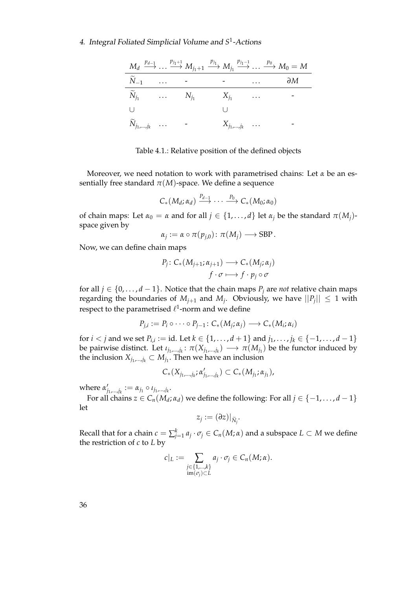|                            |  | $M_d \stackrel{p_{d-1}}{\longrightarrow} \dots \stackrel{p_{j_1+1}}{\longrightarrow} M_{j_1+1} \stackrel{p_{j_1}}{\longrightarrow} M_{j_1} \stackrel{p_{j_1-1}}{\longrightarrow} \dots \stackrel{p_0}{\longrightarrow} M_0 = M$ |          |              |
|----------------------------|--|---------------------------------------------------------------------------------------------------------------------------------------------------------------------------------------------------------------------------------|----------|--------------|
| $\widetilde{N}_{-1}$ -     |  |                                                                                                                                                                                                                                 | $\cdots$ | $\partial M$ |
|                            |  | $\widetilde{N}_{i_1}$ $N_{i_1}$ $X_{i_1}$                                                                                                                                                                                       |          |              |
|                            |  |                                                                                                                                                                                                                                 |          |              |
| $\widetilde{N}_{j_1,,j_k}$ |  | $X_{j_1,\dots,j_k}$                                                                                                                                                                                                             |          |              |

<span id="page-47-0"></span>Table 4.1.: Relative position of the defined objects

Moreover, we need notation to work with parametrised chains: Let *α* be an essentially free standard  $\pi(M)$ -space. We define a sequence

$$
C_*(M_d;\alpha_d)\stackrel{P_{d-1}}{\longrightarrow}\cdots\stackrel{P_0}{\longrightarrow} C_*(M_0;\alpha_0)
$$

of chain maps: Let  $\alpha_0 = \alpha$  and for all  $j \in \{1, ..., d\}$  let  $\alpha_j$  be the standard  $\pi(M_j)$ space given by

$$
\alpha_j := \alpha \circ \pi(p_{j,0}) \colon \pi(M_j) \longrightarrow \text{SBP}.
$$

Now, we can define chain maps

$$
P_j: C_*(M_{j+1}; \alpha_{j+1}) \longrightarrow C_*(M_j; \alpha_j)
$$
  

$$
f \cdot \sigma \longmapsto f \cdot p_j \circ \sigma
$$

for all *j* ∈ {0, . . . , *d* − 1}. Notice that the chain maps  $P_j$  are *not* relative chain maps regarding the boundaries of  $M_{j+1}$  and  $M_j$ . Obviously, we have  $||P_j|| \leq 1$  with respect to the parametrised  $\ell^1$ -norm and we define

$$
P_{j,i} := P_i \circ \cdots \circ P_{j-1} : C_*(M_j; \alpha_j) \longrightarrow C_*(M_i; \alpha_i)
$$

for *i* < *j* and we set  $P_{i,i} :=$  id. Let  $k ∈ {1, ..., d + 1}$  and  $j_1, ..., j_k ∈ {−1, ..., d - 1}$ be pairwise distinct. Let  $\iota_{j_1,...,j_k}$ :  $\pi(X_{j_1,...,j_k}) \longrightarrow \pi(M_{j_1})$  be the functor induced by the inclusion  $X_{j_1,...,j_k} \subset M_{j_1}$ . Then we have an inclusion

$$
C_{*}(X_{j_{1},...,j_{k}}; \alpha'_{j_{1},...,j_{k}}) \subset C_{*}(M_{j_{1}}; \alpha_{j_{1}}),
$$

where  $\alpha_i'$  $j_1,...,j_k := \alpha_{j_1} \circ \iota_{j_1,...,j_k}.$ 

For all chains  $z \in C_n(M_d; \alpha_d)$  we define the following: For all  $j \in \{-1, \ldots, d-1\}$ let

$$
z_j:=(\partial z)|_{\widetilde{N}_j}.
$$

Recall that for a chain  $c = \sum_{j=1}^k a_j \cdot \sigma_j \in C_n(M;\alpha)$  and a subspace  $L \subset M$  we define the restriction of *c* to *L* by

$$
c|_L := \sum_{\substack{j \in \{1,\ldots,k\} \\ \operatorname{im}(\sigma_j) \subset L}} a_j \cdot \sigma_j \in C_n(M; \alpha).
$$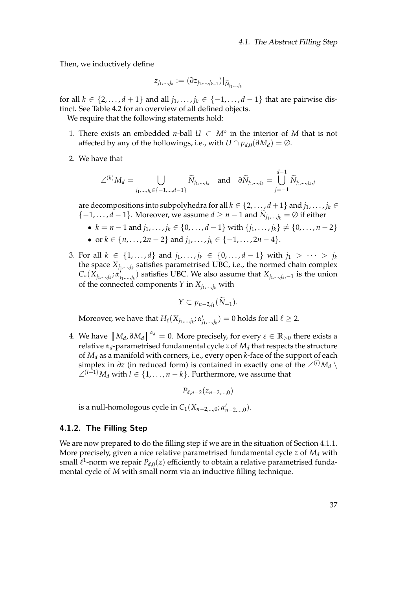Then, we inductively define

$$
z_{j_1,\ldots,j_k}:=(\partial z_{j_1,\ldots,j_{k-1}})|_{\widetilde{N}_{j_1,\ldots,j_k}}
$$

for all  $k \in \{2, \ldots, d+1\}$  and all  $j_1, \ldots, j_k \in \{-1, \ldots, d-1\}$  that are pairwise distinct. See Table [4.2](#page-49-0) for an overview of all defined objects.

We require that the following statements hold:

- 1. There exists an embedded *n*-ball  $U \subset M^\circ$  in the interior of M that is not affected by any of the hollowings, i.e., with  $U \cap p_{d,0}(\partial M_d) = \emptyset$ .
- 2. We have that

$$
\angle^{(k)}M_d = \bigcup_{j_1,\dots,j_k \in \{-1,\dots,d-1\}} \widetilde{N}_{j_1,\dots,j_k} \quad \text{and} \quad \partial \widetilde{N}_{j_1,\dots,j_k} = \bigcup_{j=-1}^{d-1} \widetilde{N}_{j_1,\dots,j_k,j}
$$

are decompositions into subpolyhedra for all  $k \in \{2, \ldots, d+1\}$  and  $j_1, \ldots, j_k \in$  ${-1, \ldots, d-1}$ . Moreover, we assume  $d \geq n-1$  and  $\widetilde{N}_{j_1,\ldots,j_k} = \emptyset$  if either

- $k = n 1$  and  $j_1, \ldots, j_k \in \{0, \ldots, d 1\}$  with  $\{j_1, \ldots, j_k\} \neq \{0, \ldots, n 2\}$
- or  $k \in \{n, ..., 2n 2\}$  and  $j_1, ..., j_k \in \{-1, ..., 2n 4\}$ .
- 3. For all *k* ∈ {1,...,*d*} and *j*<sub>1</sub>,...,*j*<sub>*k*</sub> ∈ {0,...,*d* − 1} with *j*<sub>1</sub> > ··· > *j*<sub>*k*</sub> the space  $X_{j_1,...,j_k}$  satisfies parametrised UBC, i.e., the normed chain complex  $C_*(X_{j_1,...,j_k}; a'_j)$ *j*1,...,*j<sup>k</sup>* ) satisfies UBC. We also assume that *Xj*1,...,*j<sup>k</sup>* ,−<sup>1</sup> is the union of the connected components *Y* in  $X_{j_1,\dots,j_k}$  with

$$
Y\subset p_{n-2,j_1}(\widetilde{N}_{-1}).
$$

Moreover, we have that  $H_\ell(X_{j_1,...,j_k}; \alpha'_j)$  $f_{j_1,...,j_k}$ ) = 0 holds for all  $\ell \geq 2$ .

4. We have  $|M_d$ , *∂M*<sup>*d*</sup></sub> $^{\alpha_d}$  = 0. More precisely, for every *ε* ∈ **R**<sub>>0</sub> there exists a relative *κ* expandition *κ* expandition *α* expandition *α* expandition *α* expandition *α* expandition *α* expandition relative *α<sup>d</sup>* -parametrised fundamental cycle *z* of *M<sup>d</sup>* that respects the structure of *M<sup>d</sup>* as a manifold with corners, i.e., every open *k*-face of the support of each simplex in  $\partial z$  (in reduced form) is contained in exactly one of the ∠<sup>(*l*)</sup> $M_d \setminus$ ∠<sup>(*l*+1)</sup> $M_d$  with *l* ∈ {1, . . . , *n* − *k*}. Furthermore, we assume that

 $P_{d,n-2}(z_{n-2},\ldots,0)$ 

is a null-homologous cycle in  $C_1(X_{n-2,\ldots,0}; \alpha'_{n-2,\ldots,0})$ .

#### 4.1.2. The Filling Step

We are now prepared to do the filling step if we are in the situation of Section [4.1.1.](#page-46-0) More precisely, given a nice relative parametrised fundamental cycle *z* of *M<sup>d</sup>* with small  $\ell^1$ -norm we repair  $P_{d,0}(z)$  efficiently to obtain a relative parametrised fundamental cycle of *M* with small norm via an inductive filling technique.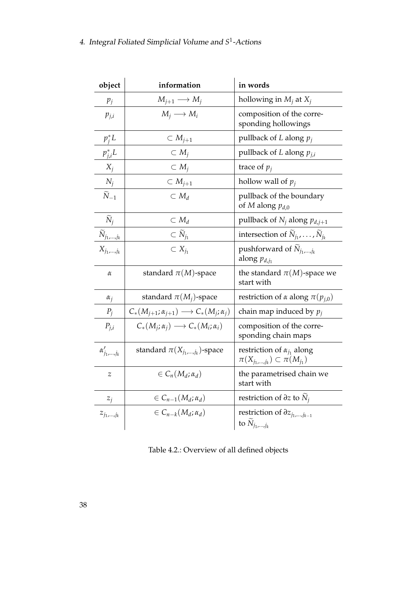| object                           | information                                                     | in words                                                                             |  |  |
|----------------------------------|-----------------------------------------------------------------|--------------------------------------------------------------------------------------|--|--|
| $p_j$                            | $M_{j+1} \longrightarrow M_j$                                   | hollowing in $M_i$ at $X_i$                                                          |  |  |
| $p_{j,i}$                        | $M_i \longrightarrow M_i$                                       | composition of the corre-<br>sponding hollowings                                     |  |  |
| $p_i^*L$                         | $\subset M_{j+1}$                                               | pullback of $L$ along $p_j$                                                          |  |  |
| $p_{j,i}^*L$                     | $\subset M_i$                                                   | pullback of L along $p_{j,i}$                                                        |  |  |
| $X_j$                            | $\subset M_i$                                                   | trace of $p_j$                                                                       |  |  |
| $N_j$                            | $\subset M_{j+1}$                                               | hollow wall of $p_i$                                                                 |  |  |
| $\widetilde{N}_{-1}$             | $\subset M_d$                                                   | pullback of the boundary<br>of M along $p_{d,0}$                                     |  |  |
| $\widetilde{N}_j$                | $\subset M_d$                                                   | pullback of $N_i$ along $p_{d,j+1}$                                                  |  |  |
| $\widetilde{N}_{j_1,\cdots,j_k}$ | $\subset \widetilde{N}_{j_1}$                                   | intersection of $\widetilde{N}_{j_1}, \ldots, \widetilde{N}_{j_k}$                   |  |  |
| $X_{j_1,\ldots,j_k}$             | $\subset X_{j_1}$                                               | pushforward of $\tilde{N}_{j_1,,j_k}$<br>along $p_{d,j_1}$                           |  |  |
| α                                | standard $\pi(M)$ -space                                        | the standard $\pi(M)$ -space we<br>start with                                        |  |  |
| $\alpha_i$                       | standard $\pi(M_i)$ -space                                      | restriction of $\alpha$ along $\pi(p_{i,0})$                                         |  |  |
| $P_i$                            | $C_*(M_{j+1}; \alpha_{j+1}) \longrightarrow C_*(M_j; \alpha_j)$ | chain map induced by $p_i$                                                           |  |  |
| $P_{j,i}$                        | $C_*(M_i; \alpha_i) \longrightarrow C_*(M_i; \alpha_i)$         | composition of the corre-<br>sponding chain maps                                     |  |  |
| $\alpha'_{j_1,\dots,j_k}$        | standard $\pi(X_{j_1,,j_k})$ -space                             | restriction of $\alpha_{j_1}$ along<br>$\pi(X_{j_1,\ldots,j_k})\subset \pi(M_{j_1})$ |  |  |
| $\overline{z}$                   | $\in C_n(M_d;\alpha_d)$                                         | the parametrised chain we<br>start with                                              |  |  |
| $z_j$                            | $\in C_{n-1}(M_d;\alpha_d)$                                     | restriction of $\partial z$ to $N_i$                                                 |  |  |
| $z_{j_1,,j_k}$                   | $\in C_{n-k}(M_d; \alpha_d)$                                    | restriction of $\partial z_{j_1,,j_{k-1}}$<br>to $\widetilde{N}_{j_1,,j_k}$          |  |  |

<span id="page-49-0"></span>Table 4.2.: Overview of all defined objects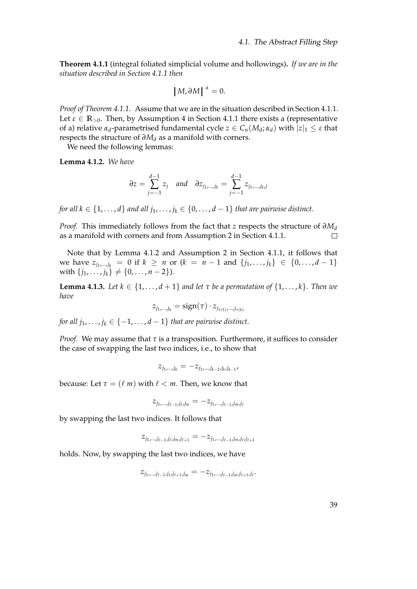<span id="page-50-0"></span>**Theorem 4.1.1** (integral foliated simplicial volume and hollowings)**.** *If we are in the situation described in Section [4.1.1](#page-46-0) then*

$$
|M,\partial M|^{ \alpha}=0.
$$

*Proof of Theorem [4.1.1.](#page-50-0)* Assume that we are in the situation described in Section [4.1.1.](#page-46-0) Let  $\varepsilon \in \mathbb{R}_{>0}$ . Then, by Assumption 4 in Section [4.1.1](#page-46-0) there exists a (representative of a) relative  $α_d$ -parametrised fundamental cycle  $z \in C_n(M_d; α_d)$  with  $|z|_1 \leq ε$  that respects the structure of *∂M<sup>d</sup>* as a manifold with corners.

We need the following lemmas:

<span id="page-50-1"></span>**Lemma 4.1.2.** *We have*

$$
\partial z = \sum_{j=-1}^{d-1} z_j \quad \text{and} \quad \partial z_{j_1,...,j_k} = \sum_{j=-1}^{d-1} z_{j_1,...,j_k,j}
$$

*for all*  $k \in \{1, ..., d\}$  *and all*  $j_1, ..., j_k \in \{0, ..., d-1\}$  *that are pairwise distinct.* 

*Proof.* This immediately follows from the fact that *z* respects the structure of  $∂M<sub>d</sub>$ as a manifold with corners and from Assumption 2 in Section [4.1.1.](#page-46-0)  $\Box$ 

Note that by Lemma [4.1.2](#page-50-1) and Assumption 2 in Section [4.1.1,](#page-46-0) it follows that we have  $z_{j_1,...,j_k} = 0$  if  $k \ge n$  or  $(k = n - 1$  and  $\{j_1,...,j_k\}$  ∈  $\{0,...,d-1\}$ with  $\{j_1, ..., j_k\} \neq \{0, ..., n-2\}$ ).

**Lemma 4.1.3.** *Let*  $k \in \{1, ..., d + 1\}$  *and let*  $\tau$  *be a permutation of*  $\{1, ..., k\}$ *. Then we have*

$$
z_{j_1,\dots,j_k} = \text{sign}(\tau) \cdot z_{j_{\tau(1)},\dots,j_{\tau(k)}}
$$

*for all*  $j_1, \ldots, j_k \in \{-1, \ldots, d-1\}$  *that are pairwise distinct.* 

*Proof.* We may assume that  $\tau$  is a transposition. Furthermore, it suffices to consider the case of swapping the last two indices, i.e., to show that

$$
z_{j_1,...,j_k}=-z_{j_1,...,j_{k-2},j_k,j_{k-1}},
$$

because: Let  $\tau = (\ell \, m)$  with  $\ell < m$ . Then, we know that

 $z_{j_1,...,j_{\ell-1},j_{\ell},j_m} = -z_{j_1,...,j_{\ell-1},j_m,j_k}$ 

by swapping the last two indices. It follows that

$$
z_{j_1,\ldots,j_{\ell-1},j_\ell,j_m,j_{\ell+1}}=-z_{j_1,\ldots,j_{\ell-1},j_m,j_\ell,j_{\ell+1}}
$$

holds. Now, by swapping the last two indices, we have

 $z_{j_1,...,j_{\ell-1},j_{\ell},j_{\ell+1},j_m} = -z_{j_1,...,j_{\ell-1},j_m,j_{\ell+1},j_{\ell}}.$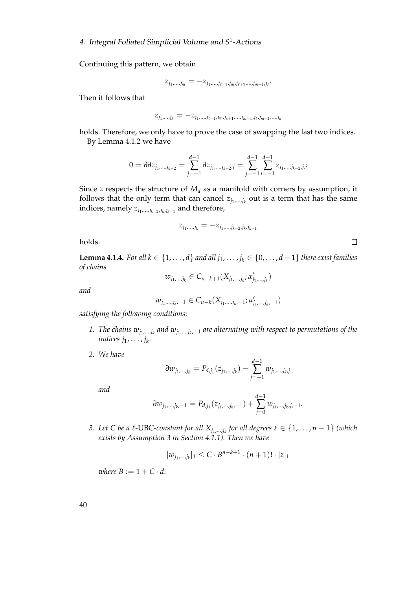Continuing this pattern, we obtain

$$
z_{j_1,\ldots,j_m}=-z_{j_1,\ldots,j_{\ell-1},j_m,j_{\ell+1},\ldots,j_{m-1},j_\ell}.
$$

Then it follows that

$$
z_{j_1,...,j_k} = -z_{j_1,...,j_{\ell-1},j_m,j_{\ell+1},...,j_{m-1},j_{\ell},j_{m+1},...,j_k}
$$

holds. Therefore, we only have to prove the case of swapping the last two indices. By Lemma [4.1.2](#page-50-1) we have

$$
0=\partial\partial z_{j_1,\dots,j_{k-2}}=\sum_{j=-1}^{d-1}\partial z_{j_1,\dots,j_{k-2},j}=\sum_{j=-1}^{d-1}\sum_{i=-1}^{d-1}z_{j_1,\dots,j_{k-2},j,i}
$$

Since *z* respects the structure of  $M_d$  as a manifold with corners by assumption, it follows that the only term that can cancel  $z_{j_1,\dots,j_k}$  out is a term that has the same indices, namely *zj*1,...,*jk*−<sup>2</sup> ,*jk* ,*jk*−<sup>1</sup> and therefore,

$$
z_{j_1,...,j_k} = -z_{j_1,...,j_{k-2},j_k,j_{k-1}}
$$

holds.

<span id="page-51-0"></span>**Lemma 4.1.4.** *For all k* ∈ {1, . . . , *d*} *and all*  $j_1$ , . . . ,  $j_k$  ∈ {0, . . . , *d* − 1} *there exist families of chains*

$$
w_{j_1,...,j_k} \in C_{n-k+1}(X_{j_1,...,j_k}; \alpha'_{j_1,...,j_k})
$$

*and*

$$
w_{j_1,\dots,j_k,-1} \in C_{n-k}(X_{j_1,\dots,j_k,-1};\alpha'_{j_1,\dots,j_k,-1})
$$

*satisfying the following conditions:*

- *1. The chains wj*1,...,*j<sup>k</sup> and wj*1,...,*j<sup>k</sup>* ,−<sup>1</sup> *are alternating with respect to permutations of the indices j*1, . . . , *j<sup>k</sup> .*
- *2. We have*

$$
\partial w_{j_1,\dots,j_k} = P_{d,j_1}(z_{j_1,\dots,j_k}) - \sum_{j=-1}^{d-1} w_{j_1,\dots,j_k,j}
$$

*and*

$$
\partial w_{j_1,\dots,j_k,-1} = P_{d,j_1}(z_{j_1,\dots,j_k,-1}) + \sum_{j=0}^{d-1} w_{j_1,\dots,j_k,j,-1}.
$$

*3.* Let C be a  $\ell$ -UBC-constant for all  $X_{j_1,...,j_k}$  for all degrees  $\ell \in \{1,\ldots,n-1\}$  (which *exists by Assumption 3 in Section [4.1.1\)](#page-46-0). Then we have*

$$
|w_{j_1,...,j_k}|_1 \leq C \cdot B^{n-k+1} \cdot (n+1)! \cdot |z|_1
$$

*where*  $B := 1 + C \cdot d$ .

 $\Box$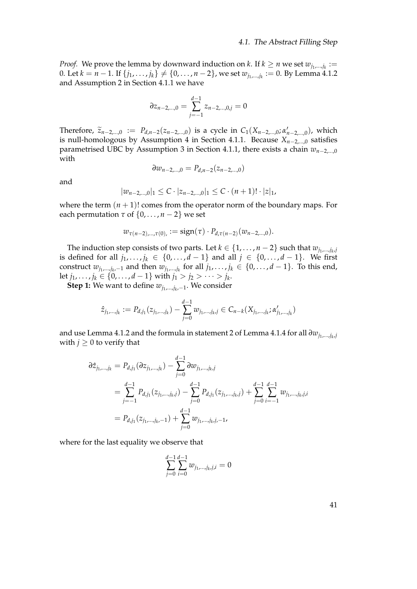*Proof.* We prove the lemma by downward induction on *k*. If  $k \ge n$  we set  $w_{j_1,...,j_k} :=$ 0. Let  $k = n - 1$ . If  $\{j_1, ..., j_k\}$  ≠  $\{0, ..., n-2\}$ , we set  $w_{j_1,...,j_k} := 0$ . By Lemma [4.1.2](#page-50-1) and Assumption 2 in Section [4.1.1](#page-46-0) we have

$$
\partial z_{n-2,\dots,0} = \sum_{j=-1}^{d-1} z_{n-2,\dots,0,j} = 0
$$

Therefore,  $\tilde{z}_{n-2,...,0} := P_{d,n-2}(z_{n-2,...,0})$  is a cycle in  $C_1(X_{n-2,...,0}; \alpha'_{n-2,...,0})$ , which is null-homologous by Assumption 4 in Section [4.1.1.](#page-46-0) Because *Xn*−2,...,0 satisfies parametrised UBC by Assumption 3 in Section [4.1.1,](#page-46-0) there exists a chain *wn*−2,...,0 with

$$
\partial w_{n-2,\dots,0}=P_{d,n-2}(z_{n-2,\dots,0})
$$

and

$$
|w_{n-2,...,0}|_1 \leq C \cdot |z_{n-2,...,0}|_1 \leq C \cdot (n+1)! \cdot |z|_1,
$$

where the term  $(n + 1)!$  comes from the operator norm of the boundary maps. For each permutation  $\tau$  of  $\{0, \ldots, n-2\}$  we set

$$
w_{\tau(n-2), \ldots, \tau(0))} := \text{sign}(\tau) \cdot P_{d, \tau(n-2)}(w_{n-2, \ldots, 0}).
$$

The induction step consists of two parts. Let  $k \in \{1, \ldots, n-2\}$  such that  $w_{j_1,\ldots,j_k,j_k}$ is defined for all  $j_1, \ldots, j_k \in \{0, \ldots, d-1\}$  and all  $j \in \{0, \ldots, d-1\}$ . We first construct  $w_{j_1,...,j_k,-1}$  and then  $w_{j_1,...,j_k}$  for all  $j_1,...,j_k \in \{0,...,d-1\}$ . To this end, let *j*<sub>1</sub>, . . . *, j*<sub>*k*</sub> ∈ {0*,* . . . *, d* − 1} with *j*<sub>1</sub> > *j*<sub>2</sub> > · · · > *j*<sub>*k*</sub>.

**Step 1:** We want to define *wj*1,...,*j<sup>k</sup>* ,−1. We consider

$$
\hat{z}_{j_1,\dots,j_k} := P_{d,j_1}(z_{j_1,\dots,j_k}) - \sum_{j=0}^{d-1} w_{j_1,\dots,j_k,j} \in C_{n-k}(X_{j_1,\dots,j_k}; \alpha'_{j_1,\dots,j_k})
$$

and use Lemma [4.1.2](#page-50-1) and the formula in statement 2 of Lemma [4.1.4](#page-51-0) for all  $\partial w_{j_1,...,j_k,j_l}$ with  $j \geq 0$  to verify that

$$
\partial \hat{z}_{j_1,\dots,j_k} = P_{d,j_1}(\partial z_{j_1,\dots,j_k}) - \sum_{j=0}^{d-1} \partial w_{j_1,\dots,j_k,j}
$$
  
\n
$$
= \sum_{j=-1}^{d-1} P_{d,j_1}(z_{j_1,\dots,j_k,j}) - \sum_{j=0}^{d-1} P_{d,j_1}(z_{j_1,\dots,j_k,j}) + \sum_{j=0}^{d-1} \sum_{i=-1}^{d-1} w_{j_1,\dots,j_k,j,i}
$$
  
\n
$$
= P_{d,j_1}(z_{j_1,\dots,j_k,-1}) + \sum_{j=0}^{d-1} w_{j_1,\dots,j_k,j,-1},
$$

where for the last equality we observe that

$$
\sum_{j=0}^{d-1} \sum_{i=0}^{d-1} w_{j_1,\dots,j_k,j,i} = 0
$$

41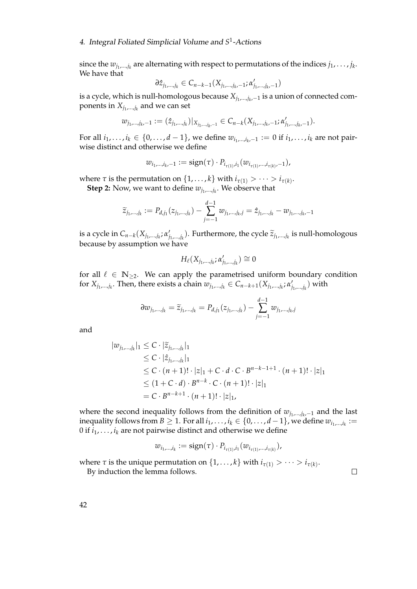since the  $w_{j_1,...,j_k}$  are alternating with respect to permutations of the indices  $j_1,\ldots,j_k$ . We have that

$$
\partial \hat{z}_{j_1,\dots,j_k} \in C_{n-k-1}(X_{j_1,\dots,j_k-1}; \alpha'_{j_1,\dots,j_k-1})
$$

is a cycle, which is null-homologous because *Xj*1,...,*j<sup>k</sup>* ,−<sup>1</sup> is a union of connected components in  $X_{j_1,...,j_k}$  and we can set

$$
w_{j_1,\ldots,j_k,-1}:=(\hat{z}_{j_1,\ldots,j_k})|_{X_{j_1,\ldots,j_k,-1}}\in C_{n-k}(X_{j_1,\ldots,j_k,-1};\alpha'_{j_1,\ldots,j_k,-1}).
$$

For all  $i_1, \ldots, i_k \in \{0, \ldots, d-1\}$ , we define  $w_{i_1, \ldots, i_k, -1} := 0$  if  $i_1, \ldots, i_k$  are not pairwise distinct and otherwise we define

$$
w_{i_1,...,i_k,-1} := \text{sign}(\tau) \cdot P_{i_{\tau(1)},i_1}(w_{i_{\tau(1)},...,i_{\tau(k)},-1}),
$$

where  $\tau$  is the permutation on  $\{1, \ldots, k\}$  with  $i_{\tau(1)} > \cdots > i_{\tau(k)}$ .

**Step 2:** Now, we want to define *wj*1,...,*j<sup>k</sup>* . We observe that

$$
\widetilde{z}_{j_1,\dots,j_k} := P_{d,j_1}(z_{j_1,\dots,j_k}) - \sum_{j=-1}^{d-1} w_{j_1,\dots,j_k,j} = \hat{z}_{j_1,\dots,j_k} - w_{j_1,\dots,j_k-1}
$$

is a cycle in  $C_{n-k}(X_{j_1,...,j_k}; \alpha'_j)$ *j*<sub>1</sub>,...,*j*<sub>k</sub>). Furthermore, the cycle  $\widetilde{z}_{j_1,...,j_k}$  is null-homologous<br>blacks</sub> because by assumption we have

$$
H_{\ell}(X_{j_1,\ldots,j_k};\alpha'_{j_1,\ldots,j_k})\cong 0
$$

for all  $\ell \in \mathbb{N}_{\geq 2}$ . We can apply the parametrised uniform boundary condition for  $X_{j_1,...,j_k}$ . Then, there exists a chain  $w_{j_1,...,j_k} \in C_{n-k+1}(X_{j_1,...,j_k}; \alpha'_j)$  $\mathcal{I}_{j_1,...,j_k}^{\prime}$ ) with

$$
\partial w_{j_1,\dots,j_k} = \widetilde{z}_{j_1,\dots,j_k} = P_{d,j_1}(z_{j_1,\dots,j_k}) - \sum_{j=-1}^{d-1} w_{j_1,\dots,j_k,j}
$$

and

$$
|w_{j_1,\dots,j_k}|_1 \leq C \cdot |\tilde{z}_{j_1,\dots,j_k}|_1
$$
  
\n
$$
\leq C \cdot |\hat{z}_{j_1,\dots,j_k}|_1
$$
  
\n
$$
\leq C \cdot (n+1)! \cdot |z|_1 + C \cdot d \cdot C \cdot B^{n-k-1+1} \cdot (n+1)! \cdot |z|_1
$$
  
\n
$$
\leq (1+C \cdot d) \cdot B^{n-k} \cdot C \cdot (n+1)! \cdot |z|_1
$$
  
\n
$$
= C \cdot B^{n-k+1} \cdot (n+1)! \cdot |z|_1,
$$

where the second inequality follows from the definition of  $w_{j_1,...,j_k,-1}$  and the last inequality follows from  $B\geq 1$ . For all  $i_1,\ldots,i_k\in\{0,\ldots,d-1\}$ , we define  $w_{i_1,\ldots,i_k}:=$ 0 if  $i_1$ , . . . ,  $i_k$  are not pairwise distinct and otherwise we define

$$
w_{i_1,...,i_k} := \text{sign}(\tau) \cdot P_{i_{\tau(1)},i_1}(w_{i_{\tau(1)},...,i_{\tau(k)}}),
$$

where  $\tau$  is the unique permutation on  $\{1,\ldots,k\}$  with  $i_{\tau(1)} > \cdots > i_{\tau(k)}$ .

By induction the lemma follows.

 $\Box$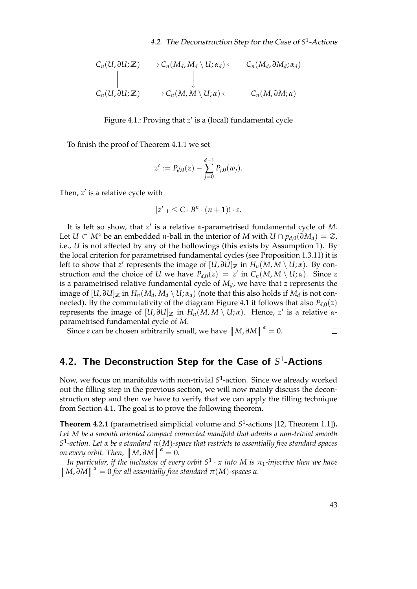$$
C_n(U, \partial U; \mathbb{Z}) \longrightarrow C_n(M_d, M_d \setminus U; \alpha_d) \longleftarrow C_n(M_d, \partial M_d; \alpha_d)
$$
  
\n
$$
\downarrow \qquad \qquad \downarrow
$$
  
\n
$$
C_n(U, \partial U; \mathbb{Z}) \longrightarrow C_n(M, M \setminus U; \alpha) \longleftarrow C_n(M, \partial M; \alpha)
$$

<span id="page-54-1"></span>Figure 4.1.: Proving that z' is a (local) fundamental cycle

To finish the proof of Theorem [4.1.1](#page-50-0) we set

$$
z' := P_{d,0}(z) - \sum_{j=0}^{d-1} P_{j,0}(w_j).
$$

Then, z' is a relative cycle with

$$
|z'|_1 \leq C \cdot B^n \cdot (n+1)! \cdot \varepsilon.
$$

It is left so show, that *z'* is a relative *α*-parametrised fundamental cycle of *M*. Let  $U \subset M^{\circ}$  be an embedded *n*-ball in the interior of *M* with  $U \cap p_{d,0}(\partial M_d) = \emptyset$ , i.e., *U* is not affected by any of the hollowings (this exists by Assumption 1). By the local criterion for parametrised fundamental cycles (see Proposition [1.3.11\)](#page-26-0) it is left to show that  $z'$  represents the image of  $[U,\partial U]_{\mathbb{Z}}$  in  $H_n(M,M \setminus U;\alpha)$ . By construction and the choice of *U* we have  $P_{d,0}(z) = z'$  in  $C_n(M, M \setminus U; \alpha)$ . Since *z* is a parametrised relative fundamental cycle of *M<sup>d</sup>* , we have that *z* represents the image of  $[U,\partial U]_{\mathbb{Z}}$  in  $H_n(M_d,M_d \setminus U; \alpha_d)$  (note that this also holds if  $M_d$  is not con-nected). By the commutativity of the diagram Figure [4.1](#page-54-1) it follows that also  $P_{d,0}(z)$ represents the image of  $[U, \partial U]_{\mathbb{Z}}$  in  $H_n(M, M \setminus U; \alpha)$ . Hence, *z'* is a relative *α*parametrised fundamental cycle of *M*.

Since  $\varepsilon$  can be chosen arbitrarily small, we have  $|M, \partial M|^{a} = 0$ .  $\Box$ 

# <span id="page-54-0"></span>4.2. The Deconstruction Step for the Case of  $S^1$ -Actions

Now, we focus on manifolds with non-trivial *S* 1 -action. Since we already worked out the filling step in the previous section, we will now mainly discuss the deconstruction step and then we have to verify that we can apply the filling technique from Section [4.1.](#page-45-0) The goal is to prove the following theorem.

<span id="page-54-2"></span>**Theorem 4.2.1** (parametrised simplicial volume and S<sup>1</sup>-actions [\[12,](#page-83-5) Theorem 1.1]). *Let M be a smooth oriented compact connected manifold that admits a non-trivial smooth S* 1 *-action. Let α be a standard π*(*M*)*-space that restricts to essentially free standard spaces on every orbit.* Then,  $|M, \partial M| \stackrel{\alpha}{=} 0$ .<br>In particular, if the inclusion of ever

*In particular, if the inclusion of every orbit*  $S^1 \cdot x$  *into*  $M$  *is*  $\pi_1$ *-injective then we have*  $|M, \partial M|^\alpha = 0$  *for all essentially free standard*  $\pi(M)$ *-spaces*  $\alpha$ *.*  $[M, \partial M]$ <sup>*α*</sup> = 0 *for all essentially free standard*  $\pi(M)$ *-spaces α.*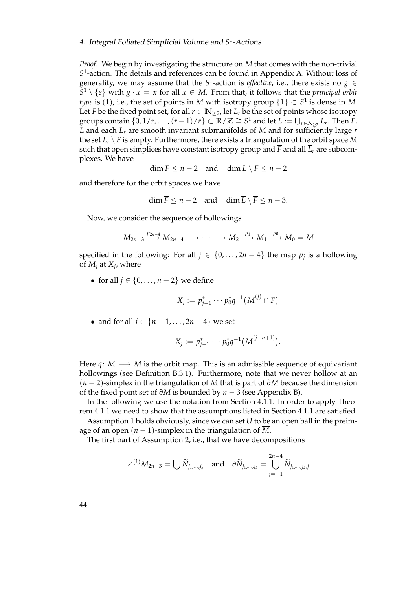*Proof.* We begin by investigating the structure on *M* that comes with the non-trivial *S* 1 -action. The details and references can be found in Appendix [A.](#page-68-0) Without loss of generality, we may assume that the  $S^1$ -action is *effective*, i.e., there exists no  $g \in$  $S^1 \setminus \{e\}$  with  $g \cdot x = x$  for all  $x \in M$ . From that, it follows that the *principal orbit type* is  $(1)$ , i.e., the set of points in *M* with isotropy group  $\{1\} \subset S^1$  is dense in *M*. Let *F* be the fixed point set, for all  $r \in \mathbb{N}_{\geq 2}$ , let  $L_r$  be the set of points whose isotropy groups contain  $\{0, 1/r, \ldots, (r-1)/r\} \subset \mathbb{R}/\mathbb{Z} \cong S^1$  and let  $L := \bigcup_{r \in \mathbb{N}_{\geq 2}} L_r$ . Then *F*, *L* and each *L<sup>r</sup>* are smooth invariant submanifolds of *M* and for sufficiently large *r* the set  $L_r \setminus F$  is empty. Furthermore, there exists a triangulation of the orbit space M such that open simplices have constant isotropy group and  $\overline{F}$  and all  $\overline{L}_r$  are subcomplexes. We have

$$
\dim F \leq n-2 \quad \text{and} \quad \dim L \setminus F \leq n-2
$$

and therefore for the orbit spaces we have

$$
\dim \overline{F} \leq n-2 \quad \text{and} \quad \dim \overline{L} \setminus \overline{F} \leq n-3.
$$

Now, we consider the sequence of hollowings

$$
M_{2n-3} \stackrel{p_{2n-4}}{\longrightarrow} M_{2n-4} \longrightarrow \cdots \longrightarrow M_2 \stackrel{p_1}{\longrightarrow} M_1 \stackrel{p_0}{\longrightarrow} M_0 = M
$$

specified in the following: For all  $j \in \{0, \ldots, 2n-4\}$  the map  $p_j$  is a hollowing of *M<sup>j</sup>* at *X<sup>j</sup>* , where

• for all  $j \in \{0, \ldots, n-2\}$  we define

$$
X_j := p_{j-1}^* \cdots p_0^* q^{-1} (\overline{M}^{(j)} \cap \overline{F})
$$

• and for all  $j \in \{n-1, ..., 2n-4\}$  we set

$$
X_j := p_{j-1}^* \cdots p_0^* q^{-1} (\overline{M}^{(j-n+1)}).
$$

Here *q* : *M*  $\longrightarrow \overline{M}$  is the orbit map. This is an admissible sequence of equivariant hollowings (see Definition [B.3.1\)](#page-78-0). Furthermore, note that we never hollow at an (*n* − 2)-simplex in the triangulation of *M* that is part of *∂M* because the dimension of the fixed point set of *∂M* is bounded by *n* − 3 (see Appendix [B\)](#page-72-0).

In the following we use the notation from Section [4.1.1.](#page-46-0) In order to apply Theorem [4.1.1](#page-50-0) we need to show that the assumptions listed in Section [4.1.1](#page-46-0) are satisfied.

Assumption 1 holds obviously, since we can set *U* to be an open ball in the preimage of an open  $(n - 1)$ -simplex in the triangulation of  $\overline{M}$ .

The first part of Assumption 2, i.e., that we have decompositions

$$
\angle^{(k)} M_{2n-3} = \bigcup \widetilde{N}_{j_1,\dots,j_k} \quad \text{and} \quad \partial \widetilde{N}_{j_1,\dots,j_k} = \bigcup_{j=-1}^{2n-4} \widetilde{N}_{j_1,\dots,j_k,j}
$$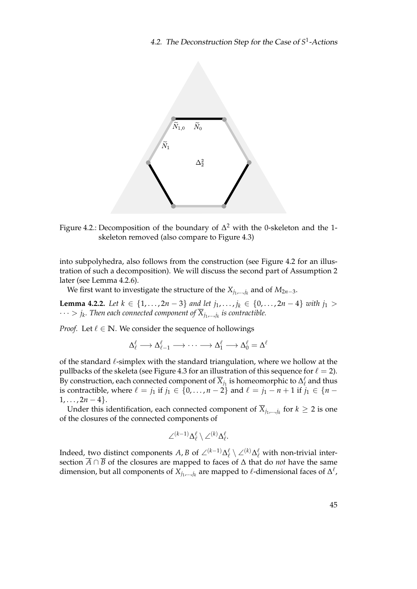

<span id="page-56-0"></span>Figure 4.2.: Decomposition of the boundary of  $\Delta^2$  with the 0-skeleton and the 1skeleton removed (also compare to Figure [4.3\)](#page-57-0)

into subpolyhedra, also follows from the construction (see Figure [4.2](#page-56-0) for an illustration of such a decomposition). We will discuss the second part of Assumption 2 later (see Lemma [4.2.6\)](#page-59-0).

We first want to investigate the structure of the *Xj*1,...,*j<sup>k</sup>* and of *M*2*n*−3.

<span id="page-56-1"></span>**Lemma 4.2.2.** *Let*  $k \in \{1, ..., 2n - 3\}$  *and let*  $j_1, ..., j_k \in \{0, ..., 2n - 4\}$  *with*  $j_1 >$  $\cdots > j_k.$  Then each connected component of  $\overline{X}_{j_1,...,j_k}$  is contractible.

*Proof.* Let  $\ell \in \mathbb{N}$ . We consider the sequence of hollowings

$$
\Delta^\ell_\ell \longrightarrow \Delta^\ell_{\ell-1} \longrightarrow \cdots \longrightarrow \Delta^\ell_1 \longrightarrow \Delta^\ell_0 = \Delta^\ell
$$

of the standard  $\ell$ -simplex with the standard triangulation, where we hollow at the pullbacks of the skeleta (see Figure [4.3](#page-57-0) for an illustration of this sequence for  $\ell = 2$ ). By construction, each connected component of  $\overline{X}_{j_1}$  is homeomorphic to  $\Delta^\ell_\ell$  and thus is contractible, where  $\ell = j_1$  if  $j_1 \in \{0, \ldots, n-2\}$  and  $\ell = j_1 - n + 1$  if  $j_1 \in \{n-1\}$  $1, \ldots, 2n-4$ .

Under this identification, each connected component of  $\overline{X}_{j_1,...,j_k}$  for  $k \geq 2$  is one of the closures of the connected components of

$$
\angle^{(k-1)} \Delta^\ell_\ell \setminus \angle^{(k)} \Delta^\ell_\ell.
$$

Indeed, <u>two distinct components</u> *A*, *B* of  $\angle^{(k-1)}\Delta^{\ell}$   $\setminus\angle^{(k)}\Delta^{\ell}$  with non-trivial intersection  $\overline{A} \cap \overline{B}$  of the closures are mapped to faces of  $\Delta$  that do *not* have the same dimension, but all components of  $X_{j_1,...,j_k}$  are mapped to  $\ell$ -dimensional faces of  $\Delta^{\ell}$ ,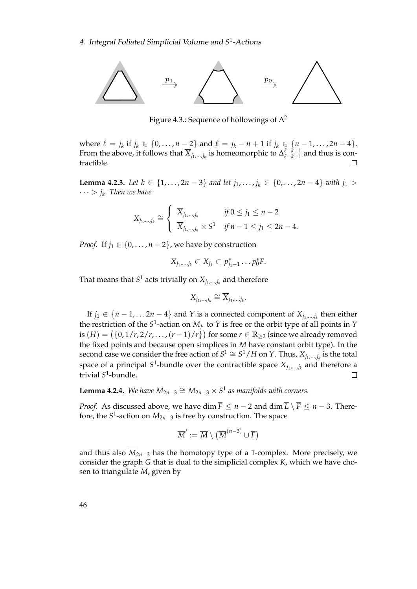

<span id="page-57-0"></span>Figure 4.3.: Sequence of hollowings of  $\Delta^2$ 

where  $\ell = j_k$  if  $j_k \in \{0, ..., n-2\}$  and  $\ell = j_k - n + 1$  if  $j_k \in \{n-1, ..., 2n-4\}$ . From the above, it follows that  $\overline{X}_{j_1,...,j_k}$  is homeomorphic to  $\Delta_{\ell-k+1}^{\ell-k+1}$  $\int_{\ell-k+1}^{\ell-k+1}$  and thus is contractible.

<span id="page-57-2"></span>**Lemma 4.2.3.** *Let*  $k \in \{1, ..., 2n - 3\}$  *and let*  $j_1, ..., j_k \in \{0, ..., 2n - 4\}$  *with*  $j_1 >$ · · · > *j<sup>k</sup> . Then we have*

$$
X_{j_1,\dots,j_k} \cong \begin{cases} \overline{X}_{j_1,\dots,j_k} & \text{if } 0 \le j_1 \le n-2 \\ \overline{X}_{j_1,\dots,j_k} \times S^1 & \text{if } n-1 \le j_1 \le 2n-4. \end{cases}
$$

*Proof.* If  $j_1 \in \{0, \ldots, n-2\}$ , we have by construction

$$
X_{j_1,\dots,j_k}\subset X_{j_1}\subset p_{j_1-1}^*\dots p_0^*F.
$$

That means that  $S^1$  acts trivially on  $X_{j_1,...,j_k}$  and therefore

$$
X_{j_1,\dots,j_k}\cong \overline{X}_{j_1,\dots,j_k}.
$$

If  $j_1 \in \{n-1, \ldots, 2n-4\}$  and Y is a connected component of  $X_{j_1,\ldots,j_k}$  then either the restriction of the  $S^1$ -action on  $M_{j_1}$  to  $Y$  is free or the orbit type of all points in  $Y$ is  $(H) = \left(\{0, 1/r, 2/r, \ldots, (r-1)/r\}\right)$  for some  $r \in \mathbb{R}_{\geq 2}$  (since we already removed the fixed points and because open simplices in  $\overline{M}$  have constant orbit type). In the second case we consider the free action of  $S^1 \cong S^1/H$  on *Y*. Thus,  $X_{j_1,...,j_k}$  is the total space of a principal  $S^1$ -bundle over the contractible space  $\overline{X}_{j_1,...,j_k}$  and therefore a trivial *S* 1 -bundle.  $\Box$ 

<span id="page-57-1"></span>**Lemma 4.2.4.** We have  $M_{2n-3} \cong \overline{M}_{2n-3} \times S^1$  as manifolds with corners.

*Proof.* As discussed above, we have dim  $\overline{F} \le n - 2$  and dim  $\overline{L} \setminus \overline{F} \le n - 3$ . Therefore, the *S* 1 -action on *M*2*n*−<sup>3</sup> is free by construction. The space

$$
\overline{M}' := \overline{M} \setminus (\overline{M}^{(n-3)} \cup \overline{F})
$$

and thus also  $\overline{M}_{2n-3}$  has the homotopy type of a 1-complex. More precisely, we consider the graph *G* that is dual to the simplicial complex *K*, which we have chosen to triangulate  $\overline{M}$ , given by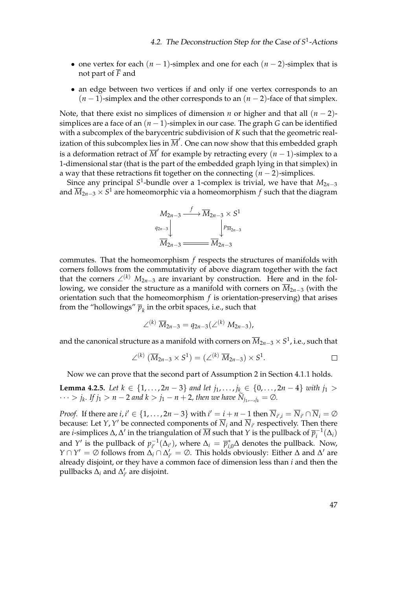- one vertex for each (*n* − 1)-simplex and one for each (*n* − 2)-simplex that is not part of  $\overline{F}$  and
- an edge between two vertices if and only if one vertex corresponds to an (*n* − 1)-simplex and the other corresponds to an (*n* − 2)-face of that simplex.

Note, that there exist no simplices of dimension *n* or higher and that all  $(n - 2)$ simplices are a face of an (*n* − 1)-simplex in our case. The graph *G* can be identified with a subcomplex of the barycentric subdivision of *K* such that the geometric realization of this subcomplex lies in  $\overline{M}'$ . One can now show that this embedded graph is a deformation retract of  $\overline{M}'$  for example by retracting every  $(n-1)$ -simplex to a 1-dimensional star (that is the part of the embedded graph lying in that simplex) in a way that these retractions fit together on the connecting (*n* − 2)-simplices.

Since any principal *S* 1 -bundle over a 1-complex is trivial, we have that *M*2*n*−<sup>3</sup> and *M*2*n*−<sup>3</sup> × *S* <sup>1</sup> are homeomorphic via a homeomorphism *f* such that the diagram

$$
M_{2n-3} \xrightarrow{f} \overline{M}_{2n-3} \times S^1
$$
\n
$$
q_{2n-3} \downarrow \qquad \qquad \downarrow p_{\overline{M}_{2n-3}}
$$
\n
$$
\overline{M}_{2n-3} \xrightarrow{f} \overline{M}_{2n-3}
$$

commutes. That the homeomorphism *f* respects the structures of manifolds with corners follows from the commutativity of above diagram together with the fact that the corners  $\angle^{(k)}$  *M*<sub>2*n*−3</sub> are invariant by construction. Here and in the following, we consider the structure as a manifold with corners on *M*2*n*−<sup>3</sup> (with the orientation such that the homeomorphism *f* is orientation-preserving) that arises from the "hollowings"  $\overline{p}_k$  in the orbit spaces, i.e., such that

$$
\angle^{(k)} \, \overline{M}_{2n-3} = q_{2n-3} (\angle^{(k)} M_{2n-3}),
$$

and the canonical structure as a manifold with corners on  $\overline{M}_{2n-3} \times S^1$ , i.e., such that

$$
\angle^{(k)}(\overline{M}_{2n-3}\times S^1)=(\angle^{(k)}\overline{M}_{2n-3})\times S^1.
$$

Now we can prove that the second part of Assumption 2 in Section [4.1.1](#page-46-0) holds.

<span id="page-58-0"></span>**Lemma 4.2.5.** *Let*  $k \in \{1, ..., 2n - 3\}$  *and let*  $j_1, ..., j_k \in \{0, ..., 2n - 4\}$  *with*  $j_1 >$  $\cdots$  > *j<sub>k</sub>*. If  $j_1 > n - 2$  and  $k > j_1 - n + 2$ , then we have  $N_{j_1,...,j_k} = \emptyset$ .

*Proof.* If there are  $i$ ,  $i' \in \{1, ..., 2n-3\}$  with  $i' = i + n - 1$  then  $\overline{N}_{i',i} = \overline{N}_{i'} \cap \overline{N}_i = \emptyset$ because: Let *Y*, *Y'* be connected components of  $\overline{N}_i$  and  $\overline{N}_{i^\prime}$  respectively. Then there are *i*-simplices  $\Delta$ ,  $\Delta'$  in the triangulation of  $\overline{M}$  such that *Y* is the pullback of  $\overline{p}_i^{-1}(\Delta_i)$ and *Y'* is the pullback of  $p_{i'}^{-1}$  $\overline{p}_{i'}^{-1}(\Delta_{i'})$ , where  $\Delta_i = \overline{p}_{i,0}^* \Delta$  denotes the pullback. Now, *Y* ∩ *Y*<sup> $\prime$ </sup> = ∅ follows from  $\Delta_i \cap \Delta'_{i'} = \emptyset$ . This holds obviously: Either  $\Delta$  and  $\Delta'$  are already disjoint, or they have a common face of dimension less than *i* and then the pullbacks  $\Delta_i$  and  $\Delta'_{i'}$  are disjoint.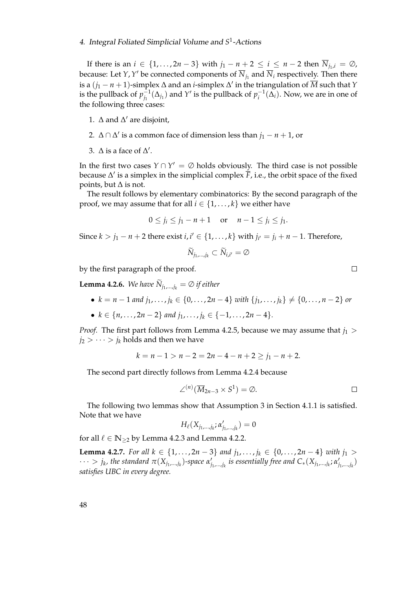If there is an *i* ∈ {1,...,2*n* − 3} with  $j_1 - n + 2 \le i \le n - 2$  then  $\overline{N}_{j_1,i} = \emptyset$ , because: Let *Y*, *Y'* be connected components of  $\overline{N}_{j_1}$  and  $\overline{N}_i$  respectively. Then there is a  $(j_1 - n + 1)$ -simplex ∆ and an *i*-simplex ∆' in the triangulation of  $\overline{M}$  such that *Y* is the pullback of  $p_i^{-1}$  $j_1^{-1}(\Delta_{j_1})$  and *Y*' is the pullback of  $p_i^{-1}(\Delta_i)$ . Now, we are in one of the following three cases:

- 1.  $\Delta$  and  $\Delta'$  are disjoint,
- 2.  $\Delta \cap \Delta'$  is a common face of dimension less than  $j_1 n + 1$ , or
- 3.  $\Delta$  is a face of  $\Delta'$ .

In the first two cases  $Y \cap Y' = \emptyset$  holds obviously. The third case is not possible because ∆' is a simplex in the simplicial complex  $\overline{\overline{F}}$ , i.e., the orbit space of the fixed points, but  $\Delta$  is not.

The result follows by elementary combinatorics: By the second paragraph of the proof, we may assume that for all  $i \in \{1, ..., k\}$  we either have

$$
0 \le j_i \le j_1 - n + 1
$$
 or  $n - 1 \le j_i \le j_1$ .

Since  $k > j_1 - n + 2$  there exist  $i, i' \in \{1, ..., k\}$  with  $j_{i'} = j_i + n - 1$ . Therefore,

$$
\widetilde{N}_{j_1,\dots,j_k}\subset \widetilde{N}_{i,i'}=\emptyset
$$

by the first paragraph of the proof.

<span id="page-59-0"></span>**Lemma 4.2.6.** *We have*  $\widetilde{N}_{j_1,\dots,j_k} = \emptyset$  *if either* 

- $k = n 1$  and  $j_1, \ldots, j_k \in \{0, \ldots, 2n 4\}$  with  $\{j_1, \ldots, j_k\} \neq \{0, \ldots, n 2\}$  or
- $k \in \{n, \ldots, 2n-2\}$  and  $j_1, \ldots, j_k \in \{-1, \ldots, 2n-4\}.$

*Proof.* The first part follows from Lemma [4.2.5,](#page-58-0) because we may assume that  $j_1$  >  $j_2 > \cdots > j_k$  holds and then we have

$$
k = n - 1 > n - 2 = 2n - 4 - n + 2 \ge j_1 - n + 2.
$$

The second part directly follows from Lemma [4.2.4](#page-57-1) because

$$
\angle^{(n)}(\overline{M}_{2n-3}\times S^1)=\emptyset.
$$

The following two lemmas show that Assumption 3 in Section [4.1.1](#page-46-0) is satisfied. Note that we have

$$
H_{\ell}(X_{j_1,\ldots,j_k};\alpha'_{j_1,\ldots,j_k})=0
$$

for all  $\ell \in \mathbb{N}_{\geq 2}$  by Lemma [4.2.3](#page-57-2) and Lemma [4.2.2.](#page-56-1)

**Lemma 4.2.7.** *For all k* ∈ {1,..., 2*n* − 3} *and*  $j_1$ ,...,  $j_k$  ∈ {0,..., 2*n* − 4} *with*  $j_1$  >  $\cdots > j_k$ , the standard  $\pi(X_{j_1,\dots,j_k})$ -space  $\alpha'_j$  $j_{1},...,j_{k}}$  is essentially free and  $C_{\ast}(X_{j_{1},...,j_{k}}; \alpha_{j_{k}}^{\prime})$ *j*1,...,*j<sup>k</sup>* ) *satisfies UBC in every degree.*

 $\Box$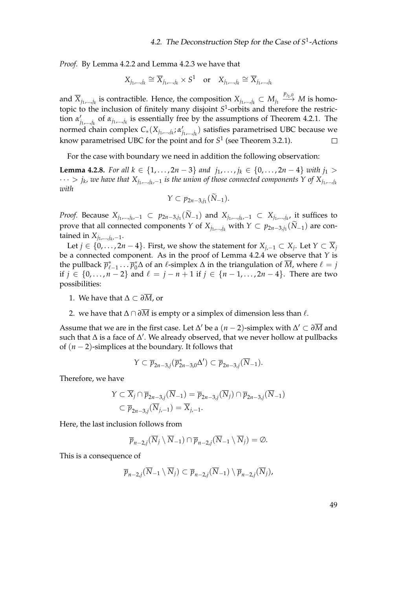*Proof.* By Lemma [4.2.2](#page-56-1) and Lemma [4.2.3](#page-57-2) we have that

$$
X_{j_1,\dots,j_k} \cong \overline{X}_{j_1,\dots,j_k} \times S^1 \quad \text{or} \quad X_{j_1,\dots,j_k} \cong \overline{X}_{j_1,\dots,j_k}
$$

and  $\overline{X}_{j_1,...,j_k}$  is contractible. Hence, the composition  $X_{j_1,...,j_k}\subset M_{j_1}\stackrel{p_{j_1,0}}{\longrightarrow} M$  is homotopic to the inclusion of finitely many disjoint *S* 1 -orbits and therefore the restriction  $\alpha'_i$ *j*1,...,*j<sup>k</sup>* of *αj*1,...,*j<sup>k</sup>* is essentially free by the assumptions of Theorem [4.2.1.](#page-54-2) The normed chain complex *C*∗(*Xj*1,...,*j<sup>k</sup>* ; *α* 0 *j*1,...,*j<sup>k</sup>* ) satisfies parametrised UBC because we know parametrised UBC for the point and for  $S^1$  (see Theorem [3.2.1\)](#page-33-0).  $\Box$ 

For the case with boundary we need in addition the following observation:

<span id="page-60-0"></span>**Lemma 4.2.8.** *For all k* ∈ {1,..., 2*n* − 3} *and*  $j_1$ ,...,  $j_k$  ∈ {0,..., 2*n* − 4} *with*  $j_1$  > · · · > *j<sup>k</sup> , we have that Xj*1,...,*j<sup>k</sup>* ,−<sup>1</sup> *is the union of those connected components Y of Xj*1,...,*j<sup>k</sup> with*

$$
Y\subset p_{2n-3,j_1}(N_{-1}).
$$

*Proof.* Because  $X_{j_1,...,j_k,-1}$  ⊂  $p_{2n-3,j_1}(N_{-1})$  and  $X_{j_1,...,j_k,-1}$  ⊂  $X_{j_1,...,j_k}$  it suffices to prove that all connected components *Y* of  $X_{j_1,...,j_k}$  with  $Y \subset p_{2n-3,j_1}(N_{-1})$  are contained in  $X_{j_1,...,j_k,-1}$ .

Let *j* ∈ {0, . . . , 2*n* − 4}. First, we show the statement for  $X_{j,-1} \subset X_j$ . Let  $Y \subset \overline{X}_j$ be a connected component. As in the proof of Lemma [4.2.4](#page-57-1) we observe that *Y* is the pullback  $\overline{p}_{\ell-1}^* \dots \overline{p}_0^* \Delta$  of an  $\ell$ -simplex  $\Delta$  in the triangulation of  $\overline{M}$ , where  $\ell = j$ if *j* ∈ {0,..., *n* − 2} and  $\ell = j - n + 1$  if  $j \in \{n - 1, ..., 2n - 4\}$ . There are two possibilities:

- 1. We have that ∆ ⊂ *∂M*, or
- 2. we have that  $\Delta \cap \partial \overline{M}$  is empty or a simplex of dimension less than  $\ell$ .

Assume that we are in the first case. Let  $\Delta'$  be a  $(n-2)$ -simplex with  $\Delta' \subset \partial \overline{M}$  and such that  $\Delta$  is a face of  $\Delta'$ . We already observed, that we never hollow at pullbacks of (*n* − 2)-simplices at the boundary. It follows that

$$
Y \subset \overline{p}_{2n-3,j}(\overline{p}_{2n-3,0}^*\Delta') \subset \overline{p}_{2n-3,j}(\overline{N}_{-1}).
$$

Therefore, we have

$$
Y \subset \overline{X}_j \cap \overline{p}_{2n-3,j}(\overline{N}_{-1}) = \overline{p}_{2n-3,j}(\overline{N}_j) \cap \overline{p}_{2n-3,j}(\overline{N}_{-1})
$$
  

$$
\subset \overline{p}_{2n-3,j}(\overline{N}_{j,-1}) = \overline{X}_{j,-1}.
$$

Here, the last inclusion follows from

$$
\overline{p}_{n-2,j}(\overline{N}_j\setminus\overline{N}_{-1})\cap\overline{p}_{n-2,j}(\overline{N}_{-1}\setminus\overline{N}_j)=\emptyset.
$$

This is a consequence of

$$
\overline{p}_{n-2,j}(\overline{N}_{-1}\setminus\overline{N}_j)\subset\overline{p}_{n-2,j}(\overline{N}_{-1})\setminus\overline{p}_{n-2,j}(\overline{N}_j),
$$

49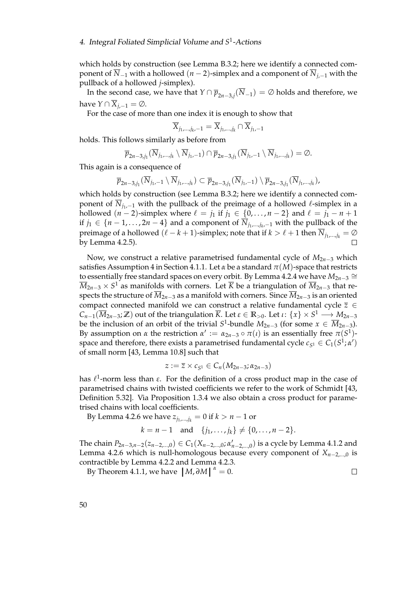which holds by construction (see Lemma [B.3.2;](#page-79-0) here we identify a connected component of  $\overline{N}_{-1}$  with a hollowed (*n* − 2)-simplex and a component of  $\overline{N}_{i,-1}$  with the pullback of a hollowed *j*-simplex).

In the second case, we have that  $Y \cap \overline{p}_{2n-3,j}(\overline{N}_{-1}) = \varnothing$  holds and therefore, we have  $Y \cap \overline{X}_{i-1} = \emptyset$ .

For the case of more than one index it is enough to show that

$$
\overline{X}_{j_1,\dots,j_k,-1} = \overline{X}_{j_1,\dots,j_k} \cap \overline{X}_{j_1,-1}
$$

holds. This follows similarly as before from

$$
\overline{p}_{2n-3,j_1}(\overline{N}_{j_1,\ldots,j_k}\setminus\overline{N}_{j_1,-1})\cap\overline{p}_{2n-3,j_1}(\overline{N}_{j_1,-1}\setminus\overline{N}_{j_1,\ldots,j_k})=\varnothing.
$$

This again is a consequence of

$$
\overline{p}_{2n-3,j_1}(\overline{N}_{j_1,-1}\setminus\overline{N}_{j_1,\ldots,j_k})\subset \overline{p}_{2n-3,j_1}(\overline{N}_{j_1,-1})\setminus\overline{p}_{2n-3,j_1}(\overline{N}_{j_1,\ldots,j_k}),
$$

which holds by construction (see Lemma [B.3.2;](#page-79-0) here we identify a connected component of  $\overline{N}_{j_1,-1}$  with the pullback of the preimage of a hollowed  $\ell$ -simplex in a hollowed  $(n-2)$ -simplex where  $\ell = j_1$  if  $j_1 \in \{0, ..., n-2\}$  and  $\ell = j_1 - n + 1$ if *j*<sub>1</sub> ∈ {*n* − 1, . . . , 2*n* − 4} and a component of  $\overline{N}_{j_1,...,j_k,-1}$  with the pullback of the preimage of a hollowed  $(\ell - k + 1)$ -simplex; note that if  $k > \ell + 1$  then  $\overline{N}_{j_1,\dots,j_k} = \emptyset$ by Lemma [4.2.5\)](#page-58-0).

Now, we construct a relative parametrised fundamental cycle of *M*2*n*−<sup>3</sup> which satisfies Assumption 4 in Section [4.1.1.](#page-46-0) Let  $\alpha$  be a standard  $\pi(M)$ -space that restricts to essentially free standard spaces on every orbit. By Lemma [4.2.4](#page-57-1) we have  $M_{2n-3}$  ≅  $\overline{M}_{2n-3}\times S^1$  as manifolds with corners. Let  $\overline{K}$  be a triangulation of  $\overline{M}_{2n-3}$  that respects the structure of  $\overline{M}_{2n-3}$  as a manifold with corners. Since  $\overline{M}_{2n-3}$  is an oriented compact connected manifold we can construct a relative fundamental cycle *z* ∈  $C_{n-1}(\overline{M}_{2n-3};\mathbb{Z})$  out of the triangulation  $\overline{K}$ . Let  $\varepsilon\in\mathbb{R}_{>0}$ . Let  $\iota\colon\{x\}\times S^1\longrightarrow M_{2n-3}$ be the inclusion of an orbit of the trivial  $S^1$ -bundle  $M_{2n-3}$  (for some  $x \in \overline{M}_{2n-3}$ ). By assumption on *α* the restriction  $\alpha' := \alpha_{2n-3} \circ \pi(\iota)$  is an essentially free  $\pi(S^1)$ space and therefore, there exists a parametrised fundamental cycle  $c_{S^1} \in C_1(S^1; \alpha')$ of small norm [\[43,](#page-85-1) Lemma 10.8] such that

$$
z:=\overline{z}\times c_{S^1}\in C_n(M_{2n-3};\alpha_{2n-3})
$$

has  $\ell^1$ -norm less than *ε*. For the definition of a cross product map in the case of parametrised chains with twisted coefficients we refer to the work of Schmidt [\[43,](#page-85-1) Definition 5.32]. Via Proposition [1.3.4](#page-23-0) we also obtain a cross product for parametrised chains with local coefficients.

By Lemma [4.2.6](#page-59-0) we have  $z_{j_1,...,j_k} = 0$  if  $k > n - 1$  or

$$
k = n - 1
$$
 and  $\{j_1, ..., j_k\} \neq \{0, ..., n - 2\}.$ 

The chain  $P_{2n-3,n-2}(z_{n-2,...,0})$  ∈  $C_1(X_{n-2,...,0}; \alpha'_{n-2,...,0})$  is a cycle by Lemma [4.1.2](#page-50-1) and Lemma [4.2.6](#page-59-0) which is null-homologous because every component of *Xn*−2,...,0 is contractible by Lemma [4.2.2](#page-56-1) and Lemma [4.2.3.](#page-57-2)

 $\Box$ 

By Theorem [4.1.1,](#page-50-0) we have  $|M, \partial M|^{a} = 0$ .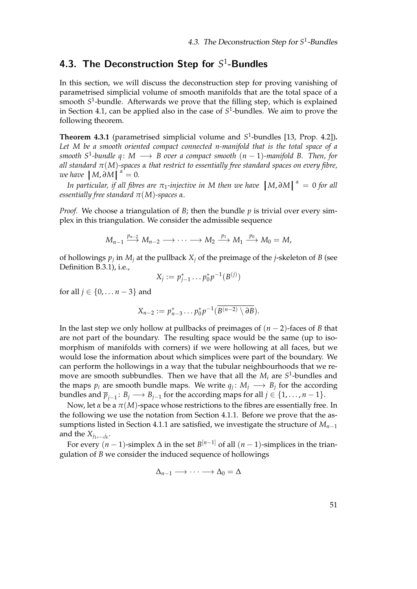# <span id="page-62-0"></span>4.3. The Deconstruction Step for  $S^1$ -Bundles

In this section, we will discuss the deconstruction step for proving vanishing of parametrised simplicial volume of smooth manifolds that are the total space of a smooth *S* 1 -bundle. Afterwards we prove that the filling step, which is explained in Section [4.1,](#page-45-0) can be applied also in the case of *S* 1 -bundles. We aim to prove the following theorem.

<span id="page-62-1"></span>**Theorem 4.3.1** (parametrised simplicial volume and  $S^1$ -bundles [\[13,](#page-83-3) Prop. 4.2]). *Let M be a smooth oriented compact connected n-manifold that is the total space of a smooth S*<sup>1</sup> *-bundle q* : *M* −→ *B over a compact smooth* (*n* − 1)*-manifold B. Then, for all standard π*(*M*)*-spaces α that restrict to essentially free standard spaces on every fibre, we have*  $[M, \partial M]^{\alpha} = 0$ .<br>*In neuticologie if all fibre* 

*In particular, if all fibres are*  $\pi_1$ -injective in M then we have  $|M,\partial M|^{|\alpha|} = 0$  for all<br>centially free standard  $\pi(M)$ -snaces  $\alpha$ *essentially free standard*  $π(M)$ *-spaces*  $α$ *.* 

*Proof.* We choose a triangulation of *B*; then the bundle *p* is trivial over every simplex in this triangulation. We consider the admissible sequence

$$
M_{n-1} \stackrel{p_{n-2}}{\longrightarrow} M_{n-2} \longrightarrow \cdots \longrightarrow M_2 \stackrel{p_1}{\longrightarrow} M_1 \stackrel{p_0}{\longrightarrow} M_0 = M,
$$

of hollowings *p<sup>j</sup>* in *M<sup>j</sup>* at the pullback *X<sup>j</sup>* of the preimage of the *j*-skeleton of *B* (see Definition [B.3.1\)](#page-78-0), i.e.,

$$
X_j := p_{j-1}^* \dots p_0^* p^{-1}(B^{(j)})
$$

for all  $j \in \{0, ..., n-3\}$  and

$$
X_{n-2} := p_{n-3}^* \dots p_0^* p^{-1} (\overline{B^{(n-2)} \setminus \partial B}).
$$

In the last step we only hollow at pullbacks of preimages of (*n* − 2)-faces of *B* that are not part of the boundary. The resulting space would be the same (up to isomorphism of manifolds with corners) if we were hollowing at all faces, but we would lose the information about which simplices were part of the boundary. We can perform the hollowings in a way that the tubular neighbourhoods that we remove are smooth subbundles. Then we have that all the *M<sup>i</sup>* are *S* 1 -bundles and the maps  $p_i$  are smooth bundle maps. We write  $q_j: M_j \longrightarrow B_j$  for the according bundles and  $\overline{p}_{j-1} \colon B_j \longrightarrow B_{j-1}$  for the according maps for all  $j \in \{1, \ldots, n-1\}.$ 

Now, let *α* be a  $π(M)$ -space whose restrictions to the fibres are essentially free. In the following we use the notation from Section [4.1.1.](#page-46-0) Before we prove that the as-sumptions listed in Section [4.1.1](#page-46-0) are satisfied, we investigate the structure of  $M_{n-1}$ and the  $X_{j_1,...,j_k}$ .

For every (*n* − 1)-simplex ∆ in the set *B* [*n*−1] of all (*n* − 1)-simplices in the triangulation of *B* we consider the induced sequence of hollowings

$$
\Delta_{n-1} \longrightarrow \cdots \longrightarrow \Delta_0 = \Delta
$$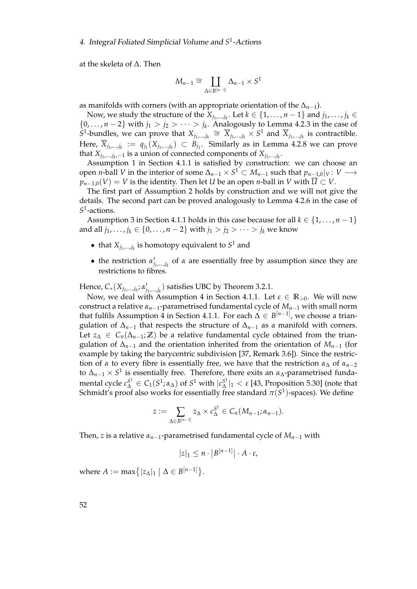at the skeleta of ∆. Then

$$
M_{n-1} \cong \coprod_{\Delta \in B^{[n-1]}} \Delta_{n-1} \times S^1
$$

as manifolds with corners (with an appropriate orientation of the ∆*n*−1).

Now, we study the structure of the  $X_{j_1,...,j_k}$ . Let  $k \in \{1,\ldots,n-1\}$  and  $j_1,\ldots,j_k \in$  $\{0,\ldots,n-2\}$  with  $j_1 > j_2 > \cdots > j_k$ . Analogously to Lemma [4.2.3](#page-57-2) in the case of *S*<sup>1</sup>-bundles, we can prove that  $X_{j_1,...,j_k}$  ≅  $\overline{X}_{j_1,...,j_k}$  × *S*<sup>1</sup> and  $\overline{X}_{j_1,...,j_k}$  is contractible. Here,  $\overline{X}_{j_1,...,j_k} := q_{j_1}(X_{j_1,...,j_k}) \subset B_{j_1}.$  Similarly as in Lemma [4.2.8](#page-60-0) we can prove that  $X_{j_1,...,j_k,-1}$  is a union of connected components of  $X_{j_1,...,j_k}$ .

Assumption 1 in Section [4.1.1](#page-46-0) is satisfied by construction: we can choose an open *n*-ball *V* in the interior of some  $\Delta_{n-1} \times S^1 \subset M_{n-1}$  such that  $p_{n-1,0}|_V \colon V \longrightarrow$  $p_{n-1,0}(V) = V$  is the identity. Then let *U* be an open *n*-ball in *V* with  $\overline{U} \subset V$ .

The first part of Assumption 2 holds by construction and we will not give the details. The second part can be proved analogously to Lemma [4.2.6](#page-59-0) in the case of *S* 1 -actions.

Assumption 3 in Section [4.1.1](#page-46-0) holds in this case because for all  $k \in \{1, \ldots, n-1\}$ and all *j*<sub>1</sub>, . . . , *j*<sub>*k*</sub> ∈ {0, . . . , *n* − 2} with *j*<sub>1</sub> > *j*<sub>2</sub> > · · · > *j*<sub>*k*</sub> we know

- that  $X_{j_1,...,j_k}$  is homotopy equivalent to  $S^1$  and
- the restriction  $\alpha_i'$ *j*1,...,*j<sup>k</sup>* of *α* are essentially free by assumption since they are restrictions to fibres.

Hence, *C*∗(*Xj*1,...,*j<sup>k</sup>* ; *α* 0  $f'_{j_1,...,j_k}$ ) satisfies UBC by Theorem [3.2.1.](#page-33-0)

Now, we deal with Assumption 4 in Section [4.1.1.](#page-46-0) Let  $\varepsilon \in \mathbb{R}_{>0}$ . We will now construct a relative  $\alpha_{n-1}$ -parametrised fundamental cycle of  $M_{n-1}$  with small norm that fulfils Assumption 4 in Section [4.1.1.](#page-46-0) For each  $\Delta \in B^{[n-1]}$ , we choose a triangulation of  $\Delta_{n-1}$  that respects the structure of  $\Delta_{n-1}$  as a manifold with corners. Let  $z_{\Delta}$  ∈  $C_n(\Delta_{n-1}; \mathbb{Z})$  be a relative fundamental cycle obtained from the triangulation of  $\Delta_{n-1}$  and the orientation inherited from the orientation of  $M_{n-1}$  (for example by taking the barycentric subdivision [\[37,](#page-84-2) Remark 3.6]). Since the restriction of *α* to every fibre is essentially free, we have that the restriction  $α<sub>Λ</sub>$  of  $α<sub>n-2</sub>$ to ∆*n*−<sup>1</sup> × *S* 1 is essentially free. Therefore, there exits an *α*∆-parametrised fundamental cycle  $c_{\Delta}^{S^1} \in C_1(S^1;\alpha_{\Delta})$  of  $S^1$  with  $|c_{\Delta}^{S^1}|$  $\frac{S^1}{\Delta}|_1 < \varepsilon$  [\[43,](#page-85-1) Proposition 5.30] (note that Schmidt's proof also works for essentially free standard  $\pi(S^1)$ -spaces). We define

$$
z:=\sum_{\Delta\in B^{[n-1]}}z_{\Delta}\times c_{\Delta}^{S^1}\in C_n(M_{n-1};\alpha_{n-1}).
$$

Then, *z* is a relative  $\alpha_{n-1}$ -parametrised fundamental cycle of  $M_{n-1}$  with

$$
|z|_1 \leq n \cdot |B^{[n-1]}| \cdot A \cdot \varepsilon,
$$

where  $A := \max\{|z_\Delta|_1 \mid \Delta \in B^{[n-1]}\}.$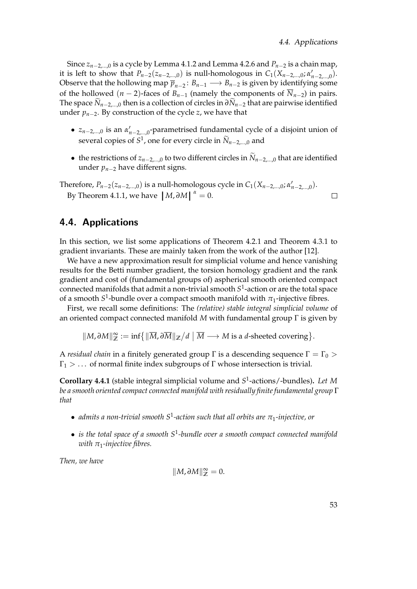Since *zn*−2,...,0 is a cycle by Lemma [4.1.2](#page-50-1) and Lemma [4.2.6](#page-59-0) and *Pn*−<sup>2</sup> is a chain map, it is left to show that  $P_{n-2}(z_{n-2,...,0})$  is null-homologous in  $C_1(X_{n-2,...,0}; \alpha'_{n-2,...,0})$ . Observe that the hollowing map  $\overline{p}_{n-2}$ :  $B_{n-1} \longrightarrow B_{n-2}$  is given by identifying some of the hollowed  $(n-2)$ -faces of  $B_{n-1}$  (namely the components of  $\overline{N}_{n-2}$ ) in pairs. The space  $\widetilde{N}_{n-2,\dots,0}$  then is a collection of circles in  $\partial \widetilde{N}_{n-2}$  that are pairwise identified under  $p_{n-2}$ . By construction of the cycle *z*, we have that

- $z_{n-2,...,0}$  is an  $\alpha'_{n-2,...,0}$ -parametrised fundamental cycle of a disjoint union of several copies of  $S^1$ , one for every circle in  $\widetilde{N}_{n-2,\dots,0}$  and
- the restrictions of  $z_{n-2,...,0}$  to two different circles in  $\widetilde{N}_{n-2,...,0}$  that are identified under *pn*−<sup>2</sup> have different signs.

Therefore,  $P_{n-2}(z_{n-2,...,0})$  is a null-homologous cycle in  $C_1(X_{n-2,...,0}; \alpha'_{n-2,...,0})$ . By Theorem [4.1.1,](#page-50-0) we have  $|M, \partial M|^{a} = 0$ .  $\Box$ 

## <span id="page-64-0"></span>4.4. Applications

In this section, we list some applications of Theorem [4.2.1](#page-54-2) and Theorem [4.3.1](#page-62-1) to gradient invariants. These are mainly taken from the work of the author [\[12\]](#page-83-5).

We have a new approximation result for simplicial volume and hence vanishing results for the Betti number gradient, the torsion homology gradient and the rank gradient and cost of (fundamental groups of) aspherical smooth oriented compact connected manifolds that admit a non-trivial smooth *S* 1 -action or are the total space of a smooth  $S^1$ -bundle over a compact smooth manifold with  $\pi_1$ -injective fibres.

First, we recall some definitions: The *(relative) stable integral simplicial volume* of an oriented compact connected manifold *M* with fundamental group Γ is given by

 $\|M,\partial M\|_{\mathbb{Z}}^{\infty}:=\inf\bigl\{\|\overline{M},\partial\overline{M}\|_{\mathbb{Z}}\big/d\bigm|\overline{M}\longrightarrow M\text{ is a }d\text{-sheeted covering}\bigr\}.$ 

A *residual chain* in a finitely generated group  $\Gamma$  is a descending sequence  $\Gamma = \Gamma_0$  >  $\Gamma_1$  > ... of normal finite index subgroups of  $\Gamma$  whose intersection is trivial.

<span id="page-64-1"></span>**Corollary 4.4.1** (stable integral simplicial volume and *S* 1 -actions/-bundles)**.** *Let M be a smooth oriented compact connected manifold with residually finite fundamental group* Γ *that*

- *admits a non-trivial smooth S*<sup>1</sup> *-action such that all orbits are π*1*-injective, or*
- *is the total space of a smooth S*<sup>1</sup> *-bundle over a smooth compact connected manifold with π*1*-injective fibres.*

*Then, we have*

$$
||M,\partial M||^\infty_{\mathbb{Z}}=0.
$$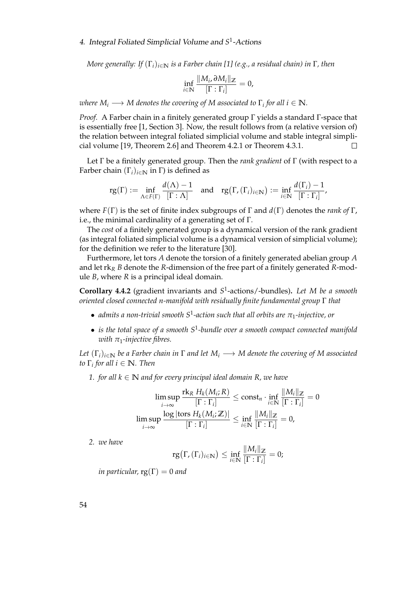*More generally: If* (Γ*i*)*i*∈**<sup>N</sup>** *is a Farber chain [\[1\]](#page-82-2) (e.g., a residual chain) in* Γ*, then*

$$
\inf_{i\in\mathbb{N}}\frac{\|M_i,\partial M_i\|_{{\mathbb{Z}}}}{\left[\Gamma:\Gamma_i\right]}=0,
$$

 $\tau$  *where*  $M_i \longrightarrow M$  *denotes the covering of*  $M$  *associated to*  $\Gamma_i$  *for all*  $i \in \mathbb{N}$ *.* 

*Proof.* A Farber chain in a finitely generated group Γ yields a standard Γ-space that is essentially free [\[1,](#page-82-2) Section 3]. Now, the result follows from (a relative version of) the relation between integral foliated simplicial volume and stable integral simplicial volume [\[19,](#page-83-4) Theorem 2.6] and Theorem [4.2.1](#page-54-2) or Theorem [4.3.1.](#page-62-1)  $\Box$ 

Let Γ be a finitely generated group. Then the *rank gradient* of Γ (with respect to a Farber chain  $(\Gamma_i)_{i \in \mathbb{N}}$  in  $\Gamma$ ) is defined as

$$
rg(\Gamma) := \inf_{\Lambda \in F(\Gamma)} \frac{d(\Lambda) - 1}{[\Gamma : \Lambda]} \quad \text{and} \quad rg(\Gamma, (\Gamma_i)_{i \in \mathbb{N}}) := \inf_{i \in \mathbb{N}} \frac{d(\Gamma_i) - 1}{[\Gamma : \Gamma_i]},
$$

where *F*(Γ) is the set of finite index subgroups of Γ and *d*(Γ) denotes the *rank of* Γ, i.e., the minimal cardinality of a generating set of Γ.

The *cost* of a finitely generated group is a dynamical version of the rank gradient (as integral foliated simplicial volume is a dynamical version of simplicial volume); for the definition we refer to the literature [\[30\]](#page-84-3).

Furthermore, let tors *A* denote the torsion of a finitely generated abelian group *A* and let rk*<sup>R</sup> B* denote the *R*-dimension of the free part of a finitely generated *R*-module *B*, where *R* is a principal ideal domain.

**Corollary 4.4.2** (gradient invariants and *S* 1 -actions/-bundles)**.** *Let M be a smooth oriented closed connected n-manifold with residually finite fundamental group* Γ *that*

- *admits a non-trivial smooth S*<sup>1</sup> *-action such that all orbits are π*1*-injective, or*
- *is the total space of a smooth S*<sup>1</sup> *-bundle over a smooth compact connected manifold with*  $\pi_1$ *-injective fibres.*

*Let*  $(\Gamma_i)_{i \in \mathbb{N}}$  *be a Farber chain in*  $\Gamma$  *and let*  $M_i \longrightarrow M$  *denote the covering of*  $M$  *associated to* Γ*<sup>i</sup> for all i* ∈ **N***. Then*

*1. for all*  $k \in \mathbb{N}$  *and for every principal ideal domain*  $R$ *, we have* 

$$
\limsup_{i \to \infty} \frac{\mathrm{rk}_R \ H_k(M_i; R)}{[\Gamma : \Gamma_i]} \le \mathrm{const}_n \cdot \inf_{i \in \mathbb{N}} \frac{\|M_i\|_{\mathbb{Z}}}{[\Gamma : \Gamma_i]} = 0
$$
\n
$$
\limsup_{i \to \infty} \frac{\log |\mathrm{tors} \ H_k(M_i; \mathbb{Z})|}{[\Gamma : \Gamma_i]} \le \inf_{i \in \mathbb{N}} \frac{\|M_i\|_{\mathbb{Z}}}{[\Gamma : \Gamma_i]} = 0,
$$

*2. we have*

$$
\mathrm{rg}\big(\Gamma,(\Gamma_i)_{i\in\mathbb{N}}\big)\leq \inf_{i\in\mathbb{N}}\frac{\|M_i\|_{\mathbb{Z}}}{[\Gamma:\Gamma_i]}=0;
$$

*in particular,*  $rg(\Gamma) = 0$  *and* 

54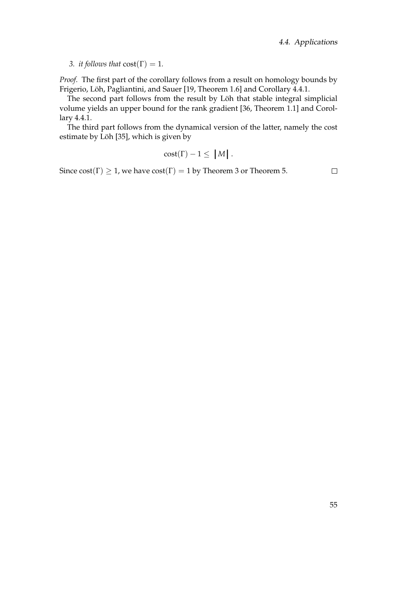#### *3. it follows that*  $cost(\Gamma) = 1$ *.*

*Proof.* The first part of the corollary follows from a result on homology bounds by Frigerio, Löh, Pagliantini, and Sauer [\[19,](#page-83-4) Theorem 1.6] and Corollary [4.4.1.](#page-64-1)

The second part follows from the result by Löh that stable integral simplicial volume yields an upper bound for the rank gradient [\[36,](#page-84-4) Theorem 1.1] and Corollary [4.4.1.](#page-64-1)

The third part follows from the dynamical version of the latter, namely the cost estimate by Löh [\[35\]](#page-84-5), which is given by

$$
cost(\Gamma) - 1 \leq |M|.
$$

Since  $cost(\Gamma) \ge 1$ , we have  $cost(\Gamma) = 1$  by Theorem [3](#page-5-0) or Theorem [5.](#page-6-0)

 $\Box$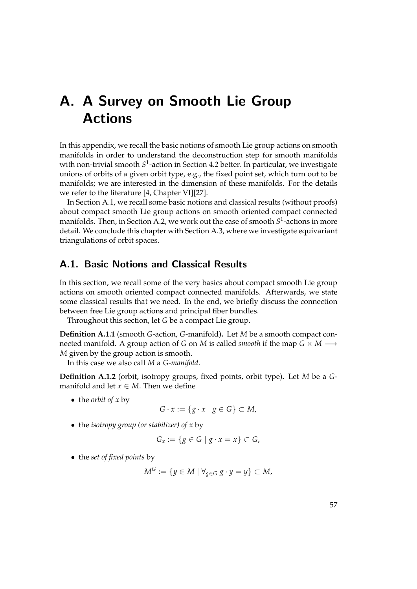# <span id="page-68-0"></span>A. A Survey on Smooth Lie Group Actions

In this appendix, we recall the basic notions of smooth Lie group actions on smooth manifolds in order to understand the deconstruction step for smooth manifolds with non-trivial smooth S<sup>1</sup>-action in Section [4.2](#page-54-0) better. In particular, we investigate unions of orbits of a given orbit type, e.g., the fixed point set, which turn out to be manifolds; we are interested in the dimension of these manifolds. For the details we refer to the literature [\[4,](#page-82-3) Chapter VI][\[27\]](#page-84-6).

In Section [A.1,](#page-68-1) we recall some basic notions and classical results (without proofs) about compact smooth Lie group actions on smooth oriented compact connected manifolds. Then, in Section [A.2,](#page-70-0) we work out the case of smooth *S* 1 -actions in more detail. We conclude this chapter with Section [A.3,](#page-71-0) where we investigate equivariant triangulations of orbit spaces.

# <span id="page-68-1"></span>A.1. Basic Notions and Classical Results

In this section, we recall some of the very basics about compact smooth Lie group actions on smooth oriented compact connected manifolds. Afterwards, we state some classical results that we need. In the end, we briefly discuss the connection between free Lie group actions and principal fiber bundles.

Throughout this section, let *G* be a compact Lie group.

**Definition A.1.1** (smooth *G*-action, *G*-manifold)**.** Let *M* be a smooth compact connected manifold. A group action of *G* on *M* is called *smooth* if the map  $G \times M \longrightarrow$ *M* given by the group action is smooth.

In this case we also call *M* a *G-manifold*.

**Definition A.1.2** (orbit, isotropy groups, fixed points, orbit type)**.** Let *M* be a *G*manifold and let  $x \in M$ . Then we define

• the *orbit of x* by

$$
G \cdot x := \{ g \cdot x \mid g \in G \} \subset M,
$$

• the *isotropy group (or stabilizer) of x* by

$$
G_x := \{ g \in G \mid g \cdot x = x \} \subset G,
$$

• the *set of fixed points* by

$$
M^G:=\{y\in M\mid \forall_{g\in G}\ g\cdot y=y\}\subset M,
$$

57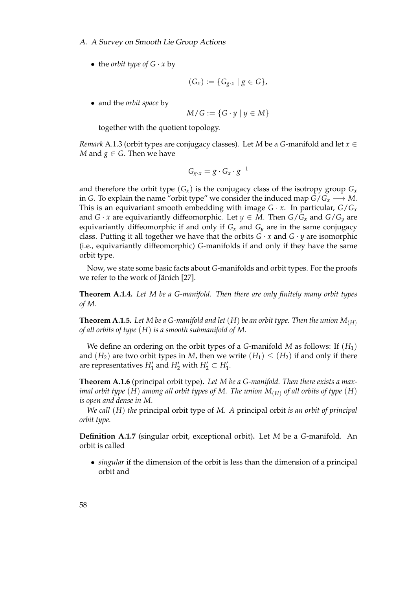• the *orbit type* of  $G \cdot x$  by

$$
(G_x) := \{ G_{g \cdot x} \mid g \in G \},
$$

• and the *orbit space* by

$$
M/G := \{G \cdot y \mid y \in M\}
$$

together with the quotient topology.

*Remark* A.1.3 (orbit types are conjugacy classes)*.* Let *M* be a *G*-manifold and let *x* ∈ *M* and  $g \in G$ . Then we have

$$
G_{g \cdot x} = g \cdot G_x \cdot g^{-1}
$$

and therefore the orbit type  $(G_x)$  is the conjugacy class of the isotropy group  $G_x$ in *G*. To explain the name "orbit type" we consider the induced map  $G/G_x \longrightarrow M$ . This is an equivariant smooth embedding with image  $G \cdot x$ . In particular,  $G/G_x$ and *G* · *x* are equivariantly diffeomorphic. Let  $y \in M$ . Then  $G/G_x$  and  $G/G_y$  are equivariantly diffeomorphic if and only if  $G_x$  and  $G_y$  are in the same conjugacy class. Putting it all together we have that the orbits  $G \cdot x$  and  $G \cdot y$  are isomorphic (i.e., equivariantly diffeomorphic) *G*-manifolds if and only if they have the same orbit type.

Now, we state some basic facts about *G*-manifolds and orbit types. For the proofs we refer to the work of Jänich [\[27\]](#page-84-6).

<span id="page-69-1"></span>**Theorem A.1.4.** *Let M be a G-manifold. Then there are only finitely many orbit types of M.*

<span id="page-69-0"></span>**Theorem A.1.5.** Let M be a G-manifold and let  $(H)$  be an orbit type. Then the union  $M_{(H)}$ *of all orbits of type* (*H*) *is a smooth submanifold of M.*

We define an ordering on the orbit types of a *G*-manifold *M* as follows: If (*H*1) and  $(H_2)$  are two orbit types in *M*, then we write  $(H_1) \leq (H_2)$  if and only if there are representatives  $H'_1$  and  $H'_2$  with  $H'_2 \subset H'_1$ .

<span id="page-69-2"></span>**Theorem A.1.6** (principal orbit type)**.** *Let M be a G-manifold. Then there exists a maximal orbit type* (*H*) *among all orbit types of M. The union M*(*H*) *of all orbits of type* (*H*) *is open and dense in M.*

*We call* (*H*) *the* principal orbit type of *M. A* principal orbit *is an orbit of principal orbit type.*

**Definition A.1.7** (singular orbit, exceptional orbit)**.** Let *M* be a *G*-manifold. An orbit is called

• *singular* if the dimension of the orbit is less than the dimension of a principal orbit and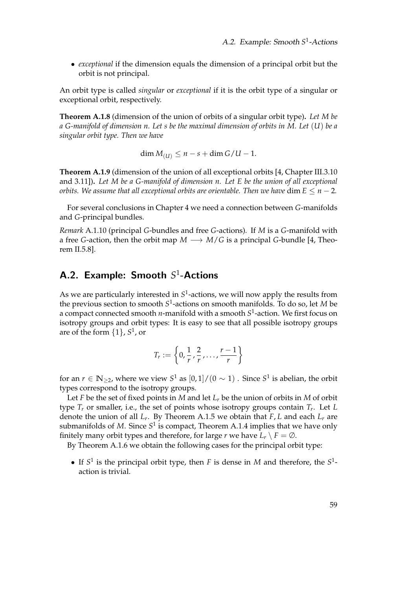• *exceptional* if the dimension equals the dimension of a principal orbit but the orbit is not principal.

An orbit type is called *singular* or *exceptional* if it is the orbit type of a singular or exceptional orbit, respectively.

<span id="page-70-1"></span>**Theorem A.1.8** (dimension of the union of orbits of a singular orbit type)**.** *Let M be a G-manifold of dimension n. Let s be the maximal dimension of orbits in M. Let* (*U*) *be a singular orbit type. Then we have*

dim  $M_{(U)}$  ≤ *n* − *s* + dim *G*/*U* − 1.

<span id="page-70-2"></span>**Theorem A.1.9** (dimension of the union of all exceptional orbits [\[4,](#page-82-3) Chapter III.3.10 and 3.11])**.** *Let M be a G-manifold of dimension n. Let E be the union of all exceptional orbits. We assume that all exceptional orbits are orientable. Then we have dim*  $E \leq n - 2$ *.* 

For several conclusions in Chapter [4](#page-44-0) we need a connection between *G*-manifolds and *G*-principal bundles.

*Remark* A.1.10 (principal *G*-bundles and free *G*-actions)*.* If *M* is a *G*-manifold with a free *G*-action, then the orbit map  $M \longrightarrow M/G$  is a principal *G*-bundle [\[4,](#page-82-3) Theorem II.5.8].

# <span id="page-70-0"></span>A.2. Example: Smooth S<sup>1</sup>-Actions

As we are particularly interested in S<sup>1</sup>-actions, we will now apply the results from the previous section to smooth *S* 1 -actions on smooth manifolds. To do so, let *M* be a compact connected smooth *n*-manifold with a smooth *S* 1 -action. We first focus on isotropy groups and orbit types: It is easy to see that all possible isotropy groups are of the form {1}, *S* 1 , or

$$
T_r := \left\{0, \frac{1}{r}, \frac{2}{r}, \ldots, \frac{r-1}{r}\right\}
$$

for an  $r \in \mathbb{N}_{\geq 2}$ , where we view  $S^1$  as  $[0,1]/(0 \sim 1)$  . Since  $S^1$  is abelian, the orbit types correspond to the isotropy groups.

Let *F* be the set of fixed points in *M* and let  $L_r$  be the union of orbits in *M* of orbit type *T<sup>r</sup>* or smaller, i.e., the set of points whose isotropy groups contain *T<sup>r</sup>* . Let *L* denote the union of all *L<sup>r</sup>* . By Theorem [A.1.5](#page-69-0) we obtain that *F*, *L* and each *L<sup>r</sup>* are submanifolds of *M*. Since S<sup>1</sup> is compact, Theorem [A.1.4](#page-69-1) implies that we have only finitely many orbit types and therefore, for large *r* we have  $L_r \setminus F = \emptyset$ .

By Theorem [A.1.6](#page-69-2) we obtain the following cases for the principal orbit type:

• If  $S^1$  is the principal orbit type, then *F* is dense in *M* and therefore, the  $S^1$ action is trivial.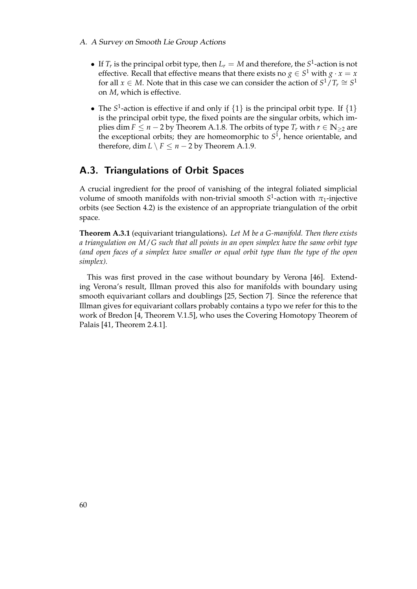- A. A Survey on Smooth Lie Group Actions
	- If  $T_r$  is the principal orbit type, then  $L_r = M$  and therefore, the  $S^1$ -action is not effective. Recall that effective means that there exists no  $g \in S^1$  with  $g \cdot x = x$ for all *x*  $\in$  *M*. Note that in this case we can consider the action of  $S^1/T_r \cong S^1$ on *M*, which is effective.
	- The  $S^1$ -action is effective if and only if  $\{1\}$  is the principal orbit type. If  $\{1\}$ is the principal orbit type, the fixed points are the singular orbits, which implies dim  $F \le n - 2$  by Theorem [A.1.8.](#page-70-1) The orbits of type  $T_r$  with  $r \in \mathbb{N}_{\ge 2}$  are the exceptional orbits; they are homeomorphic to *S* 1 , hence orientable, and therefore, dim  $L \setminus F \leq n - 2$  by Theorem [A.1.9.](#page-70-2)

# <span id="page-71-0"></span>A.3. Triangulations of Orbit Spaces

A crucial ingredient for the proof of vanishing of the integral foliated simplicial volume of smooth manifolds with non-trivial smooth *S* 1 -action with *π*1-injective orbits (see Section [4.2\)](#page-54-0) is the existence of an appropriate triangulation of the orbit space.

**Theorem A.3.1** (equivariant triangulations)**.** *Let M be a G-manifold. Then there exists a triangulation on M*/*G such that all points in an open simplex have the same orbit type (and open faces of a simplex have smaller or equal orbit type than the type of the open simplex).*

This was first proved in the case without boundary by Verona [\[46\]](#page-85-2). Extending Verona's result, Illman proved this also for manifolds with boundary using smooth equivariant collars and doublings [\[25,](#page-83-6) Section 7]. Since the reference that Illman gives for equivariant collars probably contains a typo we refer for this to the work of Bredon [\[4,](#page-82-3) Theorem V.1.5], who uses the Covering Homotopy Theorem of Palais [\[41,](#page-85-3) Theorem 2.4.1].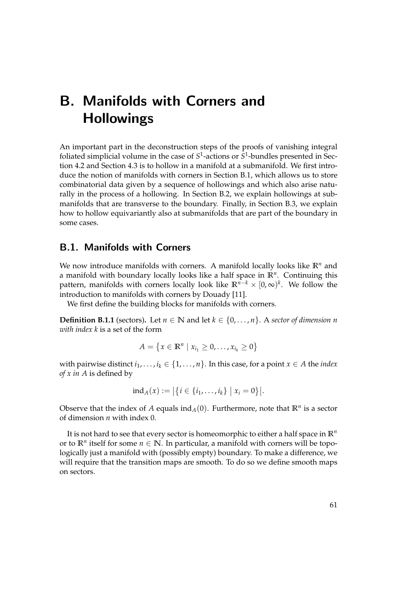# <span id="page-72-1"></span>B. Manifolds with Corners and **Hollowings**

An important part in the deconstruction steps of the proofs of vanishing integral foliated simplicial volume in the case of  $S^1$ -actions or  $S^1$ -bundles presented in Section [4.2](#page-54-0) and Section [4.3](#page-62-0) is to hollow in a manifold at a submanifold. We first introduce the notion of manifolds with corners in Section [B.1,](#page-72-0) which allows us to store combinatorial data given by a sequence of hollowings and which also arise naturally in the process of a hollowing. In Section [B.2,](#page-76-0) we explain hollowings at submanifolds that are transverse to the boundary. Finally, in Section [B.3,](#page-78-0) we explain how to hollow equivariantly also at submanifolds that are part of the boundary in some cases.

### <span id="page-72-0"></span>B.1. Manifolds with Corners

We now introduce manifolds with corners. A manifold locally looks like  $\mathbb{R}^n$  and a manifold with boundary locally looks like a half space in **R***<sup>n</sup>* . Continuing this pattern, manifolds with corners locally look like **R***n*−*<sup>k</sup>* × [0, ∞) *k* . We follow the introduction to manifolds with corners by Douady [\[11\]](#page-82-0).

We first define the building blocks for manifolds with corners.

**Definition B.1.1** (sectors). Let  $n \in \mathbb{N}$  and let  $k \in \{0, \ldots, n\}$ . A *sector of dimension n with index k* is a set of the form

$$
A = \{x \in \mathbb{R}^n \mid x_{i_1} \geq 0, \ldots, x_{i_k} \geq 0\}
$$

with pairwise distinct  $i_1, \ldots, i_k \in \{1, \ldots, n\}$ . In this case, for a point  $x \in A$  the *index of x in A* is defined by

$$
ind_A(x) := |\{i \in \{i_1, \ldots, i_k\} \mid x_i = 0\}|.
$$

Observe that the index of A equals  $\text{ind}_A(0)$ . Furthermore, note that  $\mathbb{R}^n$  is a sector of dimension *n* with index 0.

It is not hard to see that every sector is homeomorphic to either a half space in **R***<sup>n</sup>* or to  $\mathbb{R}^n$  itself for some  $n \in \mathbb{N}$ . In particular, a manifold with corners will be topologically just a manifold with (possibly empty) boundary. To make a difference, we will require that the transition maps are smooth. To do so we define smooth maps on sectors.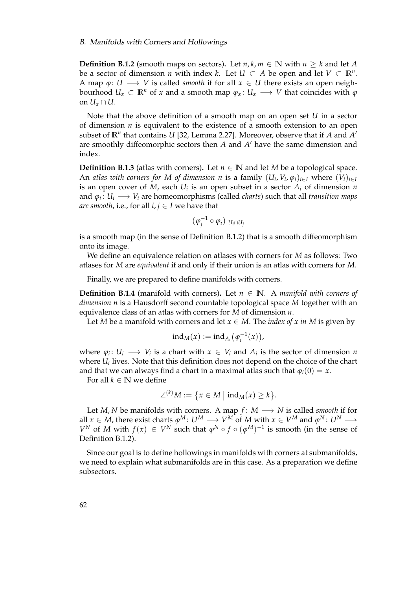<span id="page-73-1"></span><span id="page-73-0"></span>**Definition B.1.2** (smooth maps on sectors). Let  $n, k, m \in \mathbb{N}$  with  $n \geq k$  and let A be a sector of dimension *n* with index *k*. Let  $U \subset A$  be open and let  $V \subset \mathbb{R}^n$ . A map  $\varphi: U \longrightarrow V$  is called *smooth* if for all  $x \in U$  there exists an open neighbourhood  $U_x \subset \mathbb{R}^n$  of *x* and a smooth map  $\varphi_x: U_x \longrightarrow V$  that coincides with  $\varphi$ on  $U_{\rm r} \cap U$ .

Note that the above definition of a smooth map on an open set *U* in a sector of dimension  $n$  is equivalent to the existence of a smooth extension to an open subset of  $\mathbb{R}^n$  that contains *U* [\[32,](#page-84-0) Lemma 2.27]. Moreover, observe that if *A* and *A*<sup>*'*</sup> are smoothly diffeomorphic sectors then *A* and *A'* have the same dimension and index.

**Definition B.1.3** (atlas with corners). Let  $n \in \mathbb{N}$  and let *M* be a topological space. An atlas with corners for M of dimension n is a family  $(U_i, V_i, \varphi_i)_{i \in I}$  where  $(V_i)_{i \in I}$ is an open cover of  $M$ , each  $U_i$  is an open subset in a sector  $A_i$  of dimension  $n$ and *ϕ<sup>i</sup>* : *U<sup>i</sup>* −→ *V<sup>i</sup>* are homeomorphisms (called *charts*) such that all *transition maps are smooth*, i.e., for all  $i, j \in I$  we have that

$$
(\varphi_j^{-1} \circ \varphi_i)|_{U_i \cap U_j}
$$

is a smooth map (in the sense of Definition [B.1.2\)](#page-73-0) that is a smooth diffeomorphism onto its image.

We define an equivalence relation on atlases with corners for *M* as follows: Two atlases for *M* are *equivalent* if and only if their union is an atlas with corners for *M*.

Finally, we are prepared to define manifolds with corners.

**Definition B.1.4** (manifold with corners). Let  $n \in \mathbb{N}$ . A *manifold with corners of dimension n* is a Hausdorff second countable topological space *M* together with an equivalence class of an atlas with corners for *M* of dimension *n*.

Let *M* be a manifold with corners and let  $x \in M$ . The *index of x in M* is given by

$$
ind_M(x) := ind_{A_i}(\varphi_i^{-1}(x)),
$$

where  $\varphi_i: U_i \longrightarrow V_i$  is a chart with  $x \in V_i$  and  $A_i$  is the sector of dimension *n* where *U<sup>i</sup>* lives. Note that this definition does not depend on the choice of the chart and that we can always find a chart in a maximal atlas such that  $\varphi_i(0) = x$ .

For all  $k \in \mathbb{N}$  we define

$$
\angle^{(k)}M:=\big\{x\in M\,\big|\,\operatorname{ind}_M(x)\geq k\big\}.
$$

Let *M*, *N* be manifolds with corners. A map  $f: M \longrightarrow N$  is called *smooth* if for all  $x \in M$ , there exist charts  $\varphi^M\colon U^M \longrightarrow V^M$  of  $M$  with  $x \in V^M$  and  $\varphi^N\colon U^N \longrightarrow$ *V*<sup>*N*</sup> of *M* with  $f(x) \in V^N$  such that  $\varphi^N \circ f \circ (\varphi^M)^{-1}$  is smooth (in the sense of Definition [B.1.2\)](#page-73-0).

Since our goal is to define hollowings in manifolds with corners at submanifolds, we need to explain what submanifolds are in this case. As a preparation we define subsectors.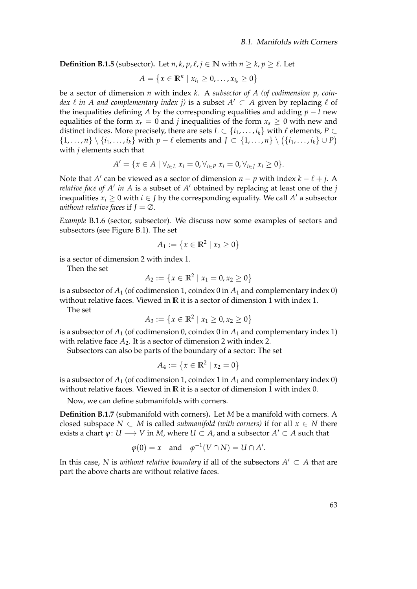**Definition B.1.5** (subsector). Let *n*, *k*, *p*,  $\ell$ , *j* ∈ **N** with *n* ≥ *k*, *p* ≥  $\ell$ . Let

$$
A = \{x \in \mathbb{R}^n \mid x_{i_1} \geq 0, \ldots, x_{i_k} \geq 0\}
$$

be a sector of dimension *n* with index *k*. A *subsector of A (of codimension p, coindex*  $\ell$  *in A and complementary index j)* is a subset  $A' \subset A$  given by replacing  $\ell$  of the inequalities defining *A* by the corresponding equalities and adding  $p - l$  new equalities of the form  $x_r = 0$  and *j* inequalities of the form  $x_s \geq 0$  with new and distinct indices. More precisely, there are sets  $L \subset \{i_1, \ldots, i_k\}$  with  $\ell$  elements,  $P \subset$ { $1, ..., n$ }  $\setminus \{i_1, ..., i_k\}$  with  $p - \ell$  elements and *J* ⊂ { $1, ..., n$ }  $\setminus (\{i_1, ..., i_k\} \cup P)$ with *j* elements such that

$$
A' = \{x \in A \mid \forall_{i \in L} x_i = 0, \forall_{i \in P} x_i = 0, \forall_{i \in J} x_i \ge 0\}.
$$

Note that *A'* can be viewed as a sector of dimension  $n - p$  with index  $k - \ell + j$ . A *relative face of A' in A* is a subset of  $A'$  obtained by replacing at least one of the  $j$ inequalities  $x_i \geq 0$  with  $i \in J$  by the corresponding equality. We call  $A'$  a subsector *without relative faces* if  $J = \emptyset$ .

<span id="page-74-0"></span>*Example* B.1.6 (sector, subsector)*.* We discuss now some examples of sectors and subsectors (see Figure [B.1\)](#page-75-0). The set

$$
A_1 := \{ x \in \mathbb{R}^2 \mid x_2 \ge 0 \}
$$

is a sector of dimension 2 with index 1.

Then the set

$$
A_2 := \{x \in \mathbb{R}^2 \mid x_1 = 0, x_2 \ge 0\}
$$

is a subsector of  $A_1$  (of codimension 1, coindex 0 in  $A_1$  and complementary index 0) without relative faces. Viewed in **R** it is a sector of dimension 1 with index 1.

The set

$$
A_3 := \{x \in \mathbb{R}^2 \mid x_1 \ge 0, x_2 \ge 0\}
$$

is a subsector of  $A_1$  (of codimension 0, coindex 0 in  $A_1$  and complementary index 1) with relative face  $A_2$ . It is a sector of dimension 2 with index 2.

Subsectors can also be parts of the boundary of a sector: The set

$$
A_4 := \{ x \in \mathbb{R}^2 \mid x_2 = 0 \}
$$

is a subsector of  $A_1$  (of codimension 1, coindex 1 in  $A_1$  and complementary index 0) without relative faces. Viewed in **R** it is a sector of dimension 1 with index 0.

Now, we can define submanifolds with corners.

**Definition B.1.7** (submanifold with corners)**.** Let *M* be a manifold with corners. A closed subspace  $N \subset M$  is called *submanifold (with corners)* if for all  $x \in N$  there exists a chart  $\varphi\colon U\longrightarrow V$  in  $M$ , where  $U\subset A$ , and a subsector  $A'\subset A$  such that

$$
\varphi(0) = x
$$
 and  $\varphi^{-1}(V \cap N) = U \cap A'.$ 

In this case, *N* is *without relative boundary* if all of the subsectors  $A' \subset A$  that are part the above charts are without relative faces.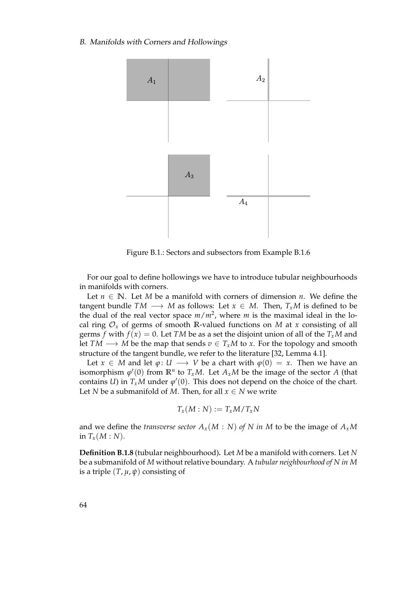#### <span id="page-75-1"></span>B. Manifolds with Corners and Hollowings



<span id="page-75-0"></span>Figure B.1.: Sectors and subsectors from Example [B.1.6](#page-74-0)

For our goal to define hollowings we have to introduce tubular neighbourhoods in manifolds with corners.

Let  $n \in \mathbb{N}$ . Let *M* be a manifold with corners of dimension *n*. We define the tangent bundle  $TM \longrightarrow M$  as follows: Let  $x \in M$ . Then,  $T_xM$  is defined to be the dual of the real vector space *m*/*m*<sup>2</sup> , where *m* is the maximal ideal in the local ring  $\mathcal{O}_x$  of germs of smooth R-valued functions on *M* at *x* consisting of all germs *f* with  $f(x) = 0$ . Let *TM* be as a set the disjoint union of all of the  $T_xM$  and let *TM* → *M* be the map that sends  $v \text{ ∈ } T_xM$  to *x*. For the topology and smooth structure of the tangent bundle, we refer to the literature [\[32,](#page-84-0) Lemma 4.1].

Let *x* ∈ *M* and let *ϕ*: *U* → *V* be a chart with  $φ(0) = x$ . Then we have an isomorphism  $\varphi'(0)$  from  $\mathbb{R}^n$  to  $T_xM$ . Let  $A_xM$  be the image of the sector *A* (that contains *U*) in  $T_xM$  under  $\varphi'(0)$ . This does not depend on the choice of the chart. Let *N* be a submanifold of *M*. Then, for all  $x \in N$  we write

$$
T_x(M:N) := T_xM/T_xN
$$

and we define the *transverse sector*  $A_x(M : N)$  *of* N *in* M to be the image of  $A_xM$ in  $T_x(M:N)$ .

**Definition B.1.8** (tubular neighbourhood)**.** Let *M* be a manifold with corners. Let *N* be a submanifold of *M* without relative boundary. A *tubular neighbourhood of N in M* is a triple  $(T, \mu, \psi)$  consisting of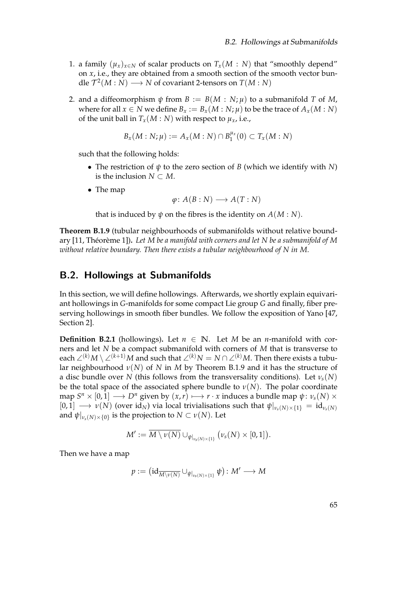- <span id="page-76-3"></span>1. a family  $(\mu_x)_{x \in N}$  of scalar products on  $T_x(M : N)$  that "smoothly depend" on *x*, i.e., they are obtained from a smooth section of the smooth vector bundle  $\mathcal{T}^2(M : N) \longrightarrow N$  of covariant 2-tensors on  $T(M : N)$
- 2. and a diffeomorphism  $\psi$  from  $B := B(M : N; \mu)$  to a submanifold *T* of *M*, where for all  $x \in N$  we define  $B_x := B_x(M : N; \mu)$  to be the trace of  $A_x(M : N)$ of the unit ball in  $T_x(M:N)$  with respect to  $\mu_x$ , i.e.,

$$
B_x(M: N; \mu) := A_x(M: N) \cap B_1^{\mu_x}(0) \subset T_x(M: N)
$$

such that the following holds:

- The restriction of *ψ* to the zero section of *B* (which we identify with *N*) is the inclusion  $N \subset M$ .
- The map

$$
\varphi\colon A(B:N)\longrightarrow A(T:N)
$$

that is induced by  $\psi$  on the fibres is the identity on  $A(M:N)$ .

<span id="page-76-1"></span>**Theorem B.1.9** (tubular neighbourhoods of submanifolds without relative bound-ary [\[11,](#page-82-0) Théorème 1]). Let M be a manifold with corners and let N be a submanifold of M *without relative boundary. Then there exists a tubular neighbourhood of N in M.*

## <span id="page-76-0"></span>B.2. Hollowings at Submanifolds

In this section, we will define hollowings. Afterwards, we shortly explain equivariant hollowings in *G*-manifolds for some compact Lie group *G* and finally, fiber preserving hollowings in smooth fiber bundles. We follow the exposition of Yano [\[47,](#page-85-0) Section 2].

<span id="page-76-2"></span>**Definition B.2.1** (hollowings). Let  $n \in \mathbb{N}$ . Let *M* be an *n*-manifold with corners and let *N* be a compact submanifold with corners of *M* that is transverse to each ∠<sup>(*k*)</sup>*M* \ ∠<sup>(*k*+1)</sup>*M* and such that ∠<sup>(*k*)</sup>*N* = *N* ∩ ∠<sup>(*k*)</sup>*M*. Then there exists a tubular neighbourhood *ν*(*N*) of *N* in *M* by Theorem [B.1.9](#page-76-1) and it has the structure of a disc bundle over *N* (this follows from the transversality conditions). Let *νs*(*N*) be the total space of the associated sphere bundle to  $\nu(N)$ . The polar coordinate  $\pi$   $S^{n} \times [0,1] \longrightarrow D^{n}$  given by  $(x,r) \longmapsto r \cdot x$  induces a bundle map  $\psi \colon \nu_{s}(N) \times D^{n}$  $[0, 1] \longrightarrow \nu(N)$  (over id<sub>N</sub>) via local trivialisations such that  $\psi|_{\nu_s(N) \times \{1\}} = id_{\nu_s(N)}$ and  $\psi|_{\nu_s(N)\times\{0\}}$  is the projection to  $N\subset \nu(N).$  Let

$$
M':=\overline{M\setminus \nu(N)}\cup_{\psi|_{\nu_s(N)\times \{1\}}}\big(\nu_s(N)\times [0,1]\big).
$$

Then we have a map

$$
p:=\big(\mathrm{id}_{\overline{M\setminus \nu(N)}}\cup_{\psi|_{\nu_s(N)\times \{1\}}}\psi\big)\colon M'\longrightarrow M
$$

65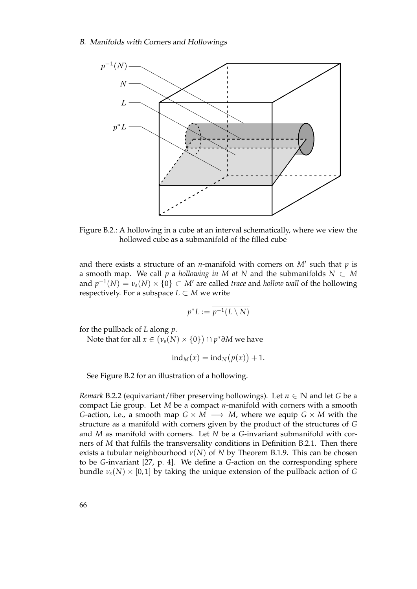<span id="page-77-1"></span>

<span id="page-77-0"></span>Figure B.2.: A hollowing in a cube at an interval schematically, where we view the hollowed cube as a submanifold of the filled cube

and there exists a structure of an *n*-manifold with corners on  $M'$  such that  $p$  is a smooth map. We call *p* a *hollowing in M* at *N* and the submanifolds  $N \subset M$ and  $p^{-1}(N) = v_s(N) \times \{0\} \subset M'$  are called *trace* and *hollow wall* of the hollowing respectively. For a subspace  $L \subset M$  we write

$$
p^*L := \overline{p^{-1}(L \setminus N)}
$$

for the pullback of *L* along *p*.

Note that for all  $x \in \big(\nu_s(N) \times \{0\}\big) \cap p^* \partial M$  we have

$$
ind_M(x) = ind_N(p(x)) + 1.
$$

See Figure [B.2](#page-77-0) for an illustration of a hollowing.

*Remark* B.2.2 (equivariant/fiber preserving hollowings). Let  $n \in \mathbb{N}$  and let *G* be a compact Lie group. Let *M* be a compact *n*-manifold with corners with a smooth *G*-action, i.e., a smooth map  $G \times M \longrightarrow M$ , where we equip  $G \times M$  with the structure as a manifold with corners given by the product of the structures of *G* and *M* as manifold with corners. Let *N* be a *G*-invariant submanifold with corners of *M* that fulfils the transversality conditions in Definition [B.2.1.](#page-76-2) Then there exists a tubular neighbourhood  $\nu(N)$  of *N* by Theorem [B.1.9.](#page-76-1) This can be chosen to be *G*-invariant [\[27,](#page-84-1) p. 4]. We define a *G*-action on the corresponding sphere bundle  $\nu_s(N) \times [0,1]$  by taking the unique extension of the pullback action of *G*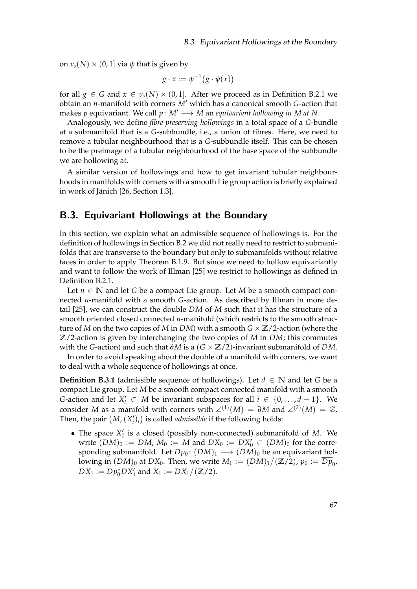<span id="page-78-1"></span>on  $\nu_s(N) \times (0, 1]$  via  $\psi$  that is given by

$$
g \cdot x := \psi^{-1} \big( g \cdot \psi(x) \big)
$$

for all  $g \in G$  and  $x \in \nu_s(N) \times (0,1]$ . After we proceed as in Definition [B.2.1](#page-76-2) we obtain an *n*-manifold with corners *M*<sup>0</sup> which has a canonical smooth *G*-action that makes *p* equivariant. We call  $p: M' \longrightarrow M$  an *equivariant hollowing in M at N*.

Analogously, we define *fibre preserving hollowings* in a total space of a *G*-bundle at a submanifold that is a *G*-subbundle, i.e., a union of fibres. Here, we need to remove a tubular neighbourhood that is a *G*-subbundle itself. This can be chosen to be the preimage of a tubular neighbourhood of the base space of the subbundle we are hollowing at.

A similar version of hollowings and how to get invariant tubular neighbourhoods in manifolds with corners with a smooth Lie group action is briefly explained in work of Jänich [\[26,](#page-84-2) Section 1.3].

## <span id="page-78-0"></span>B.3. Equivariant Hollowings at the Boundary

In this section, we explain what an admissible sequence of hollowings is. For the definition of hollowings in Section [B.2](#page-76-0) we did not really need to restrict to submanifolds that are transverse to the boundary but only to submanifolds without relative faces in order to apply Theorem [B.1.9.](#page-76-1) But since we need to hollow equivariantly and want to follow the work of Illman [\[25\]](#page-83-0) we restrict to hollowings as defined in Definition [B.2.1.](#page-76-2)

Let *n* ∈ **N** and let *G* be a compact Lie group. Let *M* be a smooth compact connected *n*-manifold with a smooth *G*-action. As described by Illman in more detail [\[25\]](#page-83-0), we can construct the double *DM* of *M* such that it has the structure of a smooth oriented closed connected *n*-manifold (which restricts to the smooth structure of *M* on the two copies of *M* in *DM*) with a smooth *G* × **Z**/2-action (where the **Z**/2-action is given by interchanging the two copies of *M* in *DM*; this commutes with the *G*-action) and such that *∂M* is a (*G* × **Z**/2)-invariant submanifold of *DM*.

In order to avoid speaking about the double of a manifold with corners, we want to deal with a whole sequence of hollowings at once.

**Definition B.3.1** (admissible sequence of hollowings). Let  $d \in \mathbb{N}$  and let *G* be a compact Lie group. Let *M* be a smooth compact connected manifold with a smooth *G*-action and let  $X'_i$  ⊂ *M* be invariant subspaces for all  $i \in \{0, ..., d-1\}$ . We consider *M* as a manifold with corners with  $\angle^{(1)}(M) = \partial M$  and  $\angle^{(2)}(M) = \emptyset$ . Then, the pair  $(M, (X'_i)_i)$  is called *admissible* if the following holds:

• The space  $X'_0$  is a closed (possibly non-connected) submanifold of *M*. We write  $(DM)_0 := DM$ ,  $M_0 := M$  and  $DX_0 := DX'_0 \subset (DM)_0$  for the corresponding submanifold. Let  $Dp_0$ :  $(DM)_1 \longrightarrow (DM)_0$  be an equivariant hollowing in  $(DM)_0$  at  $DX_0$ . Then, we write  $M_1 := (DM)_1 / (\mathbb{Z}/2)$ ,  $p_0 := \overline{Dp}_0$ ,  $DX_1 := Dp_0^*DX_1'$  and  $X_1 := DX_1/(\mathbb{Z}/2)$ .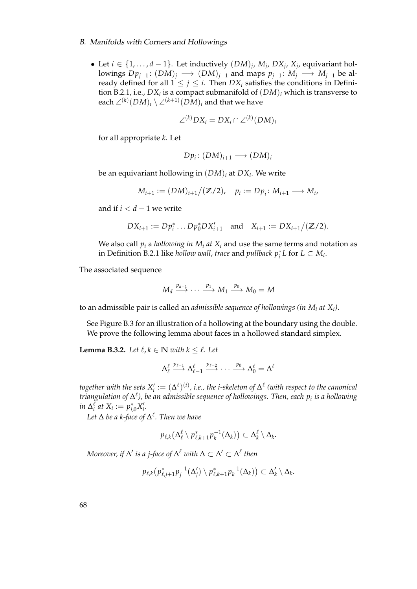#### B. Manifolds with Corners and Hollowings

• Let  $i \in \{1, \ldots, d-1\}$ . Let inductively  $(DM)_j$ ,  $M_j$ ,  $DX_j$ ,  $X_j$ , equivariant hollowings  $Dp_{j-1}$ :  $(DM)_j$  →  $(DM)_{j-1}$  and maps  $p_{j-1}$ :  $M_j$  →  $M_{j-1}$  be already defined for all  $1 \leq j \leq i$ . Then  $DX_i$  satisfies the conditions in Defini-tion [B.2.1,](#page-76-2) i.e.,  $DX_i$  is a compact submanifold of  $(DM)_i$  which is transverse to each  $\angle^{(k)}(DM)_i \setminus \angle^{(k+1)}(DM)_i$  and that we have

$$
\angle^{(k)}DX_i = DX_i \cap \angle^{(k)}(DM)_i
$$

for all appropriate *k*. Let

$$
Dp_i\colon (DM)_{i+1}\longrightarrow (DM)_i
$$

be an equivariant hollowing in (*DM*)*<sup>i</sup>* at *DX<sup>i</sup>* . We write

$$
M_{i+1} := (DM)_{i+1}/(\mathbb{Z}/2), \quad p_i := \overline{Dp}_i : M_{i+1} \longrightarrow M_i,
$$

and if *i* < *d* − 1 we write

$$
DX_{i+1} := Dp_i^* \dots Dp_0^* DX'_{i+1} \text{ and } X_{i+1} := DX_{i+1}/(\mathbb{Z}/2).
$$

We also call  $p_i$  a *hollowing in*  $M_i$  *at*  $X_i$  and use the same terms and notation as in Definition [B.2.1](#page-76-2) like *hollow wall*, *trace* and *pullback*  $p_i^*L$  for  $L \subset M_i$ .

The associated sequence

$$
M_d \xrightarrow{p_{d-1}} \cdots \xrightarrow{p_1} M_1 \xrightarrow{p_0} M_0 = M
$$

to an admissible pair is called an *admissible sequence of hollowings (in M<sup>i</sup> at X<sup>i</sup> )*.

See Figure [B.3](#page-80-0) for an illustration of a hollowing at the boundary using the double. We prove the following lemma about faces in a hollowed standard simplex.

**Lemma B.3.2.** *Let*  $\ell, k \in \mathbb{N}$  *with*  $k \leq \ell$ *. Let* 

$$
\Delta_\ell^\ell \stackrel{p_{\ell-1}}{\longrightarrow} \Delta_{\ell-1}^\ell \stackrel{p_{\ell-2}}{\longrightarrow} \cdots \stackrel{p_0}{\longrightarrow} \Delta_0^\ell=\Delta^\ell
$$

together with the sets  $X_i':=(\Delta^\ell)^{(i)}$ , i.e., the i-skeleton of  $\Delta^\ell$  (with respect to the canonical *triangulation of* ∆ ` *), be an admissible sequence of hollowings. Then, each p<sup>i</sup> is a hollowing in*  $\Delta_i^{\ell}$  *at*  $X_i := p_{i,0}^* X'_i$ *.* 

*Let* ∆ *be a k-face of* ∆ ` *. Then we have*

$$
p_{\ell,k}(\Delta_{\ell}^{\ell} \setminus p_{\ell,k+1}^* p_k^{-1}(\Delta_k)) \subset \Delta_k^{\ell} \setminus \Delta_k.
$$

 $M$ oreover, if  $\Delta'$  is a j-face of  $\Delta^\ell$  with  $\Delta \subset \Delta' \subset \Delta^\ell$  then

$$
p_{\ell,k}(p_{\ell,j+1}^*p_j^{-1}(\Delta_j')\setminus p_{\ell,k+1}^*p_k^{-1}(\Delta_k))\subset \Delta_k'\setminus \Delta_k.
$$

68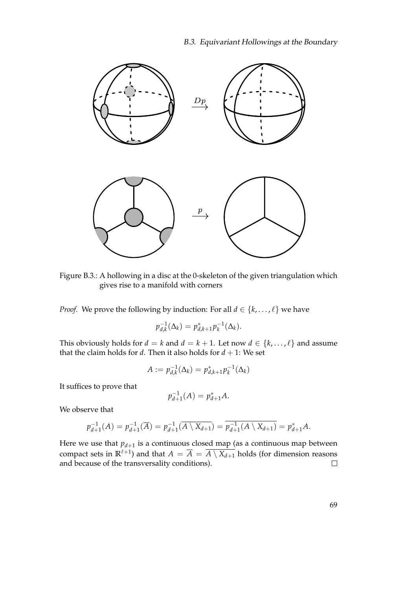

<span id="page-80-0"></span>Figure B.3.: A hollowing in a disc at the 0-skeleton of the given triangulation which gives rise to a manifold with corners

*Proof.* We prove the following by induction: For all  $d \in \{k, ..., \ell\}$  we have

$$
p_{d,k}^{-1}(\Delta_k) = p_{d,k+1}^* p_k^{-1}(\Delta_k).
$$

This obviously holds for *d* = *k* and *d* = *k* + 1. Let now *d*  $\in$  {*k*, . . . ,  $\ell$ } and assume that the claim holds for  $d$ . Then it also holds for  $d + 1$ : We set

$$
A := p_{d,k}^{-1}(\Delta_k) = p_{d,k+1}^* p_k^{-1}(\Delta_k)
$$

It suffices to prove that

$$
p_{d+1}^{-1}(A) = p_{d+1}^*A.
$$

We observe that

$$
p_{d+1}^{-1}(A) = p_{d+1}^{-1}(\overline{A}) = p_{d+1}^{-1}(\overline{A \setminus X_{d+1}}) = \overline{p_{d+1}^{-1}(A \setminus X_{d+1})} = p_{d+1}^*A.
$$

Here we use that  $p_{d+1}$  is a continuous closed map (as a continuous map between compact sets in  $\mathbb{R}^{\ell+1}$ ) and that  $A = \overline{A} = \overline{A \setminus X_{d+1}}$  holds (for dimension reasons and because of the transversality conditions).  $\Box$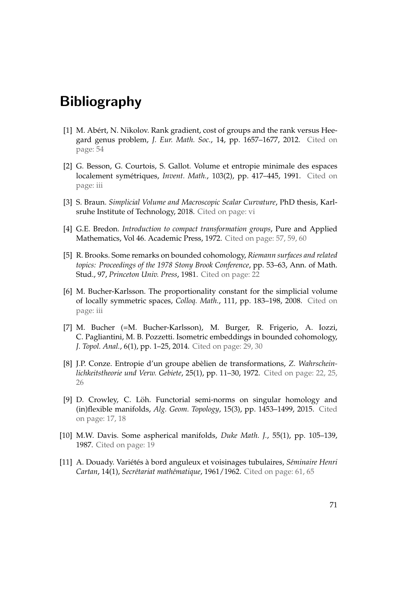## Bibliography

- [1] M. Abért, N. Nikolov. Rank gradient, cost of groups and the rank versus Heegard genus problem, *J. Eur. Math. Soc.*, 14, pp. 1657–1677, 2012. Cited on page: [54](#page-65-0)
- [2] G. Besson, G. Courtois, S. Gallot. Volume et entropie minimale des espaces localement symétriques, Invent. Math., 103(2), pp. 417-445, 1991. Cited on page: [iii](#page-2-0)
- [3] S. Braun. *Simplicial Volume and Macroscopic Scalar Curvature*, PhD thesis, Karlsruhe Institute of Technology, 2018. Cited on page: [vi](#page-5-0)
- [4] G.E. Bredon. *Introduction to compact transformation groups*, Pure and Applied Mathematics, Vol 46. Academic Press, 1972. Cited on page: [57,](#page-68-0) [59,](#page-70-0) [60](#page-71-0)
- [5] R. Brooks. Some remarks on bounded cohomology, *Riemann surfaces and related topics: Proceedings of the 1978 Stony Brook Conference*, pp. 53–63, Ann. of Math. Stud., 97, *Princeton Univ. Press*, 1981. Cited on page: [22](#page-33-0)
- [6] M. Bucher-Karlsson. The proportionality constant for the simplicial volume of locally symmetric spaces, *Colloq. Math.*, 111, pp. 183–198, 2008. Cited on page: [iii](#page-2-0)
- [7] M. Bucher (=M. Bucher-Karlsson), M. Burger, R. Frigerio, A. Iozzi, C. Pagliantini, M. B. Pozzetti. Isometric embeddings in bounded cohomology, *J. Topol. Anal.*, 6(1), pp. 1–25, 2014. Cited on page: [29,](#page-40-0) [30](#page-41-0)
- [8] J.P. Conze. Entropie d'un groupe abelien de transformations, ` *Z. Wahrscheinlichkeitstheorie und Verw. Gebiete*, 25(1), pp. 11–30, 1972. Cited on page: [22,](#page-33-0) [25,](#page-36-0) [26](#page-37-0)
- [9] D. Crowley, C. Löh. Functorial semi-norms on singular homology and (in)flexible manifolds, *Alg. Geom. Topology*, 15(3), pp. 1453–1499, 2015. Cited on page: [17,](#page-28-0) [18](#page-29-0)
- [10] M.W. Davis. Some aspherical manifolds, *Duke Math. J.*, 55(1), pp. 105–139, 1987. Cited on page: [19](#page-30-0)
- <span id="page-82-0"></span>[11] A. Douady. Variétés à bord anguleux et voisinages tubulaires, Séminaire Henri *Cartan, 14(1), Secrétariat mathématique, 1961/1962. Cited on page: [61,](#page-72-1) [65](#page-76-3)*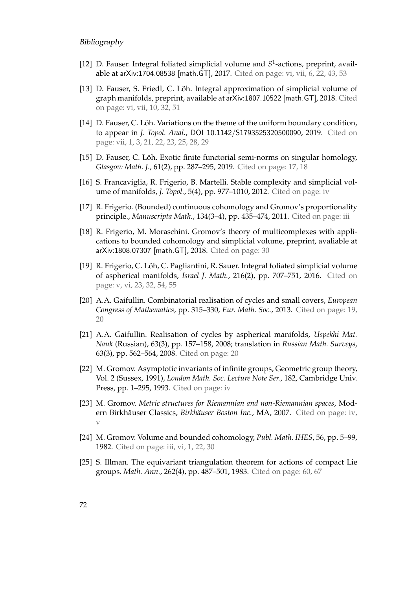#### Bibliography

- [12] D. Fauser. Integral foliated simplicial volume and S<sup>1</sup>-actions, preprint, available at arXiv:1704.08538 [math.GT], 2017. Cited on page: [vi,](#page-5-0) [vii,](#page-6-0) [6,](#page-17-0) [22,](#page-33-0) [43,](#page-54-1) [53](#page-64-0)
- [13] D. Fauser, S. Friedl, C. Löh. Integral approximation of simplicial volume of graph manifolds, preprint, available at arXiv:1807.10522 [math.GT], 2018. Cited on page: [vi,](#page-5-0) [vii,](#page-6-0) [10,](#page-21-0) [32,](#page-43-0) [51](#page-62-1)
- [14] D. Fauser, C. Löh. Variations on the theme of the uniform boundary condition, to appear in *J. Topol. Anal.*, DOI 10.1142/S1793525320500090, 2019. Cited on page: [vii,](#page-6-0) [1,](#page-12-0) [3,](#page-14-0) [21,](#page-32-0) [22,](#page-33-0) [23,](#page-34-0) [25,](#page-36-0) [28,](#page-39-0) [29](#page-40-0)
- [15] D. Fauser, C. Löh. Exotic finite functorial semi-norms on singular homology, *Glasgow Math. J.*, 61(2), pp. 287–295, 2019. Cited on page: [17,](#page-28-0) [18](#page-29-0)
- [16] S. Francaviglia, R. Frigerio, B. Martelli. Stable complexity and simplicial volume of manifolds, *J. Topol.*, 5(4), pp. 977–1010, 2012. Cited on page: [iv](#page-3-0)
- [17] R. Frigerio. (Bounded) continuous cohomology and Gromov's proportionality principle., *Manuscripta Math.*, 134(3–4), pp. 435–474, 2011. Cited on page: [iii](#page-2-0)
- [18] R. Frigerio, M. Moraschini. Gromov's theory of multicomplexes with applications to bounded cohomology and simplicial volume, preprint, avaliable at arXiv:1808.07307 [math.GT], 2018. Cited on page: [30](#page-41-0)
- [19] R. Frigerio, C. Loh, C. Pagliantini, R. Sauer. Integral foliated simplicial volume ¨ of aspherical manifolds, *Israel J. Math.*, 216(2), pp. 707–751, 2016. Cited on page: [v,](#page-4-0) [vi,](#page-5-0) [23,](#page-34-0) [32,](#page-43-0) [54,](#page-65-0) [55](#page-66-0)
- [20] A.A. Gaifullin. Combinatorial realisation of cycles and small covers, *European Congress of Mathematics*, pp. 315–330, *Eur. Math. Soc.*, 2013. Cited on page: [19,](#page-30-0) [20](#page-31-0)
- [21] A.A. Gaifullin. Realisation of cycles by aspherical manifolds, *Uspekhi Mat. Nauk* (Russian), 63(3), pp. 157–158, 2008; translation in *Russian Math. Surveys*, 63(3), pp. 562–564, 2008. Cited on page: [20](#page-31-0)
- [22] M. Gromov. Asymptotic invariants of infinite groups, Geometric group theory, Vol. 2 (Sussex, 1991), *London Math. Soc. Lecture Note Ser.*, 182, Cambridge Univ. Press, pp. 1–295, 1993. Cited on page: [iv](#page-3-0)
- [23] M. Gromov. *Metric structures for Riemannian and non-Riemannian spaces*, Modern Birkhäuser Classics, Birkhäuser Boston Inc., MA, 2007. Cited on page: [iv,](#page-3-0) [v](#page-4-0)
- [24] M. Gromov. Volume and bounded cohomology, *Publ. Math. IHES*, 56, pp. 5–99, 1982. Cited on page: [iii,](#page-2-0) [vi,](#page-5-0) [1,](#page-12-0) [22,](#page-33-0) [30](#page-41-0)
- <span id="page-83-0"></span>[25] S. Illman. The equivariant triangulation theorem for actions of compact Lie groups. *Math. Ann.*, 262(4), pp. 487–501, 1983. Cited on page: [60,](#page-71-0) [67](#page-78-1)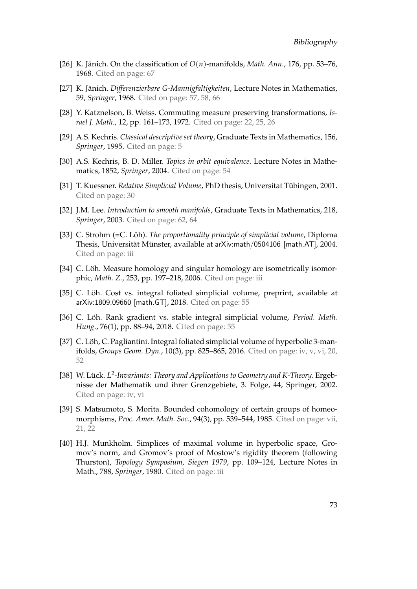- <span id="page-84-2"></span>[26] K. Jänich. On the classification of  $O(n)$ -manifolds, *Math. Ann.*, 176, pp. 53–76, 1968. Cited on page: [67](#page-78-1)
- <span id="page-84-1"></span>[27] K. Jänich. *Differenzierbare G-Mannigfaltigkeiten*, Lecture Notes in Mathematics, 59, *Springer*, 1968. Cited on page: [57,](#page-68-0) [58,](#page-69-0) [66](#page-77-1)
- [28] Y. Katznelson, B. Weiss. Commuting measure preserving transformations, *Israel J. Math.*, 12, pp. 161–173, 1972. Cited on page: [22,](#page-33-0) [25,](#page-36-0) [26](#page-37-0)
- [29] A.S. Kechris. *Classical descriptive set theory*, Graduate Texts in Mathematics, 156, *Springer*, 1995. Cited on page: [5](#page-16-0)
- [30] A.S. Kechris, B. D. Miller. *Topics in orbit equivalence*. Lecture Notes in Mathematics, 1852, *Springer*, 2004. Cited on page: [54](#page-65-0)
- [31] T. Kuessner. *Relative Simplicial Volume*, PhD thesis, Universitat Tubingen, 2001. ¨ Cited on page: [30](#page-41-0)
- <span id="page-84-0"></span>[32] J.M. Lee. *Introduction to smooth manifolds*, Graduate Texts in Mathematics, 218, *Springer*, 2003. Cited on page: [62,](#page-73-1) [64](#page-75-1)
- [33] C. Strohm (=C. Löh). *The proportionality principle of simplicial volume*, Diploma Thesis, Universität Münster, available at arXiv:math/0504106 [math.AT], 2004. Cited on page: [iii](#page-2-0)
- [34] C. Löh. Measure homology and singular homology are isometrically isomorphic, *Math. Z.*, 253, pp. 197–218, 2006. Cited on page: [iii](#page-2-0)
- [35] C. Löh. Cost vs. integral foliated simplicial volume, preprint, available at arXiv:1809.09660 [math.GT], 2018. Cited on page: [55](#page-66-0)
- [36] C. Löh. Rank gradient vs. stable integral simplicial volume, Period. Math. *Hung.*, 76(1), pp. 88–94, 2018. Cited on page: [55](#page-66-0)
- [37] C. Löh, C. Pagliantini. Integral foliated simplicial volume of hyperbolic 3-manifolds, *Groups Geom. Dyn.*, 10(3), pp. 825–865, 2016. Cited on page: [iv,](#page-3-0) [v,](#page-4-0) [vi,](#page-5-0) [20,](#page-31-0) [52](#page-63-0)
- [38] W. Lück. L<sup>2</sup>-Invariants: Theory and Applications to Geometry and K-Theory. Ergebnisse der Mathematik und ihrer Grenzgebiete, 3. Folge, 44, Springer, 2002. Cited on page: [iv,](#page-3-0) [vi](#page-5-0)
- [39] S. Matsumoto, S. Morita. Bounded cohomology of certain groups of homeomorphisms, *Proc. Amer. Math. Soc.*, 94(3), pp. 539–544, 1985. Cited on page: [vii,](#page-6-0) [21,](#page-32-0) [22](#page-33-0)
- [40] H.J. Munkholm. Simplices of maximal volume in hyperbolic space, Gromov's norm, and Gromov's proof of Mostow's rigidity theorem (following Thurston), *Topology Symposium, Siegen 1979*, pp. 109–124, Lecture Notes in Math., 788, *Springer*, 1980. Cited on page: [iii](#page-2-0)